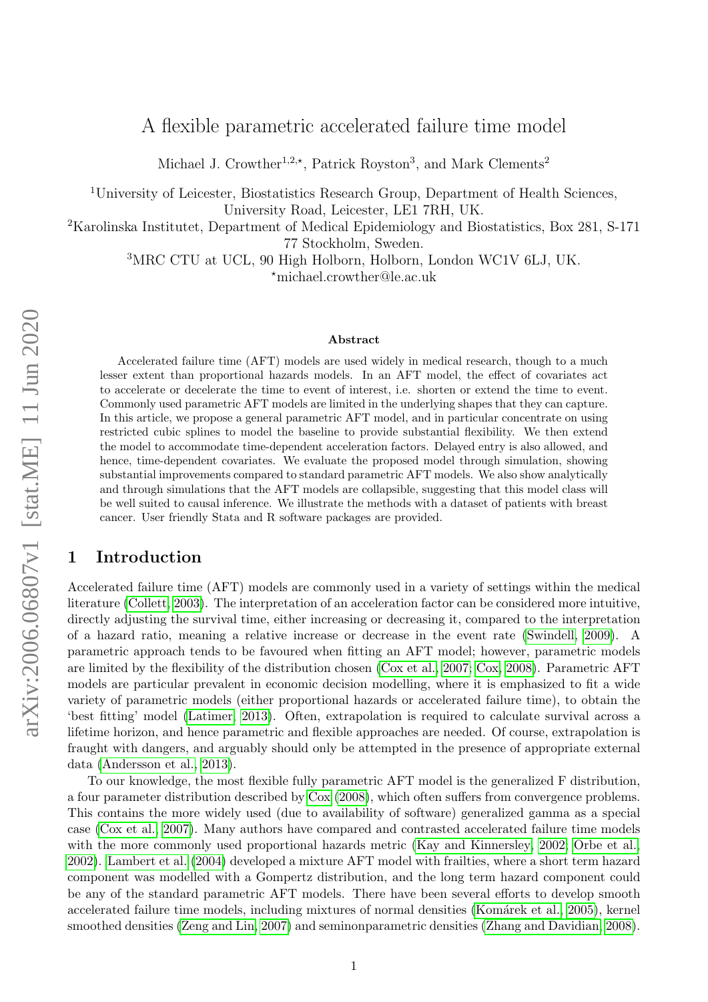# A flexible parametric accelerated failure time model

Michael J. Crowther<sup>1,2,\*</sup>, Patrick Royston<sup>3</sup>, and Mark Clements<sup>2</sup>

<sup>1</sup>University of Leicester, Biostatistics Research Group, Department of Health Sciences, University Road, Leicester, LE1 7RH, UK.

<sup>2</sup>Karolinska Institutet, Department of Medical Epidemiology and Biostatistics, Box 281, S-171

77 Stockholm, Sweden.

<sup>3</sup>MRC CTU at UCL, 90 High Holborn, Holborn, London WC1V 6LJ, UK. ?michael.crowther@le.ac.uk

#### Abstract

Accelerated failure time (AFT) models are used widely in medical research, though to a much lesser extent than proportional hazards models. In an AFT model, the effect of covariates act to accelerate or decelerate the time to event of interest, i.e. shorten or extend the time to event. Commonly used parametric AFT models are limited in the underlying shapes that they can capture. In this article, we propose a general parametric AFT model, and in particular concentrate on using restricted cubic splines to model the baseline to provide substantial flexibility. We then extend the model to accommodate time-dependent acceleration factors. Delayed entry is also allowed, and hence, time-dependent covariates. We evaluate the proposed model through simulation, showing substantial improvements compared to standard parametric AFT models. We also show analytically and through simulations that the AFT models are collapsible, suggesting that this model class will be well suited to causal inference. We illustrate the methods with a dataset of patients with breast cancer. User friendly Stata and R software packages are provided.

### 1 Introduction

Accelerated failure time (AFT) models are commonly used in a variety of settings within the medical literature [\(Collett, 2003\)](#page-10-0). The interpretation of an acceleration factor can be considered more intuitive, directly adjusting the survival time, either increasing or decreasing it, compared to the interpretation of a hazard ratio, meaning a relative increase or decrease in the event rate [\(Swindell, 2009\)](#page-11-0). A parametric approach tends to be favoured when fitting an AFT model; however, parametric models are limited by the flexibility of the distribution chosen [\(Cox et al., 2007;](#page-10-1) [Cox, 2008\)](#page-10-2). Parametric AFT models are particular prevalent in economic decision modelling, where it is emphasized to fit a wide variety of parametric models (either proportional hazards or accelerated failure time), to obtain the 'best fitting' model [\(Latimer, 2013\)](#page-11-1). Often, extrapolation is required to calculate survival across a lifetime horizon, and hence parametric and flexible approaches are needed. Of course, extrapolation is fraught with dangers, and arguably should only be attempted in the presence of appropriate external data [\(Andersson et al., 2013\)](#page-10-3).

To our knowledge, the most flexible fully parametric AFT model is the generalized F distribution, a four parameter distribution described by [Cox](#page-10-2) [\(2008\)](#page-10-2), which often suffers from convergence problems. This contains the more widely used (due to availability of software) generalized gamma as a special case [\(Cox et al., 2007\)](#page-10-1). Many authors have compared and contrasted accelerated failure time models with the more commonly used proportional hazards metric [\(Kay and Kinnersley, 2002;](#page-10-4) [Orbe et al.,](#page-11-2) [2002\)](#page-11-2). [Lambert et al.](#page-11-3) [\(2004\)](#page-11-3) developed a mixture AFT model with frailties, where a short term hazard component was modelled with a Gompertz distribution, and the long term hazard component could be any of the standard parametric AFT models. There have been several efforts to develop smooth accelerated failure time models, including mixtures of normal densities (Komárek et al., 2005), kernel smoothed densities [\(Zeng and Lin, 2007\)](#page-11-4) and seminonparametric densities [\(Zhang and Davidian, 2008\)](#page-11-5).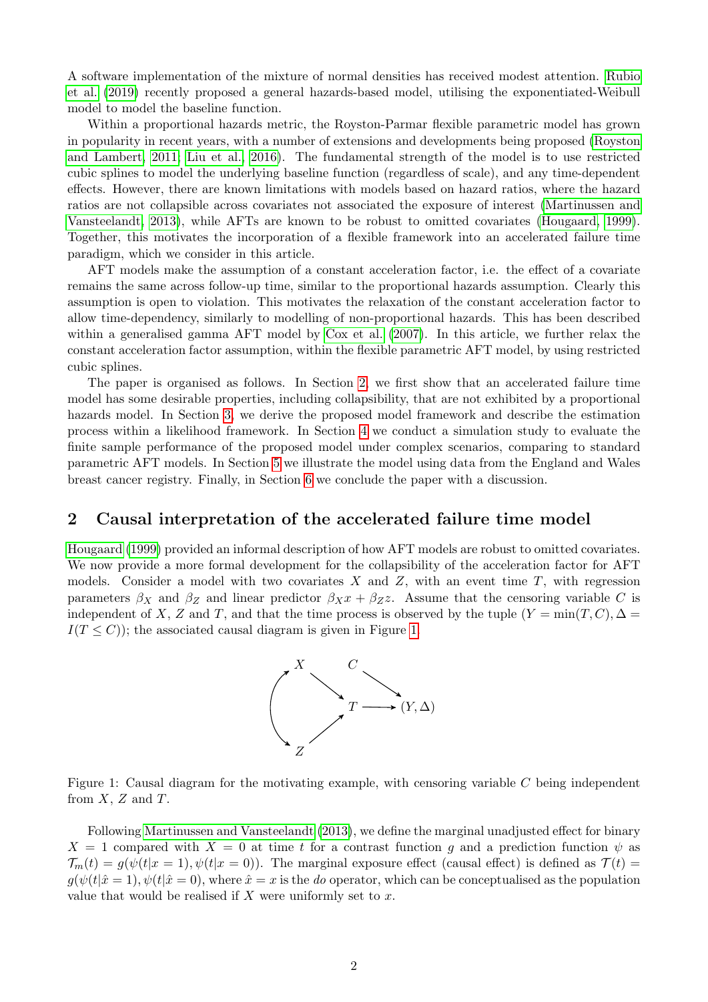A software implementation of the mixture of normal densities has received modest attention. [Rubio](#page-11-6) [et al.](#page-11-6) [\(2019\)](#page-11-6) recently proposed a general hazards-based model, utilising the exponentiated-Weibull model to model the baseline function.

Within a proportional hazards metric, the Royston-Parmar flexible parametric model has grown in popularity in recent years, with a number of extensions and developments being proposed [\(Royston](#page-11-7) [and Lambert, 2011;](#page-11-7) [Liu et al., 2016\)](#page-11-8). The fundamental strength of the model is to use restricted cubic splines to model the underlying baseline function (regardless of scale), and any time-dependent effects. However, there are known limitations with models based on hazard ratios, where the hazard ratios are not collapsible across covariates not associated the exposure of interest [\(Martinussen and](#page-11-9) [Vansteelandt, 2013\)](#page-11-9), while AFTs are known to be robust to omitted covariates [\(Hougaard, 1999\)](#page-10-6). Together, this motivates the incorporation of a flexible framework into an accelerated failure time paradigm, which we consider in this article.

AFT models make the assumption of a constant acceleration factor, i.e. the effect of a covariate remains the same across follow-up time, similar to the proportional hazards assumption. Clearly this assumption is open to violation. This motivates the relaxation of the constant acceleration factor to allow time-dependency, similarly to modelling of non-proportional hazards. This has been described within a generalised gamma AFT model by [Cox et al.](#page-10-1) [\(2007\)](#page-10-1). In this article, we further relax the constant acceleration factor assumption, within the flexible parametric AFT model, by using restricted cubic splines.

The paper is organised as follows. In Section [2,](#page-1-0) we first show that an accelerated failure time model has some desirable properties, including collapsibility, that are not exhibited by a proportional hazards model. In Section [3,](#page-3-0) we derive the proposed model framework and describe the estimation process within a likelihood framework. In Section [4](#page-5-0) we conduct a simulation study to evaluate the finite sample performance of the proposed model under complex scenarios, comparing to standard parametric AFT models. In Section [5](#page-8-0) we illustrate the model using data from the England and Wales breast cancer registry. Finally, in Section [6](#page-8-1) we conclude the paper with a discussion.

### <span id="page-1-0"></span>2 Causal interpretation of the accelerated failure time model

<span id="page-1-1"></span>[Hougaard](#page-10-6) [\(1999\)](#page-10-6) provided an informal description of how AFT models are robust to omitted covariates. We now provide a more formal development for the collapsibility of the acceleration factor for AFT models. Consider a model with two covariates X and  $Z$ , with an event time  $T$ , with regression parameters  $\beta_X$  and  $\beta_Z$  and linear predictor  $\beta_X x + \beta_Z z$ . Assume that the censoring variable C is independent of X, Z and T, and that the time process is observed by the tuple  $(Y = min(T, C), \Delta =$  $I(T \leq C)$ ; the associated causal diagram is given in Figure [1.](#page-1-1)





Following [Martinussen and Vansteelandt](#page-11-9) [\(2013\)](#page-11-9), we define the marginal unadjusted effect for binary  $X = 1$  compared with  $X = 0$  at time t for a contrast function q and a prediction function  $\psi$  as  $\mathcal{T}_m(t) = g(\psi(t|x=1), \psi(t|x=0)).$  The marginal exposure effect (causal effect) is defined as  $\mathcal{T}(t)$  $g(\psi(t|\hat{x}=1), \psi(t|\hat{x}=0))$ , where  $\hat{x}=x$  is the *do* operator, which can be conceptualised as the population value that would be realised if  $X$  were uniformly set to  $x$ .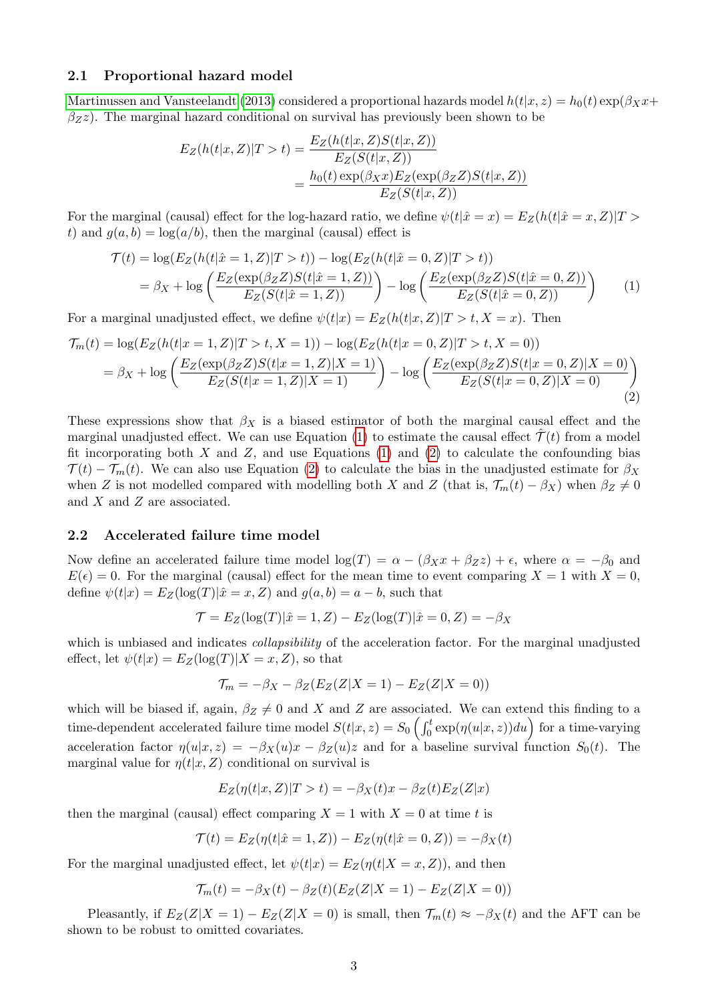#### 2.1 Proportional hazard model

[Martinussen and Vansteelandt](#page-11-9) [\(2013\)](#page-11-9) considered a proportional hazards model  $h(t|x, z) = h_0(t) \exp(\beta x x +$  $\beta$ z $\zeta$ ). The marginal hazard conditional on survival has previously been shown to be

<span id="page-2-0"></span>
$$
E_Z(h(t|x, Z)|T > t) = \frac{E_Z(h(t|x, Z)S(t|x, Z))}{E_Z(S(t|x, Z))}
$$
  
= 
$$
\frac{h_0(t) \exp(\beta_X x) E_Z(\exp(\beta_Z Z)S(t|x, Z))}{E_Z(S(t|x, Z))}
$$

For the marginal (causal) effect for the log-hazard ratio, we define  $\psi(t|\hat{x}=x) = E_Z(h(t|\hat{x}=x, Z)|T >$ t) and  $g(a, b) = \log(a/b)$ , then the marginal (causal) effect is

$$
\mathcal{T}(t) = \log(E_Z(h(t|\hat{x} = 1, Z)|T > t)) - \log(E_Z(h(t|\hat{x} = 0, Z)|T > t))
$$
  
=  $\beta_X + \log\left(\frac{E_Z(\exp(\beta_Z Z)S(t|\hat{x} = 1, Z))}{E_Z(S(t|\hat{x} = 1, Z))}\right) - \log\left(\frac{E_Z(\exp(\beta_Z Z)S(t|\hat{x} = 0, Z))}{E_Z(S(t|\hat{x} = 0, Z))}\right)$  (1)

For a marginal unadjusted effect, we define  $\psi(t|x) = E_Z(h(t|x, Z)|T > t, X = x)$ . Then

$$
\mathcal{T}_m(t) = \log(E_Z(h(t|x=1, Z)|T > t, X=1)) - \log(E_Z(h(t|x=0, Z)|T > t, X=0))
$$
  
=  $\beta_X + \log\left(\frac{E_Z(\exp(\beta_Z Z)S(t|x=1, Z)|X=1)}{E_Z(S(t|x=1, Z)|X=1)}\right) - \log\left(\frac{E_Z(\exp(\beta_Z Z)S(t|x=0, Z)|X=0)}{E_Z(S(t|x=0, Z)|X=0)}\right)$  (2)

These expressions show that  $\beta_X$  is a biased estimator of both the marginal causal effect and the marginal unadjusted effect. We can use Equation [\(1\)](#page-2-0) to estimate the causal effect  $\hat{\mathcal{T}}(t)$  from a model fit incorporating both  $X$  and  $Z$ , and use Equations [\(1\)](#page-2-0) and [\(2\)](#page-2-1) to calculate the confounding bias  $\mathcal{T}(t) - \mathcal{T}_m(t)$ . We can also use Equation [\(2\)](#page-2-1) to calculate the bias in the unadjusted estimate for  $\beta_X$ when Z is not modelled compared with modelling both X and Z (that is,  $\mathcal{T}_m(t) - \beta_X$ ) when  $\beta_Z \neq 0$ and X and Z are associated.

#### 2.2 Accelerated failure time model

Now define an accelerated failure time model  $\log(T) = \alpha - (\beta_X x + \beta_Z z) + \epsilon$ , where  $\alpha = -\beta_0$  and  $E(\epsilon) = 0$ . For the marginal (causal) effect for the mean time to event comparing  $X = 1$  with  $X = 0$ , define  $\psi(t|x) = E_Z(\log(T)|\hat{x} = x, Z)$  and  $g(a, b) = a - b$ , such that

<span id="page-2-1"></span>
$$
\mathcal{T} = E_Z(\log(T)|\hat{x} = 1, Z) - E_Z(\log(T)|\hat{x} = 0, Z) = -\beta_X
$$

which is unbiased and indicates *collapsibility* of the acceleration factor. For the marginal unadjusted effect, let  $\psi(t|x) = E_Z(\log(T)|X=x,Z)$ , so that

$$
\mathcal{T}_m = -\beta_X - \beta_Z(E_Z(Z|X=1) - E_Z(Z|X=0))
$$

which will be biased if, again,  $\beta_Z \neq 0$  and X and Z are associated. We can extend this finding to a time-dependent accelerated failure time model  $S(t|x,z) = S_0 \left( \int_0^t \exp(\eta(u|x,z))du \right)$  for a time-varying acceleration factor  $\eta(u|x, z) = -\beta_X(u)x - \beta_Z(u)z$  and for a baseline survival function  $S_0(t)$ . The marginal value for  $\eta(t|x, Z)$  conditional on survival is

$$
E_Z(\eta(t|x, Z)|T > t) = -\beta_X(t)x - \beta_Z(t)E_Z(Z|x)
$$

then the marginal (causal) effect comparing  $X = 1$  with  $X = 0$  at time t is

$$
\mathcal{T}(t) = E_Z(\eta(t|\hat{x} = 1, Z)) - E_Z(\eta(t|\hat{x} = 0, Z)) = -\beta_X(t)
$$

For the marginal unadjusted effect, let  $\psi(t|x) = E_Z(\eta(t|X=x, Z))$ , and then

$$
\mathcal{T}_m(t) = -\beta_X(t) - \beta_Z(t)(E_Z(Z|X=1) - E_Z(Z|X=0))
$$

Pleasantly, if  $E_Z(Z|X=1) - E_Z(Z|X=0)$  is small, then  $\mathcal{T}_m(t) \approx -\beta_X(t)$  and the AFT can be shown to be robust to omitted covariates.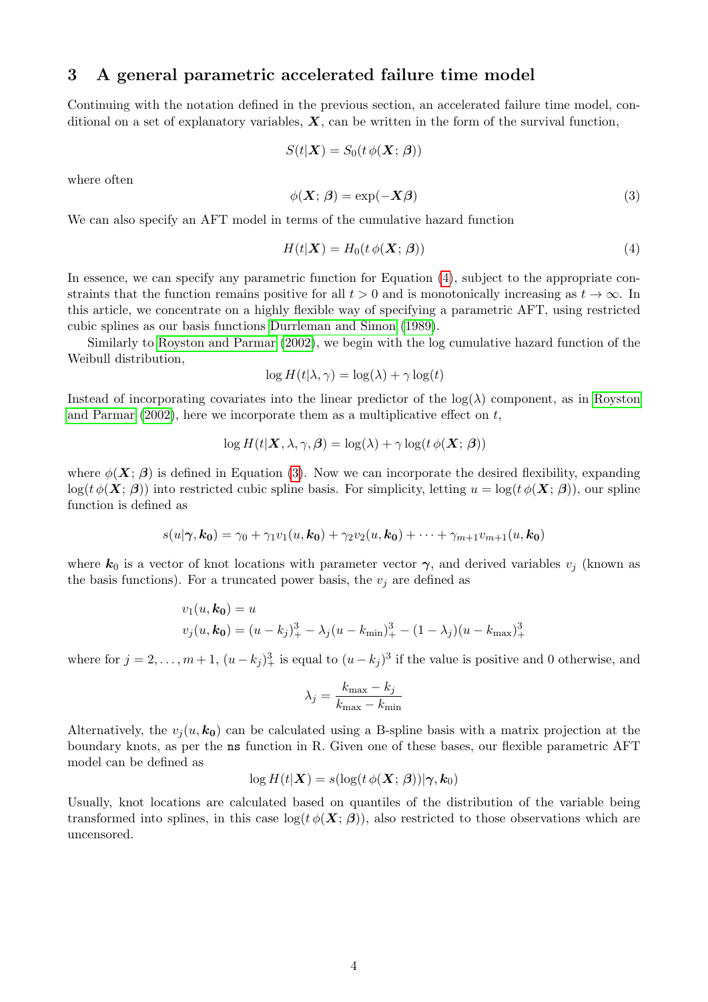## <span id="page-3-0"></span>3 A general parametric accelerated failure time model

Continuing with the notation defined in the previous section, an accelerated failure time model, conditional on a set of explanatory variables,  $X$ , can be written in the form of the survival function,

<span id="page-3-2"></span>
$$
S(t|\boldsymbol{X}) = S_0(t\,\phi(\boldsymbol{X};\,\boldsymbol{\beta}))
$$

where often

$$
\phi(\mathbf{X}; \beta) = \exp(-\mathbf{X}\beta) \tag{3}
$$

We can also specify an AFT model in terms of the cumulative hazard function

<span id="page-3-1"></span>
$$
H(t|\mathbf{X}) = H_0(t \phi(\mathbf{X}; \boldsymbol{\beta}))
$$
\n(4)

In essence, we can specify any parametric function for Equation [\(4\)](#page-3-1), subject to the appropriate constraints that the function remains positive for all  $t > 0$  and is monotonically increasing as  $t \to \infty$ . In this article, we concentrate on a highly flexible way of specifying a parametric AFT, using restricted cubic splines as our basis functions [Durrleman and Simon](#page-10-7) [\(1989\)](#page-10-7).

Similarly to [Royston and Parmar](#page-11-10) [\(2002\)](#page-11-10), we begin with the log cumulative hazard function of the Weibull distribution,

<span id="page-3-3"></span>
$$
\log H(t|\lambda, \gamma) = \log(\lambda) + \gamma \log(t)
$$

Instead of incorporating covariates into the linear predictor of the  $log(\lambda)$  component, as in [Royston](#page-11-10) [and Parmar](#page-11-10)  $(2002)$ , here we incorporate them as a multiplicative effect on t,

$$
\log H(t|\mathbf{X}, \lambda, \gamma, \boldsymbol{\beta}) = \log(\lambda) + \gamma \log(t \phi(\mathbf{X}; \boldsymbol{\beta}))
$$

where  $\phi(\mathbf{X}; \boldsymbol{\beta})$  is defined in Equation [\(3\)](#page-3-2). Now we can incorporate the desired flexibility, expanding  $\log(t \phi(\mathbf{X}; \boldsymbol{\beta}))$  into restricted cubic spline basis. For simplicity, letting  $u = \log(t \phi(\mathbf{X}; \boldsymbol{\beta}))$ , our spline function is defined as

$$
s(u|\gamma, k_0) = \gamma_0 + \gamma_1 v_1(u, k_0) + \gamma_2 v_2(u, k_0) + \cdots + \gamma_{m+1} v_{m+1}(u, k_0)
$$

where  $k_0$  is a vector of knot locations with parameter vector  $\gamma$ , and derived variables  $v_j$  (known as the basis functions). For a truncated power basis, the  $v_i$  are defined as

$$
v_1(u, k_0) = u
$$
  

$$
v_j(u, k_0) = (u - k_j)_+^3 - \lambda_j (u - k_{\min})_+^3 - (1 - \lambda_j)(u - k_{\max})_+^3
$$

where for  $j = 2, \ldots, m + 1, (u - k_j)_+^3$  is equal to  $(u - k_j)^3$  if the value is positive and 0 otherwise, and

$$
\lambda_j = \frac{k_{\max} - k_j}{k_{\max} - k_{\min}}
$$

Alternatively, the  $v_i(u, k_0)$  can be calculated using a B-spline basis with a matrix projection at the boundary knots, as per the ns function in R. Given one of these bases, our flexible parametric AFT model can be defined as

$$
\log H(t|\boldsymbol{X}) = s(\log(t \, \phi(\boldsymbol{X}; \, \boldsymbol{\beta}))|\boldsymbol{\gamma}, \boldsymbol{k}_0)
$$

Usually, knot locations are calculated based on quantiles of the distribution of the variable being transformed into splines, in this case  $log(t \phi(\mathbf{X}; \boldsymbol{\beta}))$ , also restricted to those observations which are uncensored.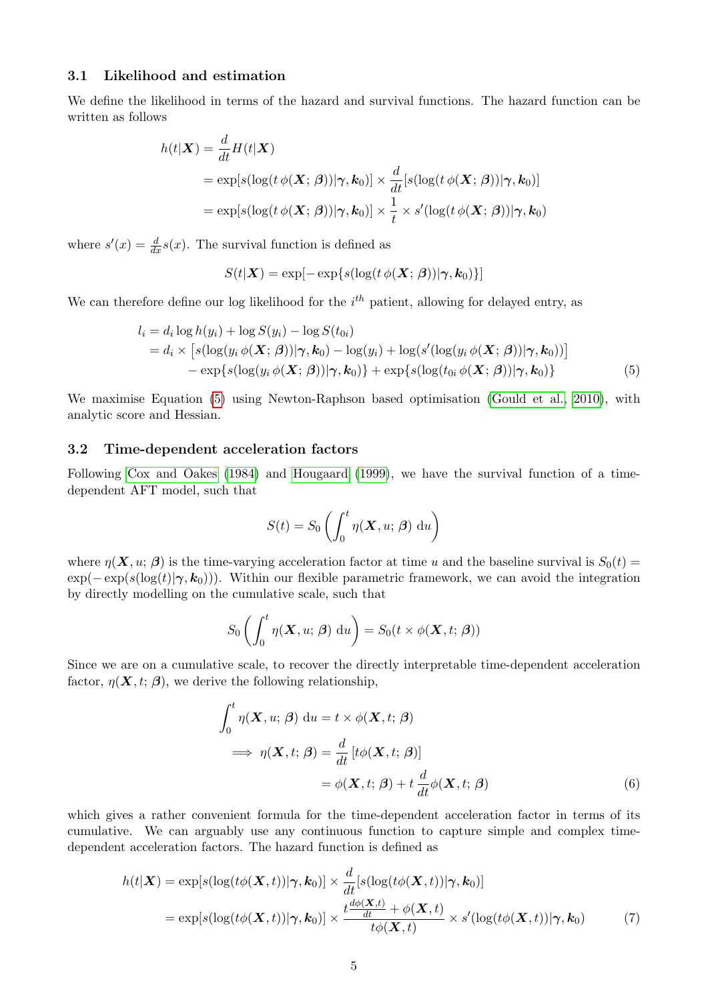### 3.1 Likelihood and estimation

We define the likelihood in terms of the hazard and survival functions. The hazard function can be written as follows

$$
h(t|\mathbf{X}) = \frac{d}{dt} H(t|\mathbf{X})
$$
  
=  $\exp[s(\log(t \phi(\mathbf{X}; \boldsymbol{\beta})) | \boldsymbol{\gamma}, \mathbf{k}_0)] \times \frac{d}{dt} [s(\log(t \phi(\mathbf{X}; \boldsymbol{\beta})) | \boldsymbol{\gamma}, \mathbf{k}_0)]$   
=  $\exp[s(\log(t \phi(\mathbf{X}; \boldsymbol{\beta})) | \boldsymbol{\gamma}, \mathbf{k}_0)] \times \frac{1}{t} \times s'(\log(t \phi(\mathbf{X}; \boldsymbol{\beta})) | \boldsymbol{\gamma}, \mathbf{k}_0)$ 

where  $s'(x) = \frac{d}{dx}s(x)$ . The survival function is defined as

$$
S(t|\mathbf{X}) = \exp[-\exp\{s(\log(t \phi(\mathbf{X}; \boldsymbol{\beta}))|\boldsymbol{\gamma}, \mathbf{k}_0)\}]
$$

We can therefore define our log likelihood for the  $i^{th}$  patient, allowing for delayed entry, as

$$
l_i = d_i \log h(y_i) + \log S(y_i) - \log S(t_{0i})
$$
  
=  $d_i \times [s(\log(y_i \phi(\mathbf{X}; \boldsymbol{\beta})) | \boldsymbol{\gamma}, \mathbf{k}_0) - \log(y_i) + \log(s'(\log(y_i \phi(\mathbf{X}; \boldsymbol{\beta})) | \boldsymbol{\gamma}, \mathbf{k}_0))]$   
-  $\exp\{s(\log(y_i \phi(\mathbf{X}; \boldsymbol{\beta})) | \boldsymbol{\gamma}, \mathbf{k}_0)\} + \exp\{s(\log(t_{0i} \phi(\mathbf{X}; \boldsymbol{\beta})) | \boldsymbol{\gamma}, \mathbf{k}_0)\}$  (5)

We maximise Equation [\(5\)](#page-3-3) using Newton-Raphson based optimisation [\(Gould et al., 2010\)](#page-10-8), with analytic score and Hessian.

#### 3.2 Time-dependent acceleration factors

Following [Cox and Oakes](#page-10-9) [\(1984\)](#page-10-9) and [Hougaard](#page-10-6) [\(1999\)](#page-10-6), we have the survival function of a timedependent AFT model, such that

$$
S(t) = S_0 \left( \int_0^t \eta(\mathbf{X}, u; \beta) du \right)
$$

where  $\eta(\mathbf{X}, u; \boldsymbol{\beta})$  is the time-varying acceleration factor at time u and the baseline survival is  $S_0(t)$  =  $\exp(-\exp(s(\log(t)|\gamma, k_0)))$ . Within our flexible parametric framework, we can avoid the integration by directly modelling on the cumulative scale, such that

$$
S_0\left(\int_0^t \eta(\mathbf{X}, u; \boldsymbol{\beta}) du\right) = S_0(t \times \phi(\mathbf{X}, t; \boldsymbol{\beta}))
$$

Since we are on a cumulative scale, to recover the directly interpretable time-dependent acceleration factor,  $\eta(\mathbf{X}, t; \boldsymbol{\beta})$ , we derive the following relationship,

<span id="page-4-0"></span>
$$
\int_0^t \eta(\mathbf{X}, u; \beta) du = t \times \phi(\mathbf{X}, t; \beta)
$$
  
\n
$$
\implies \eta(\mathbf{X}, t; \beta) = \frac{d}{dt} [t\phi(\mathbf{X}, t; \beta)]
$$
  
\n
$$
= \phi(\mathbf{X}, t; \beta) + t \frac{d}{dt} \phi(\mathbf{X}, t; \beta)
$$
(6)

which gives a rather convenient formula for the time-dependent acceleration factor in terms of its cumulative. We can arguably use any continuous function to capture simple and complex timedependent acceleration factors. The hazard function is defined as

$$
h(t|\mathbf{X}) = \exp[s(\log(t\phi(\mathbf{X},t))|\boldsymbol{\gamma}, \mathbf{k}_0)] \times \frac{d}{dt}[s(\log(t\phi(\mathbf{X},t))|\boldsymbol{\gamma}, \mathbf{k}_0)]
$$
  
= 
$$
\exp[s(\log(t\phi(\mathbf{X},t))|\boldsymbol{\gamma}, \mathbf{k}_0)] \times \frac{t\frac{d\phi(\mathbf{X},t)}{dt} + \phi(\mathbf{X},t)}{t\phi(\mathbf{X},t)} \times s'(\log(t\phi(\mathbf{X},t))|\boldsymbol{\gamma}, \mathbf{k}_0)
$$
(7)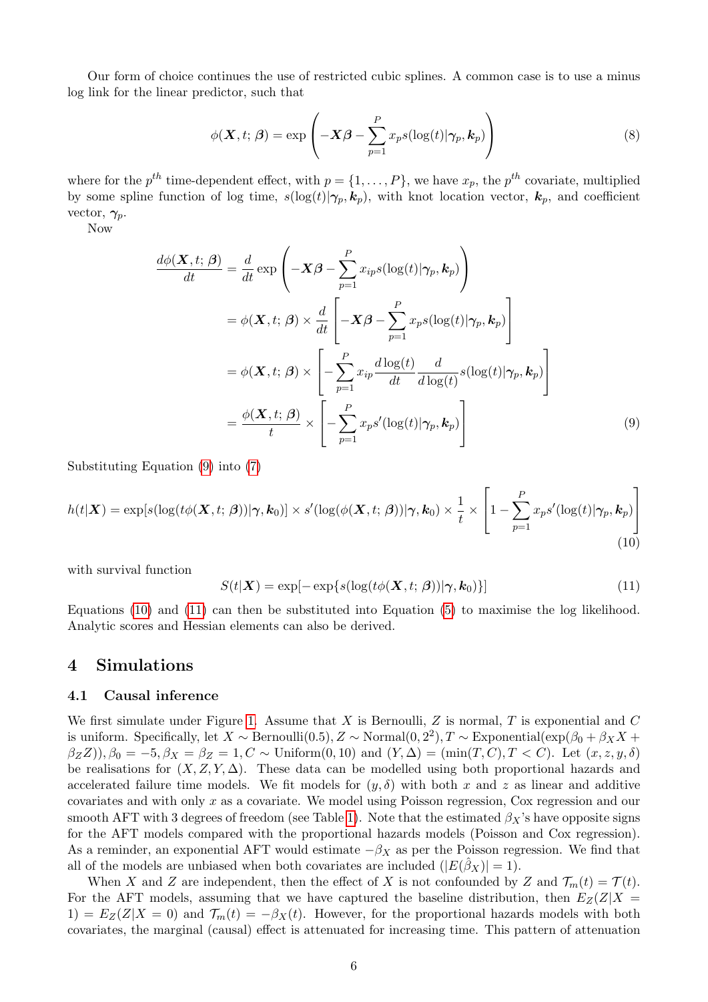Our form of choice continues the use of restricted cubic splines. A common case is to use a minus log link for the linear predictor, such that

$$
\phi(\mathbf{X},t;\boldsymbol{\beta}) = \exp\left(-\mathbf{X}\boldsymbol{\beta} - \sum_{p=1}^{P} x_p s(\log(t)|\boldsymbol{\gamma}_p,\mathbf{k}_p)\right)
$$
(8)

where for the  $p^{th}$  time-dependent effect, with  $p = \{1, \ldots, P\}$ , we have  $x_p$ , the  $p^{th}$  covariate, multiplied by some spline function of log time,  $s(\log(t)|\gamma_p, k_p)$ , with knot location vector,  $k_p$ , and coefficient vector,  $\gamma_p$ .

Now

$$
\frac{d\phi(\mathbf{X},t;\boldsymbol{\beta})}{dt} = \frac{d}{dt} \exp\left(-\mathbf{X}\boldsymbol{\beta} - \sum_{p=1}^{P} x_{ip} s(\log(t)|\boldsymbol{\gamma}_p, \mathbf{k}_p)\right)
$$

$$
= \phi(\mathbf{X},t;\boldsymbol{\beta}) \times \frac{d}{dt} \left[-\mathbf{X}\boldsymbol{\beta} - \sum_{p=1}^{P} x_{p} s(\log(t)|\boldsymbol{\gamma}_p, \mathbf{k}_p)\right]
$$

$$
= \phi(\mathbf{X},t;\boldsymbol{\beta}) \times \left[-\sum_{p=1}^{P} x_{ip} \frac{d\log(t)}{dt} \frac{d}{d\log(t)} s(\log(t)|\boldsymbol{\gamma}_p, \mathbf{k}_p)\right]
$$

$$
= \frac{\phi(\mathbf{X},t;\boldsymbol{\beta})}{t} \times \left[-\sum_{p=1}^{P} x_{p} s'(\log(t)|\boldsymbol{\gamma}_p, \mathbf{k}_p)\right]
$$
(9)

Substituting Equation [\(9\)](#page-5-1) into [\(7\)](#page-4-0)

$$
h(t|\boldsymbol{X}) = \exp[s(\log(t\phi(\boldsymbol{X},t;\boldsymbol{\beta}))|\boldsymbol{\gamma},\boldsymbol{k}_0)] \times s'(\log(\phi(\boldsymbol{X},t;\boldsymbol{\beta}))|\boldsymbol{\gamma},\boldsymbol{k}_0) \times \frac{1}{t} \times \left[1 - \sum_{p=1}^{P} x_p s'(\log(t)|\boldsymbol{\gamma}_p,\boldsymbol{k}_p)\right]
$$
(10)

with survival function

<span id="page-5-3"></span><span id="page-5-2"></span><span id="page-5-1"></span>
$$
S(t|\mathbf{X}) = \exp[-\exp\{s(\log(t\phi(\mathbf{X},t;\boldsymbol{\beta}))|\boldsymbol{\gamma},\mathbf{k}_0)\}]
$$
\n(11)

Equations [\(10\)](#page-5-2) and [\(11\)](#page-5-3) can then be substituted into Equation [\(5\)](#page-3-3) to maximise the log likelihood. Analytic scores and Hessian elements can also be derived.

### <span id="page-5-0"></span>4 Simulations

#### 4.1 Causal inference

We first simulate under Figure [1.](#page-1-1) Assume that X is Bernoulli, Z is normal, T is exponential and  $C$ is uniform. Specifically, let  $X \sim \text{Bernoulli}(0.5)$ ,  $Z \sim \text{Normal}(0, 2^2)$ ,  $T \sim \text{Exponential}(\exp(\beta_0 + \beta_X X +$  $(\beta_Z Z)$ ,  $\beta_0 = -5$ ,  $\beta_X = \beta_Z = 1$ ,  $C \sim \text{Uniform}(0, 10)$  and  $(Y, \Delta) = \text{(min}(T, C), T < C)$ . Let  $(x, z, y, \delta)$ be realisations for  $(X, Z, Y, \Delta)$ . These data can be modelled using both proportional hazards and accelerated failure time models. We fit models for  $(y, \delta)$  with both x and z as linear and additive covariates and with only x as a covariate. We model using Poisson regression, Cox regression and our smooth AFT with 3 degrees of freedom (see Table [1\)](#page-6-0). Note that the estimated  $\beta_X$ 's have opposite signs for the AFT models compared with the proportional hazards models (Poisson and Cox regression). As a reminder, an exponential AFT would estimate  $-\beta_X$  as per the Poisson regression. We find that all of the models are unbiased when both covariates are included  $(|E(\hat{\beta}_X)| = 1)$ .

When X and Z are independent, then the effect of X is not confounded by Z and  $\mathcal{T}_m(t) = \mathcal{T}(t)$ . For the AFT models, assuming that we have captured the baseline distribution, then  $E_Z(Z|X)$ 1) =  $E_Z(Z|X=0)$  and  $\mathcal{T}_m(t) = -\beta_X(t)$ . However, for the proportional hazards models with both covariates, the marginal (causal) effect is attenuated for increasing time. This pattern of attenuation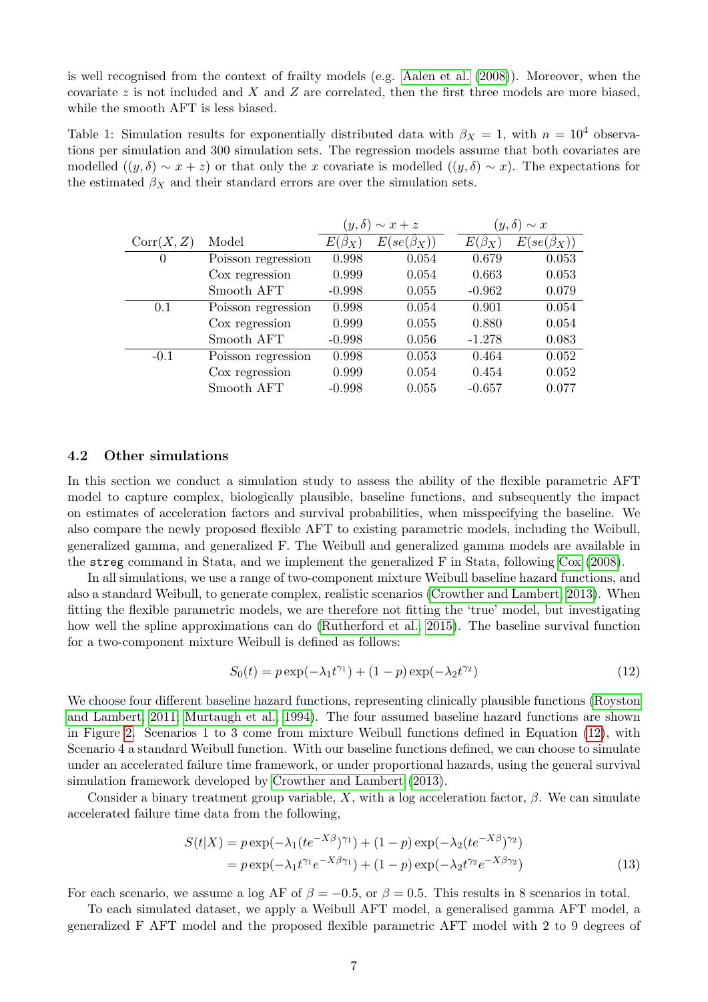is well recognised from the context of frailty models (e.g. [Aalen et al.](#page-10-10) [\(2008\)](#page-10-10)). Moreover, when the covariate z is not included and X and Z are correlated, then the first three models are more biased, while the smooth AFT is less biased.

<span id="page-6-0"></span>Table 1: Simulation results for exponentially distributed data with  $\beta_X = 1$ , with  $n = 10^4$  observations per simulation and 300 simulation sets. The regression models assume that both covariates are modelled  $((y, \delta) \sim x + z)$  or that only the x covariate is modelled  $((y, \delta) \sim x)$ . The expectations for the estimated  $\beta_X$  and their standard errors are over the simulation sets.

|                    |              |                        |                       | $(y,\delta)$<br>$\sim x$ |
|--------------------|--------------|------------------------|-----------------------|--------------------------|
| Model              | $E(\beta_X)$ | $E(se(\hat{\beta}_X))$ | $E(\beta_X)$          | $E(se(\beta_X))$         |
| Poisson regression | 0.998        | 0.054                  | 0.679                 | 0.053                    |
| Cox regression     | 0.999        | 0.054                  | 0.663                 | 0.053                    |
| Smooth AFT         | $-0.998$     | 0.055                  | $-0.962$              | 0.079                    |
| Poisson regression | 0.998        | 0.054                  | 0.901                 | 0.054                    |
| Cox regression     | 0.999        | 0.055                  | 0.880                 | 0.054                    |
| Smooth AFT         | $-0.998$     | 0.056                  | $-1.278$              | 0.083                    |
| Poisson regression | 0.998        | 0.053                  | 0.464                 | 0.052                    |
| Cox regression     | 0.999        | 0.054                  | 0.454                 | 0.052                    |
| Smooth AFT         | $-0.998$     | 0.055                  | $-0.657$              | 0.077                    |
|                    |              |                        | $(y,\delta) \sim x+z$ |                          |

### 4.2 Other simulations

In this section we conduct a simulation study to assess the ability of the flexible parametric AFT model to capture complex, biologically plausible, baseline functions, and subsequently the impact on estimates of acceleration factors and survival probabilities, when misspecifying the baseline. We also compare the newly proposed flexible AFT to existing parametric models, including the Weibull, generalized gamma, and generalized F. The Weibull and generalized gamma models are available in the streg command in Stata, and we implement the generalized F in Stata, following [Cox](#page-10-2) [\(2008\)](#page-10-2).

In all simulations, we use a range of two-component mixture Weibull baseline hazard functions, and also a standard Weibull, to generate complex, realistic scenarios [\(Crowther and Lambert, 2013\)](#page-10-11). When fitting the flexible parametric models, we are therefore not fitting the 'true' model, but investigating how well the spline approximations can do [\(Rutherford et al., 2015\)](#page-11-11). The baseline survival function for a two-component mixture Weibull is defined as follows:

<span id="page-6-1"></span>
$$
S_0(t) = p \exp(-\lambda_1 t^{\gamma_1}) + (1 - p) \exp(-\lambda_2 t^{\gamma_2})
$$
\n(12)

We choose four different baseline hazard functions, representing clinically plausible functions [\(Royston](#page-11-7) [and Lambert, 2011;](#page-11-7) [Murtaugh et al., 1994\)](#page-11-12). The four assumed baseline hazard functions are shown in Figure [2.](#page-7-0) Scenarios 1 to 3 come from mixture Weibull functions defined in Equation [\(12\)](#page-6-1), with Scenario 4 a standard Weibull function. With our baseline functions defined, we can choose to simulate under an accelerated failure time framework, or under proportional hazards, using the general survival simulation framework developed by [Crowther and Lambert](#page-10-11) [\(2013\)](#page-10-11).

Consider a binary treatment group variable, X, with a log acceleration factor,  $\beta$ . We can simulate accelerated failure time data from the following,

$$
S(t|X) = p \exp(-\lambda_1 (te^{-X\beta})^{\gamma_1}) + (1-p) \exp(-\lambda_2 (te^{-X\beta})^{\gamma_2})
$$
  
=  $p \exp(-\lambda_1 t^{\gamma_1} e^{-X\beta \gamma_1}) + (1-p) \exp(-\lambda_2 t^{\gamma_2} e^{-X\beta \gamma_2})$  (13)

For each scenario, we assume a log AF of  $\beta = -0.5$ , or  $\beta = 0.5$ . This results in 8 scenarios in total.

To each simulated dataset, we apply a Weibull AFT model, a generalised gamma AFT model, a generalized F AFT model and the proposed flexible parametric AFT model with 2 to 9 degrees of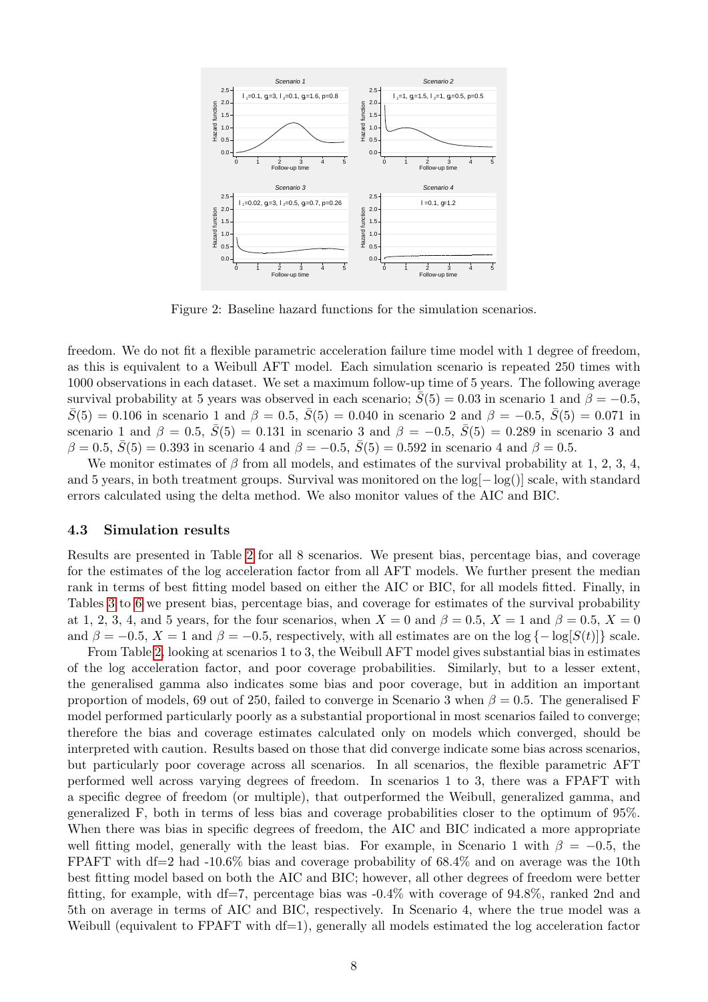<span id="page-7-0"></span>

Figure 2: Baseline hazard functions for the simulation scenarios.

freedom. We do not fit a flexible parametric acceleration failure time model with 1 degree of freedom, as this is equivalent to a Weibull AFT model. Each simulation scenario is repeated 250 times with 1000 observations in each dataset. We set a maximum follow-up time of 5 years. The following average survival probability at 5 years was observed in each scenario;  $\bar{S}(5) = 0.03$  in scenario 1 and  $\beta = -0.5$ ,  $\bar{S}(5) = 0.106$  in scenario 1 and  $\beta = 0.5$ ,  $\bar{S}(5) = 0.040$  in scenario 2 and  $\beta = -0.5$ ,  $\bar{S}(5) = 0.071$  in scenario 1 and  $\beta = 0.5$ ,  $S(5) = 0.131$  in scenario 3 and  $\beta = -0.5$ ,  $S(5) = 0.289$  in scenario 3 and  $β = 0.5, \overline{S}(5) = 0.393$  in scenario 4 and  $β = -0.5, \overline{S}(5) = 0.592$  in scenario 4 and  $β = 0.5$ .

We monitor estimates of  $\beta$  from all models, and estimates of the survival probability at 1, 2, 3, 4, and 5 years, in both treatment groups. Survival was monitored on the log[− log()] scale, with standard errors calculated using the delta method. We also monitor values of the AIC and BIC.

#### 4.3 Simulation results

Results are presented in Table [2](#page-12-0) for all 8 scenarios. We present bias, percentage bias, and coverage for the estimates of the log acceleration factor from all AFT models. We further present the median rank in terms of best fitting model based on either the AIC or BIC, for all models fitted. Finally, in Tables [3](#page-13-0) to [6](#page-16-0) we present bias, percentage bias, and coverage for estimates of the survival probability at 1, 2, 3, 4, and 5 years, for the four scenarios, when  $X = 0$  and  $\beta = 0.5$ ,  $X = 1$  and  $\beta = 0.5$ ,  $X = 0$ and  $\beta = -0.5$ ,  $X = 1$  and  $\beta = -0.5$ , respectively, with all estimates are on the log  $\{-\log[S(t)]\}$  scale.

From Table [2,](#page-12-0) looking at scenarios 1 to 3, the Weibull AFT model gives substantial bias in estimates of the log acceleration factor, and poor coverage probabilities. Similarly, but to a lesser extent, the generalised gamma also indicates some bias and poor coverage, but in addition an important proportion of models, 69 out of 250, failed to converge in Scenario 3 when  $\beta = 0.5$ . The generalised F model performed particularly poorly as a substantial proportional in most scenarios failed to converge; therefore the bias and coverage estimates calculated only on models which converged, should be interpreted with caution. Results based on those that did converge indicate some bias across scenarios, but particularly poor coverage across all scenarios. In all scenarios, the flexible parametric AFT performed well across varying degrees of freedom. In scenarios 1 to 3, there was a FPAFT with a specific degree of freedom (or multiple), that outperformed the Weibull, generalized gamma, and generalized F, both in terms of less bias and coverage probabilities closer to the optimum of 95%. When there was bias in specific degrees of freedom, the AIC and BIC indicated a more appropriate well fitting model, generally with the least bias. For example, in Scenario 1 with  $\beta = -0.5$ , the FPAFT with df=2 had -10.6% bias and coverage probability of 68.4% and on average was the 10th best fitting model based on both the AIC and BIC; however, all other degrees of freedom were better fitting, for example, with df=7, percentage bias was  $-0.4\%$  with coverage of 94.8%, ranked 2nd and 5th on average in terms of AIC and BIC, respectively. In Scenario 4, where the true model was a Weibull (equivalent to  $FPAFT$  with  $df=1$ ), generally all models estimated the log acceleration factor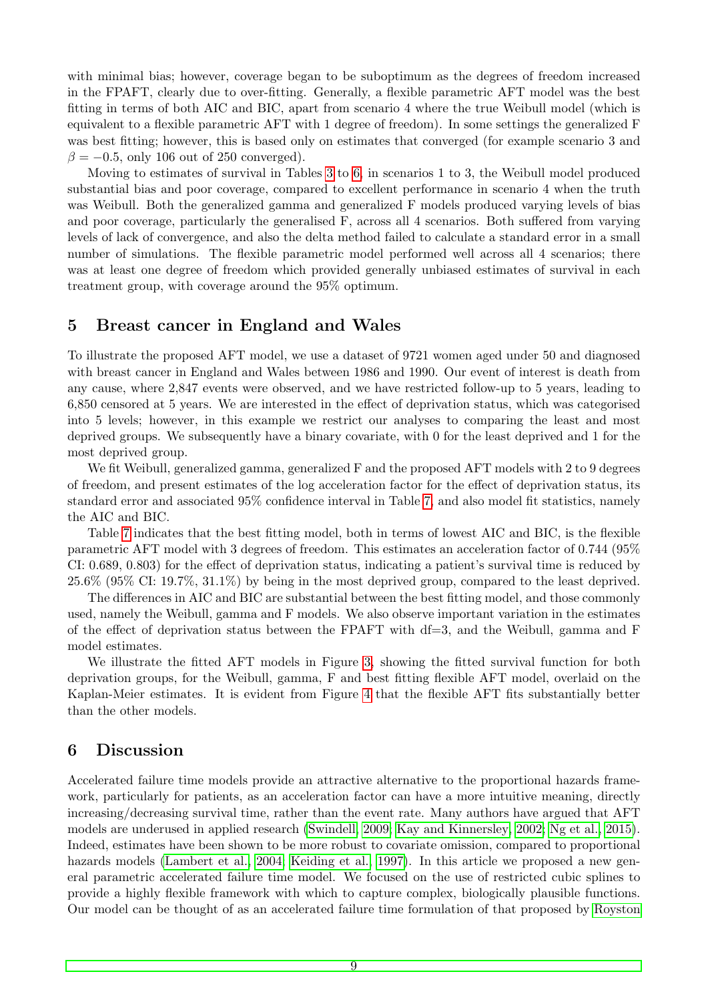with minimal bias; however, coverage began to be suboptimum as the degrees of freedom increased in the FPAFT, clearly due to over-fitting. Generally, a flexible parametric AFT model was the best fitting in terms of both AIC and BIC, apart from scenario 4 where the true Weibull model (which is equivalent to a flexible parametric AFT with 1 degree of freedom). In some settings the generalized F was best fitting; however, this is based only on estimates that converged (for example scenario 3 and  $\beta = -0.5$ , only 106 out of 250 converged).

Moving to estimates of survival in Tables [3](#page-13-0) to [6,](#page-16-0) in scenarios 1 to 3, the Weibull model produced substantial bias and poor coverage, compared to excellent performance in scenario 4 when the truth was Weibull. Both the generalized gamma and generalized F models produced varying levels of bias and poor coverage, particularly the generalised F, across all 4 scenarios. Both suffered from varying levels of lack of convergence, and also the delta method failed to calculate a standard error in a small number of simulations. The flexible parametric model performed well across all 4 scenarios; there was at least one degree of freedom which provided generally unbiased estimates of survival in each treatment group, with coverage around the 95% optimum.

### <span id="page-8-0"></span>5 Breast cancer in England and Wales

To illustrate the proposed AFT model, we use a dataset of 9721 women aged under 50 and diagnosed with breast cancer in England and Wales between 1986 and 1990. Our event of interest is death from any cause, where 2,847 events were observed, and we have restricted follow-up to 5 years, leading to 6,850 censored at 5 years. We are interested in the effect of deprivation status, which was categorised into 5 levels; however, in this example we restrict our analyses to comparing the least and most deprived groups. We subsequently have a binary covariate, with 0 for the least deprived and 1 for the most deprived group.

We fit Weibull, generalized gamma, generalized F and the proposed AFT models with 2 to 9 degrees of freedom, and present estimates of the log acceleration factor for the effect of deprivation status, its standard error and associated 95% confidence interval in Table [7,](#page-17-0) and also model fit statistics, namely the AIC and BIC.

Table [7](#page-17-0) indicates that the best fitting model, both in terms of lowest AIC and BIC, is the flexible parametric AFT model with 3 degrees of freedom. This estimates an acceleration factor of 0.744 (95% CI: 0.689, 0.803) for the effect of deprivation status, indicating a patient's survival time is reduced by 25.6% (95% CI: 19.7%, 31.1%) by being in the most deprived group, compared to the least deprived.

The differences in AIC and BIC are substantial between the best fitting model, and those commonly used, namely the Weibull, gamma and F models. We also observe important variation in the estimates of the effect of deprivation status between the FPAFT with df=3, and the Weibull, gamma and F model estimates.

We illustrate the fitted AFT models in Figure [3,](#page-9-0) showing the fitted survival function for both deprivation groups, for the Weibull, gamma, F and best fitting flexible AFT model, overlaid on the Kaplan-Meier estimates. It is evident from Figure [4](#page-9-1) that the flexible AFT fits substantially better than the other models.

### <span id="page-8-1"></span>6 Discussion

Accelerated failure time models provide an attractive alternative to the proportional hazards framework, particularly for patients, as an acceleration factor can have a more intuitive meaning, directly increasing/decreasing survival time, rather than the event rate. Many authors have argued that AFT models are underused in applied research [\(Swindell, 2009;](#page-11-0) [Kay and Kinnersley, 2002;](#page-10-4) [Ng et al., 2015\)](#page-11-13). Indeed, estimates have been shown to be more robust to covariate omission, compared to proportional hazards models [\(Lambert et al., 2004;](#page-11-3) [Keiding et al., 1997\)](#page-10-12). In this article we proposed a new general parametric accelerated failure time model. We focused on the use of restricted cubic splines to provide a highly flexible framework with which to capture complex, biologically plausible functions. Our model can be thought of as an accelerated failure time formulation of that proposed by [Royston](#page-11-10)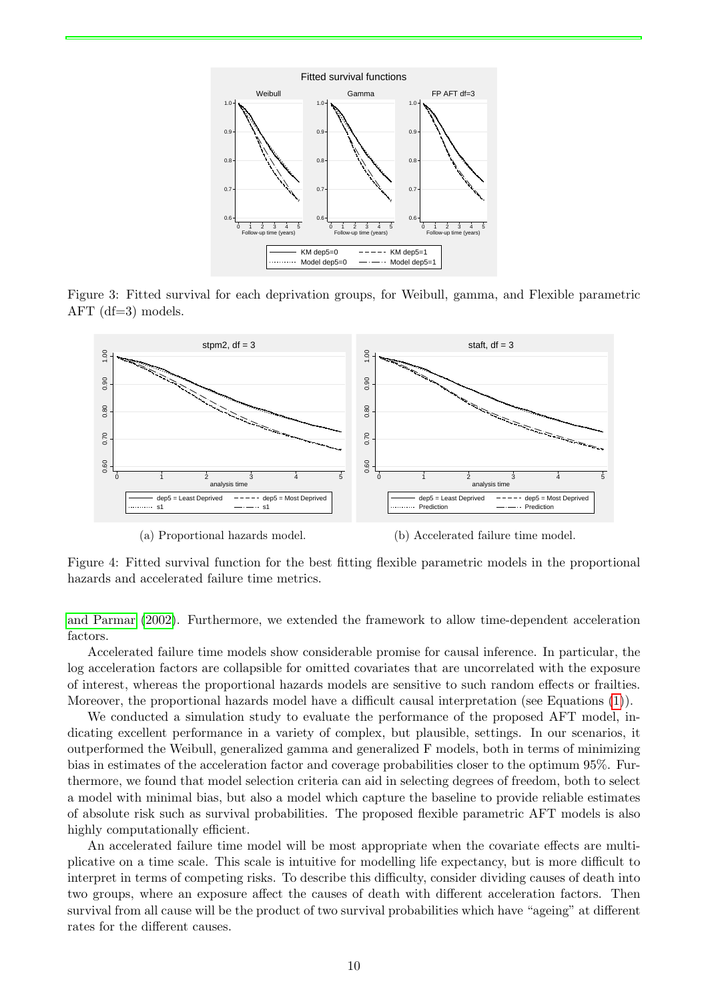<span id="page-9-0"></span>

Figure 3: Fitted survival for each deprivation groups, for Weibull, gamma, and Flexible parametric AFT (df=3) models.

<span id="page-9-1"></span>

Figure 4: Fitted survival function for the best fitting flexible parametric models in the proportional hazards and accelerated failure time metrics.

[and Parmar](#page-11-10) [\(2002\)](#page-11-10). Furthermore, we extended the framework to allow time-dependent acceleration factors.

Accelerated failure time models show considerable promise for causal inference. In particular, the log acceleration factors are collapsible for omitted covariates that are uncorrelated with the exposure of interest, whereas the proportional hazards models are sensitive to such random effects or frailties. Moreover, the proportional hazards model have a difficult causal interpretation (see Equations [\(1\)](#page-2-0)).

We conducted a simulation study to evaluate the performance of the proposed AFT model, indicating excellent performance in a variety of complex, but plausible, settings. In our scenarios, it outperformed the Weibull, generalized gamma and generalized F models, both in terms of minimizing bias in estimates of the acceleration factor and coverage probabilities closer to the optimum 95%. Furthermore, we found that model selection criteria can aid in selecting degrees of freedom, both to select a model with minimal bias, but also a model which capture the baseline to provide reliable estimates of absolute risk such as survival probabilities. The proposed flexible parametric AFT models is also highly computationally efficient.

An accelerated failure time model will be most appropriate when the covariate effects are multiplicative on a time scale. This scale is intuitive for modelling life expectancy, but is more difficult to interpret in terms of competing risks. To describe this difficulty, consider dividing causes of death into two groups, where an exposure affect the causes of death with different acceleration factors. Then survival from all cause will be the product of two survival probabilities which have "ageing" at different rates for the different causes.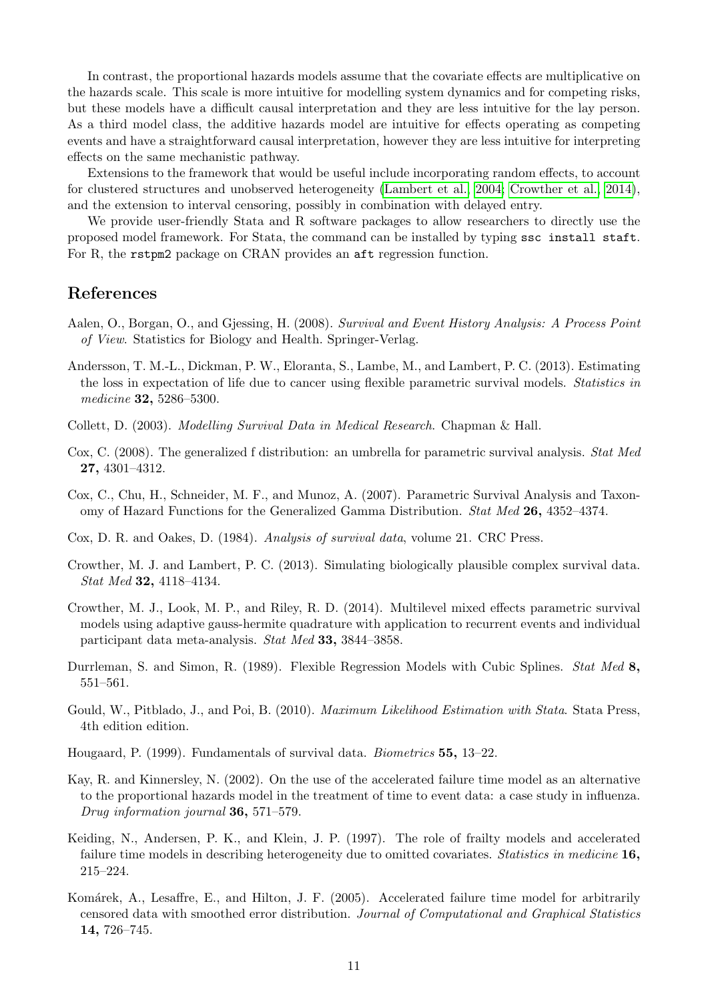In contrast, the proportional hazards models assume that the covariate effects are multiplicative on the hazards scale. This scale is more intuitive for modelling system dynamics and for competing risks, but these models have a difficult causal interpretation and they are less intuitive for the lay person. As a third model class, the additive hazards model are intuitive for effects operating as competing events and have a straightforward causal interpretation, however they are less intuitive for interpreting effects on the same mechanistic pathway.

Extensions to the framework that would be useful include incorporating random effects, to account for clustered structures and unobserved heterogeneity [\(Lambert et al., 2004;](#page-11-3) [Crowther et al., 2014\)](#page-10-13), and the extension to interval censoring, possibly in combination with delayed entry.

We provide user-friendly Stata and R software packages to allow researchers to directly use the proposed model framework. For Stata, the command can be installed by typing ssc install staft. For R, the rstpm2 package on CRAN provides an aft regression function.

### References

- <span id="page-10-10"></span>Aalen, O., Borgan, O., and Gjessing, H. (2008). Survival and Event History Analysis: A Process Point of View. Statistics for Biology and Health. Springer-Verlag.
- <span id="page-10-3"></span>Andersson, T. M.-L., Dickman, P. W., Eloranta, S., Lambe, M., and Lambert, P. C. (2013). Estimating the loss in expectation of life due to cancer using flexible parametric survival models. Statistics in medicine 32, 5286–5300.
- <span id="page-10-0"></span>Collett, D. (2003). Modelling Survival Data in Medical Research. Chapman & Hall.
- <span id="page-10-2"></span>Cox, C. (2008). The generalized f distribution: an umbrella for parametric survival analysis. *Stat Med* 27, 4301–4312.
- <span id="page-10-1"></span>Cox, C., Chu, H., Schneider, M. F., and Munoz, A. (2007). Parametric Survival Analysis and Taxonomy of Hazard Functions for the Generalized Gamma Distribution. Stat Med 26, 4352–4374.
- <span id="page-10-9"></span>Cox, D. R. and Oakes, D. (1984). Analysis of survival data, volume 21. CRC Press.
- <span id="page-10-11"></span>Crowther, M. J. and Lambert, P. C. (2013). Simulating biologically plausible complex survival data. Stat Med 32, 4118–4134.
- <span id="page-10-13"></span>Crowther, M. J., Look, M. P., and Riley, R. D. (2014). Multilevel mixed effects parametric survival models using adaptive gauss-hermite quadrature with application to recurrent events and individual participant data meta-analysis. Stat Med 33, 3844–3858.
- <span id="page-10-7"></span>Durrleman, S. and Simon, R. (1989). Flexible Regression Models with Cubic Splines. Stat Med 8, 551–561.
- <span id="page-10-8"></span>Gould, W., Pitblado, J., and Poi, B. (2010). *Maximum Likelihood Estimation with Stata*. Stata Press, 4th edition edition.
- <span id="page-10-6"></span>Hougaard, P. (1999). Fundamentals of survival data. Biometrics 55, 13–22.
- <span id="page-10-4"></span>Kay, R. and Kinnersley, N. (2002). On the use of the accelerated failure time model as an alternative to the proportional hazards model in the treatment of time to event data: a case study in influenza. Drug information journal 36, 571–579.
- <span id="page-10-12"></span>Keiding, N., Andersen, P. K., and Klein, J. P. (1997). The role of frailty models and accelerated failure time models in describing heterogeneity due to omitted covariates. *Statistics in medicine* 16, 215–224.
- <span id="page-10-5"></span>Komárek, A., Lesaffre, E., and Hilton, J. F. (2005). Accelerated failure time model for arbitrarily censored data with smoothed error distribution. Journal of Computational and Graphical Statistics 14, 726–745.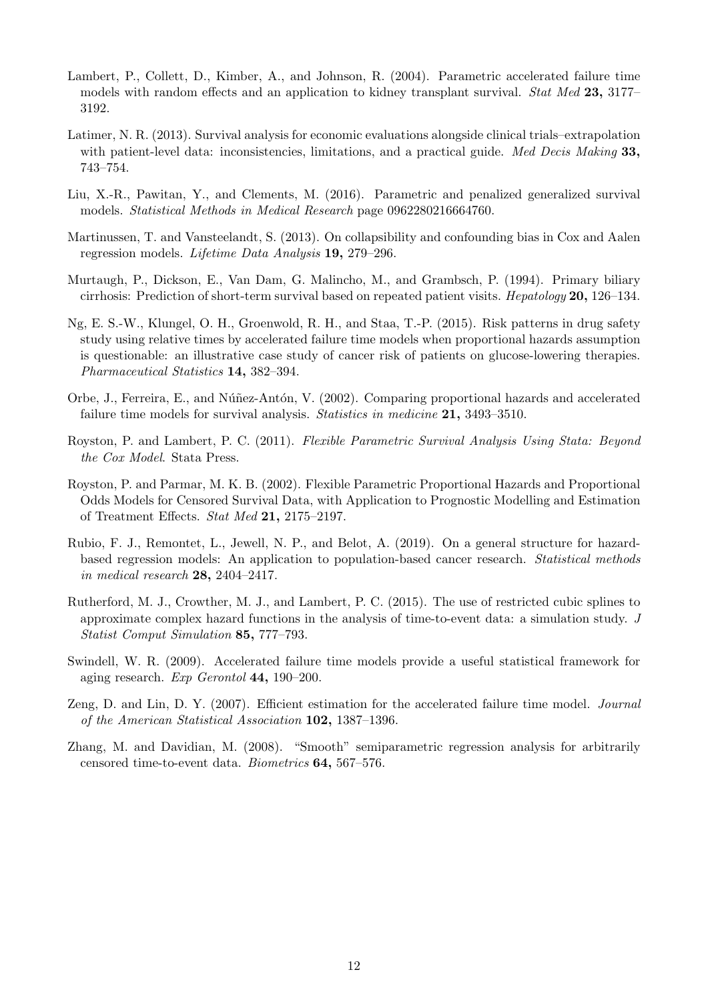- <span id="page-11-3"></span>Lambert, P., Collett, D., Kimber, A., and Johnson, R. (2004). Parametric accelerated failure time models with random effects and an application to kidney transplant survival. Stat Med 23, 3177– 3192.
- <span id="page-11-1"></span>Latimer, N. R. (2013). Survival analysis for economic evaluations alongside clinical trials–extrapolation with patient-level data: inconsistencies, limitations, and a practical guide. Med Decis Making 33, 743–754.
- <span id="page-11-8"></span>Liu, X.-R., Pawitan, Y., and Clements, M. (2016). Parametric and penalized generalized survival models. Statistical Methods in Medical Research page 0962280216664760.
- <span id="page-11-9"></span>Martinussen, T. and Vansteelandt, S. (2013). On collapsibility and confounding bias in Cox and Aalen regression models. Lifetime Data Analysis 19, 279–296.
- <span id="page-11-12"></span>Murtaugh, P., Dickson, E., Van Dam, G. Malincho, M., and Grambsch, P. (1994). Primary biliary cirrhosis: Prediction of short-term survival based on repeated patient visits. Hepatology 20, 126–134.
- <span id="page-11-13"></span>Ng, E. S.-W., Klungel, O. H., Groenwold, R. H., and Staa, T.-P. (2015). Risk patterns in drug safety study using relative times by accelerated failure time models when proportional hazards assumption is questionable: an illustrative case study of cancer risk of patients on glucose-lowering therapies. Pharmaceutical Statistics 14, 382–394.
- <span id="page-11-2"></span>Orbe, J., Ferreira, E., and Núñez-Antón, V. (2002). Comparing proportional hazards and accelerated failure time models for survival analysis. Statistics in medicine 21, 3493–3510.
- <span id="page-11-7"></span>Royston, P. and Lambert, P. C. (2011). Flexible Parametric Survival Analysis Using Stata: Beyond the Cox Model. Stata Press.
- <span id="page-11-10"></span>Royston, P. and Parmar, M. K. B. (2002). Flexible Parametric Proportional Hazards and Proportional Odds Models for Censored Survival Data, with Application to Prognostic Modelling and Estimation of Treatment Effects. Stat Med 21, 2175–2197.
- <span id="page-11-6"></span>Rubio, F. J., Remontet, L., Jewell, N. P., and Belot, A. (2019). On a general structure for hazardbased regression models: An application to population-based cancer research. Statistical methods in medical research 28, 2404–2417.
- <span id="page-11-11"></span>Rutherford, M. J., Crowther, M. J., and Lambert, P. C. (2015). The use of restricted cubic splines to approximate complex hazard functions in the analysis of time-to-event data: a simulation study. J Statist Comput Simulation 85, 777–793.
- <span id="page-11-0"></span>Swindell, W. R. (2009). Accelerated failure time models provide a useful statistical framework for aging research. Exp Gerontol 44, 190–200.
- <span id="page-11-4"></span>Zeng, D. and Lin, D. Y. (2007). Efficient estimation for the accelerated failure time model. *Journal* of the American Statistical Association 102, 1387–1396.
- <span id="page-11-5"></span>Zhang, M. and Davidian, M. (2008). "Smooth" semiparametric regression analysis for arbitrarily censored time-to-event data. Biometrics 64, 567–576.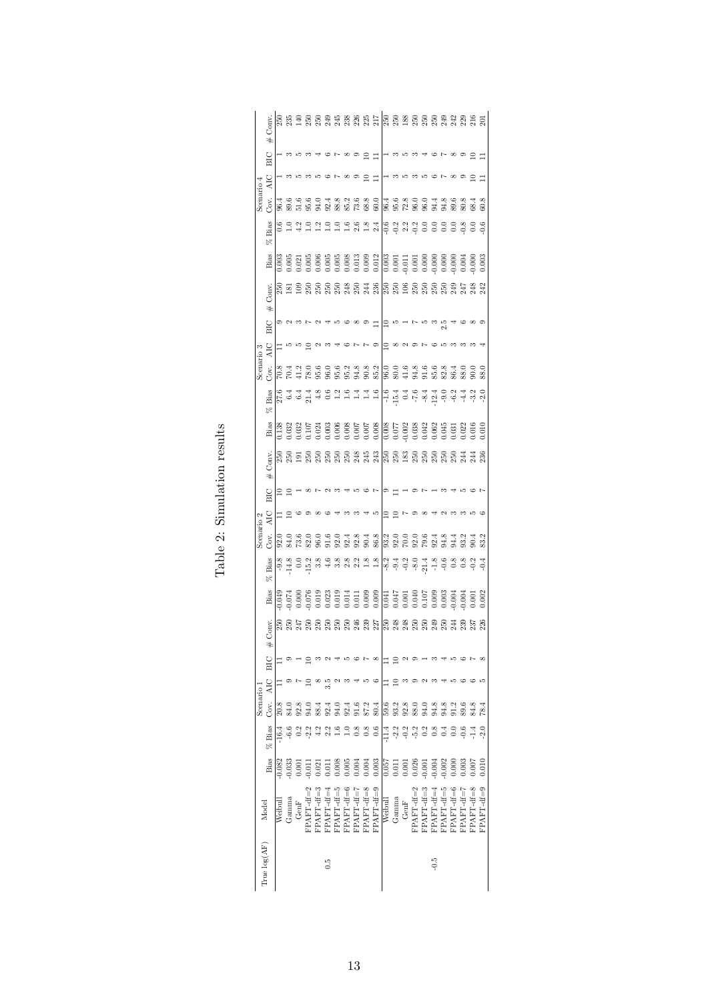<span id="page-12-0"></span>

|            | Conv.<br>#                           |                   |             |                 |                   |                |            |                            |               |                              |            |                                                                                                                                                                                                                                      |                   |                                    |                                                 |              |            |                               |                             |                          |                |            |           |
|------------|--------------------------------------|-------------------|-------------|-----------------|-------------------|----------------|------------|----------------------------|---------------|------------------------------|------------|--------------------------------------------------------------------------------------------------------------------------------------------------------------------------------------------------------------------------------------|-------------------|------------------------------------|-------------------------------------------------|--------------|------------|-------------------------------|-----------------------------|--------------------------|----------------|------------|-----------|
|            | BIC                                  |                   |             |                 |                   |                |            |                            |               |                              | ≘          | 름                                                                                                                                                                                                                                    |                   |                                    |                                                 |              |            |                               |                             |                          |                |            |           |
|            | <b>AIC</b>                           |                   |             |                 |                   |                |            |                            |               |                              |            | $\Box$                                                                                                                                                                                                                               |                   |                                    |                                                 |              |            |                               |                             |                          |                |            | Ξ         |
|            | Scenario 4<br>Cov. AIC               | 96.4              | 89.6        | 51.6            | 95.6              | 0.46           |            | 92.8<br>92.89<br>93.99     |               | 73.6                         | 68.8       | 60.0                                                                                                                                                                                                                                 |                   | $\frac{4}{96.6}$<br>$\frac{6}{28}$ |                                                 |              |            |                               | 0.0<br>9.03<br>9.03<br>9.03 | $\overline{\phantom{0}}$ | 80.8           | 68.4       | 50.8      |
|            | Bias<br>ž.                           |                   |             | $\frac{2}{3}$   |                   | <u>ت</u>       | ≘          | $\frac{1}{1}$              | $\frac{6}{1}$ | 2.6                          | $1.8$      | 2.4                                                                                                                                                                                                                                  |                   |                                    | e a a a e<br>o o a o o                          |              |            | $\overline{0}$ .              | $\overline{0}$ .            | 0.0                      | $\ddot{\circ}$ | $_{0.0}$   | 0.6       |
|            | Bias                                 | $\frac{6}{3}$     |             |                 |                   |                |            |                            |               |                              |            |                                                                                                                                                                                                                                      |                   |                                    |                                                 |              |            |                               |                             |                          |                |            |           |
|            | Conv.<br>$\ddagger$                  | <u>ន្ត្រី</u>     |             | පු              | 250               | 250            | 250        | 250                        | 248           | 250                          | 244        | 236                                                                                                                                                                                                                                  | $\frac{5}{25}$    |                                    | 106                                             | 250          | 250        | 250                           | 250                         | 249                      | 247            | 248        | 242       |
|            | BIC                                  |                   |             |                 |                   |                |            |                            |               |                              |            |                                                                                                                                                                                                                                      | ≘                 |                                    |                                                 |              |            |                               |                             |                          |                |            |           |
|            | AIC                                  |                   | IJ          |                 |                   |                |            |                            |               |                              |            | $\circ$                                                                                                                                                                                                                              | $\Xi$             | $\infty$                           |                                                 |              |            |                               |                             |                          |                |            |           |
| Scenario 3 | Š.                                   | $\overline{70.8}$ | $-10.4$     | 41.2            |                   | $78.0$<br>95.6 |            | 0. 9. 9. 9.<br>9. 9. 9. 9. |               |                              | 90.8       | 85.2                                                                                                                                                                                                                                 | $\overline{96.0}$ |                                    | 0. 9. 9. 9. 9. 9. 9. 9.<br>8. 4. 5. 5. 8. 8. 8. |              |            |                               |                             |                          | 8.0            | 0.06       | 8.0       |
|            | Bias<br>.<br>४९                      |                   |             | $27.4$<br>$6.4$ | 21.4              | 4.8            | 0.6        | $1.3 \n1.6$                |               | $\mathbb{E}$                 | 1.4        | 1.6                                                                                                                                                                                                                                  |                   | -<br>- 1 15 0<br>- 110             |                                                 |              |            | $5, 3, 5, 6$<br>$-7, 8, 2, 6$ |                             | $-6.2$                   | $-4.4$         | $-3.2$     |           |
|            | Bias                                 |                   |             |                 |                   |                |            |                            |               |                              |            |                                                                                                                                                                                                                                      |                   |                                    |                                                 |              |            |                               |                             |                          |                |            |           |
|            | Conv.                                | 250<br>250        |             | 191             | 250               | 250            | 250        | 250                        | 250           | $245$<br>$243$               |            |                                                                                                                                                                                                                                      | $\frac{50}{353}$  |                                    |                                                 | 250          | 250        | 250                           | 250                         | 250                      | 244            | 244        | 236       |
|            | $\ddagger$<br>BIC                    |                   |             |                 |                   |                |            |                            |               |                              |            |                                                                                                                                                                                                                                      |                   |                                    |                                                 |              |            |                               |                             |                          |                |            |           |
|            | AC                                   |                   | ≘           |                 |                   |                |            |                            |               |                              |            | ro                                                                                                                                                                                                                                   | $\Xi$             | $\supseteq$                        |                                                 |              |            |                               |                             |                          |                |            |           |
| Scenario 2 | Ğσ.                                  | $\frac{0}{2}$     | <b>S4.0</b> | 73.6            | $\overline{52.0}$ | $-96.0$        | 9. ц       | 92.0                       | 92.4          | 92.8                         | 90.4       | 86.8                                                                                                                                                                                                                                 | 93.2              | 92.0                               | $\overline{0.0}$                                | 92.0         | 79.6       | 92.4                          | 34.8                        | 71.4                     | 3.2            |            | 83.2      |
|            | Bias<br>×                            |                   | 9.8<br>14.8 | $\frac{1}{2}$   | $15.2$<br>3.8     |                | 4.6        |                            |               | 8 8 9 9 8 9<br>8 9 9 9 9 9 9 |            |                                                                                                                                                                                                                                      |                   |                                    |                                                 |              |            |                               | $-0.6$                      | $_{0.8}$                 | 0.8            | $-0.2$     | $-0.4$    |
|            | Bias                                 |                   |             |                 |                   |                |            |                            |               |                              |            | 99<br>1990 - 1980 - 1980 - 1980 - 1980 - 1980 - 1980 - 1980 - 1980 - 1980 - 1980 - 1980 - 1980 - 1980 - 1980 - 1980<br>1990 - 1980 - 1980 - 1980 - 1980 - 1980 - 1980 - 1980 - 1980 - 1980 - 1980 - 1980 - 1980 - 1980 - 1980 - 1980 |                   |                                    |                                                 |              |            |                               |                             |                          |                |            |           |
|            | Conv.                                | $\frac{50}{250}$  |             | 247             | 250               | 250            | 250        | 250                        | 250           | 246                          | 239        | 227                                                                                                                                                                                                                                  | $\frac{250}{248}$ |                                    | 248                                             | 250          | 250        | 249                           | 250                         | 244                      | 239            | 237        | 226       |
|            | $\#$<br>BIC                          |                   |             |                 |                   |                |            |                            |               |                              |            |                                                                                                                                                                                                                                      |                   |                                    |                                                 |              |            |                               |                             |                          |                |            |           |
|            |                                      |                   |             |                 |                   |                | 3.5        |                            |               |                              |            |                                                                                                                                                                                                                                      |                   |                                    |                                                 |              |            |                               |                             |                          |                |            |           |
| Scenario 1 | Cov. AIC                             | 20.8              | 84.0        | 92.8            | Э4.0              | $-88.4$        | 2.4        | Э4.0                       | 92.4          | э.<br>Г                      | 87.2       | 80.4                                                                                                                                                                                                                                 | 59.6              | 93.2                               | 92.8                                            | 88.0         | 94.0       | 34.8                          | $\overline{4.8}$            | 1.2                      | 89.6           | 84.8       | 78.4      |
|            | % Bias                               | $-16.4$           |             |                 | 2.2               |                | 2.2        |                            |               |                              | 0.8        |                                                                                                                                                                                                                                      | $-11.4$           | $-2.2$                             | $-0.2$                                          | $-5.2$       | 0.2        | 0.8                           | 0.4                         |                          | $-0.6$         | 1.4        | $-2.0$    |
|            | Bias                                 | 0.082             | 0.033       | 0.001           | 0.011             | 0.021          | 0.011      | 0.008                      | 0.005         | 0.004                        | 0.004      | 0.003                                                                                                                                                                                                                                | 0.057             | 0.011                              | 0.001                                           | 0.026        | $-0.001$   | $-0.004$                      | $-0.002$                    | 0.000                    | 0.003          | 0.007      | 0.010     |
| Model      |                                      | Weibull           | Gamma       | GenF            | $FPAFT-df=2$      | FPAFT-df=3     | FPAFT-df=- | FPAFT-df=5                 | $PPAFT-df=0$  | FPAFT-df="                   | FPAFT-df=8 | $FPAFT-df=9$                                                                                                                                                                                                                         | Weibull           | Gamma                              | GenF                                            | $FPAFT-df=2$ | FPAFT-df=3 | $\text{FPAT-df}=\pm$          | FPAFT-df=5                  | FPAFT-df=6               | FPAFT-df=7     | FPAFT-df=8 | PAFT-df=9 |
|            | $\text{True}\ \text{log}(\text{AF})$ |                   |             |                 |                   |                | $\ddot{0}$ |                            |               |                              |            |                                                                                                                                                                                                                                      |                   |                                    |                                                 |              |            | $-5$                          |                             |                          |                |            |           |

Table 2: Simulation results Table 2: Simulation results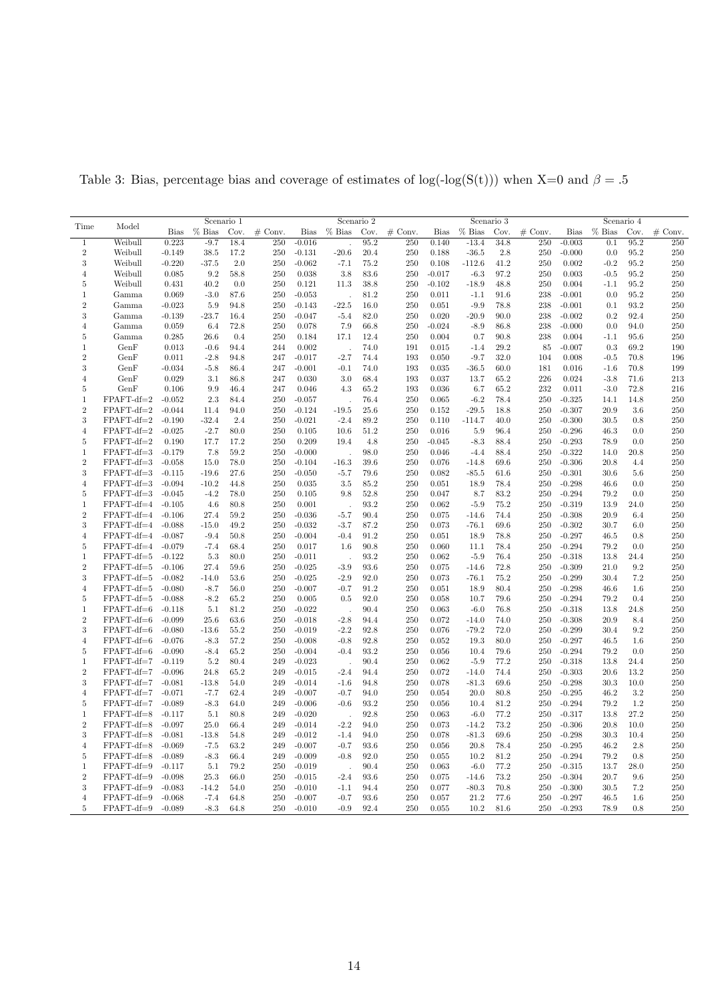|                |                     | Scenario 1  |          |         |           |             | Scenario 2 |          |           | Scenario 3  |          | Scenario 4 |           |                      |          |      |           |
|----------------|---------------------|-------------|----------|---------|-----------|-------------|------------|----------|-----------|-------------|----------|------------|-----------|----------------------|----------|------|-----------|
| Time           | Model               | <b>Bias</b> | $%$ Bias | Cov.    | $#$ Conv. | <b>Bias</b> | $%$ Bias   | Cov.     | $#$ Conv. | <b>Bias</b> | $%$ Bias | Cov.       | $#$ Conv. | Bias                 | $%$ Bias | Cov. | $#$ Conv. |
| 1              | Weibull             | 0.223       | $-9.7$   | 18.4    | 250       | $-0.016$    |            | 95.2     | 250       | 0.140       | $-13.4$  | 34.8       | 250       | $-0.003$             | 0.1      | 95.2 | 250       |
| $\sqrt{2}$     | Weibull             | $-0.149$    | $38.5\,$ | 17.2    | 250       | $-0.131$    | $-20.6$    | 20.4     | 250       | 0.188       | $-36.5$  | 2.8        | 250       | $-0.000$             | 0.0      | 95.2 | 250       |
| 3              | Weibull             | $-0.220$    | $-37.5$  | $2.0\,$ | 250       | $-0.062$    | $-7.1$     | 75.2     | 250       | 0.108       | $-112.6$ | 41.2       | 250       | $\,0.002\,$          | $-0.2$   | 95.2 | 250       |
| $\overline{4}$ | Weibull             | 0.085       | 9.2      | 58.8    | 250       | 0.038       | 3.8        | 83.6     | 250       | $-0.017$    | $-6.3$   | 97.2       | 250       | 0.003                | $-0.5$   | 95.2 | 250       |
| 5              | Weibull             |             | 40.2     | 0.0     |           |             | 11.3       | 38.8     | 250       | $-0.102$    |          | 48.8       |           |                      |          | 95.2 | 250       |
|                |                     | 0.431       |          |         | 250       | 0.121       |            |          |           |             | $-18.9$  |            | 250       | 0.004                | $-1.1$   |      |           |
| 1              | Gamma               | 0.069       | $-3.0$   | 87.6    | 250       | $-0.053$    |            | 81.2     | 250       | 0.011       | $-1.1$   | 91.6       | 238       | $-0.001$             | 0.0      | 95.2 | 250       |
| $\overline{2}$ | Gamma               | $-0.023$    | 5.9      | 94.8    | 250       | $-0.143$    | $-22.5$    | 16.0     | 250       | 0.051       | $-9.9$   | 78.8       | 238       | $-0.001$             | 0.1      | 93.2 | 250       |
| 3              | Gamma               | $-0.139$    | $-23.7$  | 16.4    | 250       | $-0.047$    | $-5.4$     | 82.0     | 250       | 0.020       | $-20.9$  | 90.0       | 238       | $-0.002$             | 0.2      | 92.4 | 250       |
| $\overline{4}$ | Gamma               | 0.059       | 6.4      | 72.8    | 250       | 0.078       | 7.9        | 66.8     | 250       | $-0.024$    | $-8.9$   | 86.8       | 238       | $-0.000$             | 0.0      | 94.0 | 250       |
| 5              | Gamma               | 0.285       | 26.6     | 0.4     | 250       | 0.184       | 17.1       | 12.4     | 250       | 0.004       | 0.7      | 90.8       | 238       | 0.004                | $-1.1$   | 95.6 | 250       |
| 1              | GenF                | 0.013       | $-0.6$   | 94.4    | 244       | 0.002       |            | 74.0     | 191       | 0.015       | $-1.4$   | 29.2       | 85        | $-0.007$             | 0.3      | 69.2 | 190       |
| $\sqrt{2}$     | GenF                | 0.011       | $-2.8$   | 94.8    | 247       | $-0.017$    | $-2.7$     | 74.4     | 193       | 0.050       | $-9.7$   | 32.0       | 104       | 0.008                | $-0.5$   | 70.8 | 196       |
| 3              | GenF                | $-0.034$    | $-5.8$   | 86.4    | 247       | $-0.001$    | $-0.1$     | 74.0     | 193       | 0.035       | $-36.5$  | 60.0       | 181       | 0.016                | $-1.6$   | 70.8 | 199       |
| $\overline{4}$ | GenF                | 0.029       | 3.1      | 86.8    | 247       | 0.030       | 3.0        | 68.4     | 193       | 0.037       | 13.7     | 65.2       | 226       | 0.024                | $-3.8$   | 71.6 | 213       |
| 5              | GenF                | 0.106       | 9.9      | 46.4    | 247       | 0.046       | 4.3        | 65.2     | 193       | 0.036       | 6.7      | 65.2       | 232       | 0.011                | $-3.0$   | 72.8 | 216       |
| 1              | $FPAFT-df=2$        | $-0.052$    | 2.3      | 84.4    | 250       | $-0.057$    |            | 76.4     | 250       | 0.065       | $-6.2$   | 78.4       | 250       | $-0.325$             | 14.1     | 14.8 | 250       |
| $\sqrt{2}$     | $FPAFT-df=2$        | $-0.044$    | 11.4     | 94.0    | 250       | $-0.124$    | $-19.5$    | $25.6\,$ | 250       | 0.152       | $-29.5$  | 18.8       | 250       | $-0.307$             | 20.9     | 3.6  | 250       |
| 3              | $FPAFT-df=2$        | $-0.190$    | $-32.4$  | 2.4     | 250       | $-0.021$    | $-2.4$     | 89.2     | 250       | 0.110       | $-114.7$ | 40.0       | 250       | $-0.300$             | 30.5     | 0.8  | 250       |
| $\overline{4}$ | $FPAFT-df=2$        | $-0.025$    | $-2.7$   | 80.0    | 250       | 0.105       | 10.6       | 51.2     | 250       | 0.016       | 5.9      | 96.4       | 250       | $-0.296$             | 46.3     | 0.0  | 250       |
| 5              | $FPAFT-df=2$        | 0.190       | 17.7     | 17.2    | 250       | 0.209       | 19.4       | 4.8      | 250       | $-0.045$    | $-8.3$   | 88.4       | 250       | $-0.293$             | 78.9     | 0.0  | 250       |
| 1              | FPAFT-df=3          | $-0.179$    | 7.8      | 59.2    | 250       | $-0.000$    |            | 98.0     | 250       | 0.046       | $-4.4$   | 88.4       | 250       | $-0.322$             | 14.0     | 20.8 | 250       |
| $\sqrt{2}$     | $FPAFT-df=3$        | $-0.058$    | 15.0     | 78.0    | 250       | $-0.104$    | $-16.3$    | 39.6     | 250       | 0.076       | $-14.8$  | 69.6       | 250       | $-0.306$             | 20.8     | 4.4  | 250       |
| 3              | $FPAFT-df=3$        | $-0.115$    | $-19.6$  | 27.6    | 250       | $-0.050$    | $-5.7$     | 79.6     | 250       | 0.082       | $-85.5$  | 61.6       | 250       | $-0.301$             | 30.6     | 5.6  | 250       |
| $\overline{4}$ | FPAFT-df=3          | $-0.094$    | $-10.2$  | 44.8    | 250       | 0.035       | 3.5        | 85.2     | 250       | 0.051       | 18.9     | 78.4       | 250       | $-0.298$             | 46.6     | 0.0  | 250       |
| 5              | FPAFT-df=3          | $-0.045$    | $-4.2$   | 78.0    | 250       | 0.105       | 9.8        | 52.8     | 250       | 0.047       | 8.7      | 83.2       | 250       | $-0.294$             | 79.2     | 0.0  | 250       |
| 1              | FPAFT-df=4          | $-0.105$    | 4.6      | 80.8    | 250       | 0.001       |            | 93.2     | 250       | 0.062       | $-5.9$   | 75.2       | 250       | $-0.319$             | 13.9     | 24.0 | 250       |
| $\overline{2}$ | FPAFT-df=4          | $-0.106$    | 27.4     | 59.2    | 250       | $-0.036$    |            | 90.4     | 250       | 0.075       | $-14.6$  | 74.4       | 250       |                      | 20.9     | 6.4  | 250       |
| 3              | FPAFT-df=4          | $-0.088$    | $-15.0$  | 49.2    | 250       | $-0.032$    | $-5.7$     |          | 250       |             |          | 69.6       | 250       | $-0.308$<br>$-0.302$ |          |      | 250       |
|                |                     |             |          |         |           |             | $-3.7$     | 87.2     |           | 0.073       | $-76.1$  |            |           |                      | 30.7     | 6.0  |           |
| $\overline{4}$ | FPAFT-df=4          | $-0.087$    | $-9.4$   | 50.8    | 250       | $-0.004$    | $-0.4$     | 91.2     | 250       | 0.051       | 18.9     | 78.8       | 250       | $-0.297$             | 46.5     | 0.8  | 250       |
| 5              | FPAFT-df=4          | $-0.079$    | $-7.4$   | 68.4    | 250       | 0.017       | 1.6        | 90.8     | 250       | 0.060       | 11.1     | 78.4       | 250       | $-0.294$             | 79.2     | 0.0  | 250       |
| 1              | $FPAFT-df=5$        | $-0.122$    | 5.3      | 80.0    | 250       | $-0.011$    |            | 93.2     | 250       | 0.062       | $-5.9$   | 76.4       | 250       | $-0.318$             | 13.8     | 24.4 | 250       |
| $\overline{2}$ | FPAFT-df=5          | $-0.106$    | 27.4     | 59.6    | 250       | $-0.025$    | $-3.9$     | 93.6     | 250       | 0.075       | $-14.6$  | 72.8       | 250       | $-0.309$             | 21.0     | 9.2  | 250       |
| 3              | FPAFT-df=5          | $-0.082$    | $-14.0$  | 53.6    | 250       | $-0.025$    | $-2.9$     | 92.0     | 250       | 0.073       | $-76.1$  | 75.2       | 250       | $-0.299$             | 30.4     | 7.2  | 250       |
| $\overline{4}$ | FPAFT-df=5          | $-0.080$    | $-8.7$   | 56.0    | 250       | $-0.007$    | $-0.7$     | 91.2     | 250       | 0.051       | 18.9     | 80.4       | 250       | $-0.298$             | 46.6     | 1.6  | 250       |
| 5              | FPAFT-df=5          | $-0.088$    | $-8.2$   | 65.2    | 250       | 0.005       | 0.5        | 92.0     | 250       | 0.058       | 10.7     | 79.6       | 250       | $-0.294$             | 79.2     | 0.4  | 250       |
| $\mathbf{1}$   | FPAFT-df=6          | $-0.118$    | 5.1      | 81.2    | 250       | $-0.022$    |            | 90.4     | 250       | 0.063       | $-6.0$   | 76.8       | 250       | $-0.318$             | 13.8     | 24.8 | 250       |
| $\overline{2}$ | FPAFT-df=6          | $-0.099$    | 25.6     | 63.6    | 250       | $-0.018$    | $-2.8$     | 94.4     | 250       | 0.072       | $-14.0$  | 74.0       | 250       | $-0.308$             | 20.9     | 8.4  | 250       |
| 3              | FPAFT-df=6          | $-0.080$    | $-13.6$  | 55.2    | 250       | $-0.019$    | $-2.2$     | 92.8     | 250       | 0.076       | $-79.2$  | 72.0       | 250       | $-0.299$             | 30.4     | 9.2  | 250       |
| $\overline{4}$ | FPAFT-df=6          | $-0.076$    | $-8.3$   | 57.2    | 250       | $-0.008$    | $-0.8$     | 92.8     | 250       | 0.052       | 19.3     | 80.0       | 250       | $-0.297$             | 46.5     | 1.6  | 250       |
| 5              | FPAFT-df=6          | $-0.090$    | $-8.4$   | 65.2    | 250       | $-0.004$    | $-0.4$     | 93.2     | 250       | 0.056       | 10.4     | 79.6       | 250       | $-0.294$             | 79.2     | 0.0  | 250       |
| 1              | FPAFT-df=7          | $-0.119$    | 5.2      | 80.4    | 249       | $-0.023$    |            | 90.4     | 250       | 0.062       | $-5.9$   | 77.2       | 250       | $-0.318$             | 13.8     | 24.4 | 250       |
| $\overline{2}$ | $FPAFT-df=7$        | $-0.096$    | 24.8     | 65.2    | 249       | $-0.015$    | $-2.4$     | 94.4     | 250       | 0.072       | $-14.0$  | 74.4       | 250       | $-0.303$             | 20.6     | 13.2 | 250       |
| 3              | $FPAFT-df=7 -0.081$ |             | $-13.8$  | 54.0    | 249       | $-0.014$    | $-1.6$     | 94.8     | 250       | 0.078       | $-81.3$  | 69.6       | 250       | $-0.298$             | 30.3     | 10.0 | 250       |
| $\overline{4}$ | $FPAFT-df=7$        | $-0.071$    | $-7.7$   | 62.4    | 249       | $-0.007$    | $-0.7$     | 94.0     | 250       | 0.054       | 20.0     | 80.8       | 250       | $-0.295$             | 46.2     | 3.2  | 250       |
| 5              | FPAFT-df=7          | $-0.089$    | $-8.3$   | 64.0    | 249       | $-0.006$    | $-0.6$     | 93.2     | 250       | 0.056       | 10.4     | 81.2       | 250       | $-0.294$             | 79.2     | 1.2  | 250       |
| 1              | $FPAFT-df=8$        | $-0.117$    | 5.1      | 80.8    | 249       | $-0.020$    |            | 92.8     | 250       | 0.063       | $-6.0$   | 77.2       | 250       | $-0.317$             | 13.8     | 27.2 | 250       |
| $\overline{2}$ | FPAFT-df=8          | $-0.097$    | 25.0     | 66.4    | 249       | $-0.014$    | $-2.2$     | 94.0     | 250       | 0.073       | $-14.2$  | 73.2       | 250       | $-0.306$             | 20.8     | 10.0 | 250       |
| 3              | FPAFT-df=8          | $-0.081$    | $-13.8$  | 54.8    | 249       | $-0.012$    | $-1.4$     | 94.0     | 250       | 0.078       | $-81.3$  | 69.6       | 250       | $-0.298$             | 30.3     | 10.4 | 250       |
| $\overline{4}$ | FPAFT-df=8          | $-0.069$    | $-7.5$   | 63.2    | 249       | $-0.007$    | $-0.7$     | 93.6     | 250       | 0.056       | 20.8     | 78.4       | 250       | $-0.295$             | 46.2     | 2.8  | 250       |
| 5              | FPAFT-df=8          | $-0.089$    | $-8.3$   | 66.4    | 249       | $-0.009$    | $-0.8$     | 92.0     | 250       | 0.055       | 10.2     | 81.2       | 250       | $-0.294$             | 79.2     | 0.8  | 250       |
| 1              | FPAFT-df=9          | $-0.117$    | 5.1      | 79.2    | 250       | $-0.019$    |            | 90.4     | 250       | 0.063       | $-6.0$   | 77.2       | 250       | $-0.315$             | 13.7     | 28.0 | 250       |
| $\overline{2}$ |                     |             |          |         |           |             |            |          |           |             |          |            |           |                      |          |      | 250       |
|                | FPAFT-df=9          | $-0.098$    | 25.3     | 66.0    | 250       | $-0.015$    | $-2.4$     | 93.6     | 250       | 0.075       | $-14.6$  | 73.2       | 250       | $-0.304$             | 20.7     | 9.6  |           |
| 3              | FPAFT-df=9          | $-0.083$    | $-14.2$  | 54.0    | 250       | $-0.010$    | $-1.1$     | 94.4     | 250       | 0.077       | $-80.3$  | 70.8       | 250       | $-0.300$             | 30.5     | 7.2  | 250       |
| $\overline{4}$ | FPAFT-df=9          | $-0.068$    | $-7.4$   | 64.8    | 250       | $-0.007$    | $-0.7$     | 93.6     | 250       | 0.057       | 21.2     | 77.6       | 250       | $-0.297$             | 46.5     | 1.6  | 250       |
| $\overline{5}$ | FPAFT-df=9          | $-0.089$    | $-8.3$   | 64.8    | 250       | $-0.010$    | $-0.9$     | 92.4     | 250       | 0.055       | 10.2     | 81.6       | 250       | $-0.293$             | 78.9     | 0.8  | 250       |

<span id="page-13-0"></span>Table 3: Bias, percentage bias and coverage of estimates of log(-log(S(t))) when X=0 and  $\beta = .5$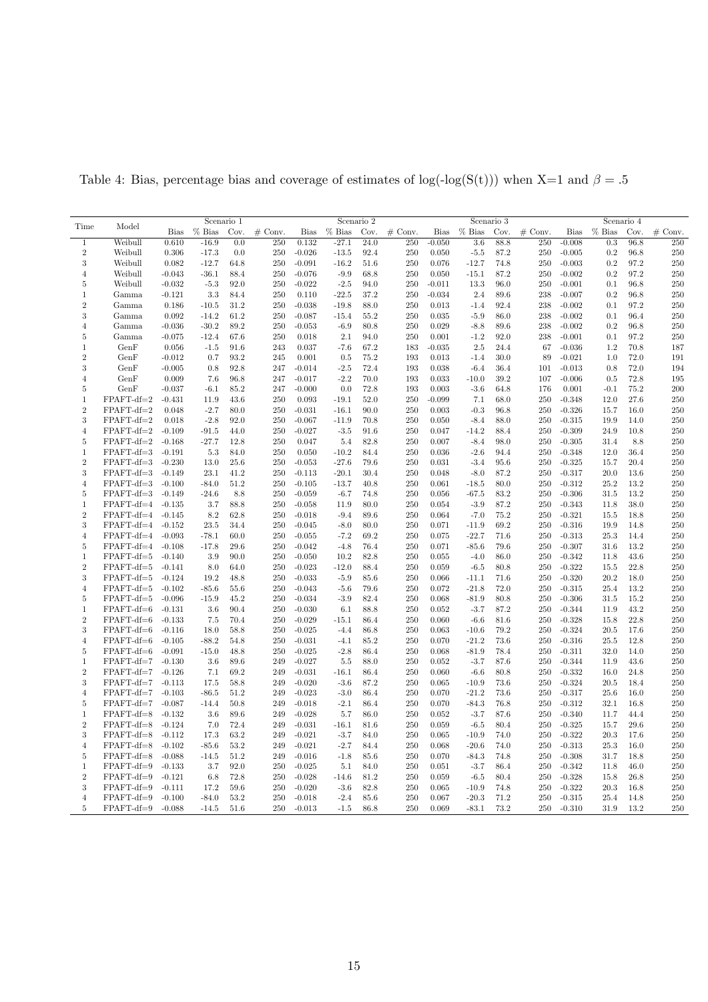|                     |                     | Scenario 1           |          |              |           |             | Scenario 2 |                   | Scenario 3 |                |          |              | Scenario 4 |          |              |              |            |
|---------------------|---------------------|----------------------|----------|--------------|-----------|-------------|------------|-------------------|------------|----------------|----------|--------------|------------|----------|--------------|--------------|------------|
| Time                | Model               | <b>Bias</b>          | $%$ Bias | Cov.         | $#$ Conv. | <b>Bias</b> | $%$ Bias   | Cov.              | $#$ Conv.  | <b>Bias</b>    | $%$ Bias | Cov.         | $#$ Conv.  | Bias     | $%$ Bias     | Cov.         | $#$ Conv.  |
| 1                   | Weibull             | 0.610                | $-16.9$  | 0.0          | 250       | 0.132       | $-27.1$    | $\overline{24.0}$ | 250        | $-0.050$       | 3.6      | 88.8         | 250        | $-0.008$ | 0.3          | 96.8         | 250        |
| $\sqrt{2}$          | Weibull             | 0.306                | $-17.3$  | 0.0          | 250       | $-0.026$    | $-13.5$    | 92.4              | 250        | 0.050          | $-5.5$   | 87.2         | 250        | $-0.005$ | 0.2          | 96.8         | 250        |
| 3                   | Weibull             | 0.082                | $-12.7$  | 64.8         | 250       | $-0.091$    | $-16.2$    | $51.6\,$          | 250        | 0.076          | $-12.7$  | 74.8         | 250        | $-0.003$ | $0.2\,$      | 97.2         | 250        |
| $\overline{4}$      | Weibull             | $-0.043$             | $-36.1$  | 88.4         | 250       | $-0.076$    | $-9.9$     | 68.8              | 250        | 0.050          | $-15.1$  | 87.2         | 250        | $-0.002$ | 0.2          | 97.2         | 250        |
| 5                   | Weibull             | $-0.032$             | $-5.3$   | 92.0         | 250       | $-0.022$    | $-2.5$     | 94.0              | 250        | $-0.011$       | 13.3     | 96.0         | 250        | $-0.001$ | 0.1          | 96.8         | 250        |
| 1                   | Gamma               | $-0.121$             | 3.3      | 84.4         | 250       | 0.110       | $-22.5$    | 37.2              | 250        | $-0.034$       | 2.4      | 89.6         | 238        | $-0.007$ | 0.2          | 96.8         | 250        |
| $\overline{2}$      | Gamma               | 0.186                | $-10.5$  | 31.2         | 250       | $-0.038$    | $-19.8$    | 88.0              | 250        | 0.013          | $-1.4$   | 92.4         | 238        | $-0.002$ | 0.1          | 97.2         | 250        |
| 3                   | Gamma               | 0.092                | $-14.2$  | 61.2         | 250       | $-0.087$    | $-15.4$    | 55.2              | 250        | 0.035          | $-5.9$   | 86.0         | 238        | $-0.002$ | 0.1          | 96.4         | 250        |
| $\overline{4}$      | Gamma               | $-0.036$             | $-30.2$  | 89.2         | 250       | $-0.053$    | $-6.9$     | 80.8              | 250        | 0.029          | $-8.8$   | 89.6         | 238        | $-0.002$ | 0.2          | 96.8         | 250        |
| 5                   | Gamma               | $-0.075$             | $-12.4$  | 67.6         | 250       | 0.018       | 2.1        | 94.0              | 250        | 0.001          | $-1.2$   | 92.0         | 238        | $-0.001$ | 0.1          | 97.2         | 250        |
| 1                   | GenF                | 0.056                | $-1.5$   | 91.6         | 243       | 0.037       | $-7.6$     | 67.2              | 183        | $-0.035$       | 2.5      | 24.4         | 67         | $-0.036$ | 1.2          | 70.8         | 187        |
| $\sqrt{2}$          | GenF                | $-0.012$             | 0.7      | 93.2         | 245       | 0.001       | 0.5        | 75.2              | 193        | 0.013          | $-1.4$   | 30.0         | 89         | $-0.021$ | 1.0          | 72.0         | 191        |
| 3                   | GenF                | $-0.005$             | 0.8      | 92.8         | 247       | $-0.014$    | $-2.5$     | 72.4              | 193        | 0.038          | $-6.4$   | 36.4         | 101        | $-0.013$ | 0.8          | 72.0         | 194        |
| $\overline{4}$      | GenF                | 0.009                | 7.6      | 96.8         | 247       | $-0.017$    | $-2.2$     | 70.0              | 193        | 0.033          | $-10.0$  | 39.2         | 107        | $-0.006$ | 0.5          | 72.8         | 195        |
| 5                   | GenF                | $-0.037$             | $-6.1$   | 85.2         | 247       | $-0.000$    | 0.0        | 72.8              | 193        | 0.003          | $-3.6$   | 64.8         | 176        | 0.001    | $-0.1$       | 75.2         | 200        |
| 1                   | $FPAFT-df=2$        | $-0.431$             | 11.9     | 43.6         | 250       | 0.093       | $-19.1$    | 52.0              | 250        | $-0.099$       | 7.1      | 68.0         | 250        | $-0.348$ | 12.0         | 27.6         | 250        |
| $\sqrt{2}$          | $FPAFT-df=2$        | 0.048                | $-2.7$   | 80.0         | 250       | $-0.031$    | $-16.1$    | 90.0              | 250        | 0.003          | $-0.3$   | 96.8         | 250        | $-0.326$ | 15.7         | 16.0         | 250        |
| 3                   | $FPAFT-df=2$        | 0.018                | $-2.8$   | 92.0         | 250       | $-0.067$    | $-11.9$    | 70.8              | 250        | 0.050          | $-8.4$   | 88.0         | 250        | $-0.315$ | 19.9         | 14.0         | 250        |
| $\overline{4}$      | $FPAFT-df=2$        | $-0.109$             | $-91.5$  | 44.0         | 250       | $-0.027$    | $-3.5$     | 91.6              | 250        |                | $-14.2$  | 88.4         | 250        | $-0.309$ | 24.9         | 10.8         | 250        |
| 5                   | $FPAFT-df=2$        | $-0.168$             | $-27.7$  | 12.8         | 250       | 0.047       | 5.4        | 82.8              | 250        | 0.047<br>0.007 | $-8.4$   | 98.0         | 250        | $-0.305$ | 31.4         | 8.8          | 250        |
|                     | $FPAFT-df=3$        | $-0.191$             | 5.3      | 84.0         | 250       | 0.050       |            | 84.4              | 250        | 0.036          | $-2.6$   | 94.4         | 250        |          | 12.0         | 36.4         | 250        |
| 1<br>$\sqrt{2}$     |                     |                      |          |              |           |             | $-10.2$    |                   |            |                |          |              |            | $-0.348$ |              |              | 250        |
|                     | $FPAFT-df=3$        | $-0.230$             | 13.0     | 25.6         | 250       | $-0.053$    | $-27.6$    | 79.6              | 250        | 0.031          | $-3.4$   | 95.6         | 250        | $-0.325$ | 15.7         | 20.4         |            |
| 3                   | $FPAFT-df=3$        | $-0.149$<br>$-0.100$ | 23.1     | 41.2<br>51.2 | 250       | $-0.113$    | $-20.1$    | 30.4<br>40.8      | 250<br>250 | 0.048<br>0.061 | $-8.0$   | 87.2<br>80.0 | 250        | $-0.317$ | 20.0<br>25.2 | 13.6<br>13.2 | 250<br>250 |
| $\overline{4}$      | $FPAFT-df=3$        |                      | $-84.0$  |              | 250       | $-0.105$    | $-13.7$    |                   |            |                | $-18.5$  |              | 250        | $-0.312$ |              |              |            |
| 5                   | FPAFT-df=3          | $-0.149$             | $-24.6$  | 8.8          | 250       | $-0.059$    | $-6.7$     | 74.8              | 250        | 0.056          | $-67.5$  | 83.2         | 250        | $-0.306$ | 31.5         | 13.2         | 250        |
| 1                   | FPAFT-df=4          | $-0.135$             | 3.7      | 88.8         | 250       | $-0.058$    | 11.9       | 80.0              | 250        | 0.054          | $-3.9$   | 87.2         | 250        | $-0.343$ | 11.8         | 38.0         | 250        |
| $\overline{2}$<br>3 | FPAFT-df=4          | $-0.145$             | 8.2      | 62.8         | 250       | $-0.018$    | $-9.4$     | 89.6<br>80.0      | 250        | 0.064          | $-7.0$   | 75.2<br>69.2 | 250        | $-0.321$ | 15.5         | 18.8         | 250<br>250 |
|                     | FPAFT-df=4          | $-0.152$             | 23.5     | 34.4         | 250       | $-0.045$    | $-8.0$     |                   | 250        | 0.071          | $-11.9$  |              | 250        | $-0.316$ | 19.9         | 14.8         |            |
| $\overline{4}$      | FPAFT-df=4          | $-0.093$             | $-78.1$  | 60.0         | 250       | $-0.055$    | $-7.2$     | 69.2              | 250        | 0.075          | $-22.7$  | 71.6         | 250        | $-0.313$ | 25.3         | 14.4         | 250        |
| 5                   | $FPAFT-df=4$        | $-0.108$             | $-17.8$  | 29.6         | 250       | $-0.042$    | $-4.8$     | 76.4              | 250        | 0.071          | $-85.6$  | 79.6         | 250        | $-0.307$ | 31.6         | 13.2         | 250        |
| 1<br>$\overline{2}$ | $FPAFT-df=5$        | $-0.140$             | 3.9      | 90.0         | 250       | $-0.050$    | 10.2       | 82.8              | 250        | 0.055          | $-4.0$   | 86.0         | 250        | $-0.342$ | 11.8         | 43.6         | 250        |
|                     | FPAFT-df=5          | $-0.141$             | 8.0      | 64.0         | 250       | $-0.023$    | $-12.0$    | 88.4              | 250        | 0.059          | $-6.5$   | 80.8         | 250        | $-0.322$ | 15.5         | 22.8         | 250        |
| 3                   | FPAFT-df=5          | $-0.124$             | 19.2     | 48.8         | 250       | $-0.033$    | $-5.9$     | 85.6              | 250        | 0.066          | $-11.1$  | 71.6         | 250        | $-0.320$ | 20.2         | 18.0         | 250        |
| $\overline{4}$      | FPAFT-df=5          | $-0.102$             | $-85.6$  | 55.6         | 250       | $-0.043$    | $-5.6$     | 79.6              | 250        | 0.072          | $-21.8$  | 72.0         | 250        | $-0.315$ | 25.4         | 13.2         | 250        |
| 5                   | FPAFT-df=5          | $-0.096$             | $-15.9$  | 45.2         | 250       | $-0.034$    | $-3.9$     | 82.4              | 250        | 0.068          | $-81.9$  | 80.8         | 250        | $-0.306$ | 31.5         | 15.2         | 250        |
| $\mathbf{1}$        | FPAFT-df=6          | $-0.131$             | 3.6      | 90.4         | 250       | $-0.030$    | 6.1        | 88.8              | 250        | 0.052          | $-3.7$   | 87.2         | 250        | $-0.344$ | 11.9         | 43.2         | 250        |
| $\overline{2}$      | $FPAFT-df=6$        | $-0.133$             | 7.5      | 70.4         | 250       | $-0.029$    | $-15.1$    | 86.4              | 250        | 0.060          | $-6.6$   | 81.6         | 250        | $-0.328$ | 15.8         | 22.8         | 250        |
| 3                   | FPAFT-df=6          | $-0.116$             | 18.0     | 58.8         | 250       | $-0.025$    | $-4.4$     | 86.8              | 250        | 0.063          | $-10.6$  | 79.2         | 250        | $-0.324$ | 20.5         | 17.6         | 250        |
| $\overline{4}$      | FPAFT-df=6          | $-0.105$             | $-88.2$  | 54.8         | 250       | $-0.031$    | $-4.1$     | 85.2              | 250        | 0.070          | $-21.2$  | 73.6         | 250        | $-0.316$ | 25.5         | 12.8         | 250        |
| 5                   | $FPAFT-df=6$        | $-0.091$             | $-15.0$  | 48.8         | 250       | $-0.025$    | $-2.8$     | 86.4              | 250        | 0.068          | $-81.9$  | 78.4         | 250        | $-0.311$ | 32.0         | 14.0         | 250        |
| 1<br>$\overline{2}$ | $FPAFT-df=7$        | $-0.130$             | 3.6      | 89.6         | 249       | $-0.027$    | 5.5        | 88.0              | 250        | 0.052          | $-3.7$   | 87.6         | 250        | $-0.344$ | 11.9         | 43.6         | 250        |
|                     | $FPAFT-df=7$        | $-0.126$             | 7.1      | 69.2         | 249       | $-0.031$    | $-16.1$    | 86.4              | 250        | 0.060          | $-6.6$   | 80.8         | 250        | $-0.332$ | 16.0         | 24.8         | 250        |
| 3                   | $FPAFT-df=7 -0.113$ |                      | 17.5     | 58.8         | 249       | $-0.020$    | $-3.6$     | 87.2              | 250        | 0.065          | $-10.9$  | 73.6         | 250        | $-0.324$ | 20.5         | 18.4         | 250        |
| $\overline{4}$      | $FPAFT-df=7$        | $-0.103$             | $-86.5$  | 51.2         | 249       | $-0.023$    | $-3.0$     | 86.4              | 250        | 0.070          | $-21.2$  | 73.6         | 250        | $-0.317$ | 25.6         | 16.0         | 250        |
| 5                   | $FPAFT-df=7$        | $-0.087$             | $-14.4$  | 50.8         | 249       | $-0.018$    | $-2.1$     | 86.4              | 250        | 0.070          | $-84.3$  | 76.8         | 250        | $-0.312$ | 32.1         | 16.8         | 250        |
| 1                   | $FPAFT-df=8$        | $-0.132$             | 3.6      | 89.6         | 249       | $-0.028$    | 5.7        | 86.0              | 250        | 0.052          | $-3.7$   | 87.6         | 250        | $-0.340$ | 11.7         | 44.4         | 250        |
| $\overline{2}$      | FPAFT-df=8          | $-0.124$             | 7.0      | 72.4         | 249       | $-0.031$    | $-16.1$    | 81.6              | 250        | 0.059          | $-6.5$   | 80.4         | 250        | $-0.325$ | 15.7         | 29.6         | 250        |
| 3                   | FPAFT-df=8          | $-0.112$             | 17.3     | 63.2         | 249       | $-0.021$    | $-3.7$     | 84.0              | 250        | 0.065          | $-10.9$  | 74.0         | 250        | $-0.322$ | 20.3         | 17.6         | 250        |
| $\overline{4}$      | FPAFT-df=8          | $-0.102$             | $-85.6$  | 53.2         | 249       | $-0.021$    | $-2.7$     | 84.4              | 250        | 0.068          | $-20.6$  | 74.0         | 250        | $-0.313$ | 25.3         | 16.0         | 250        |
| 5                   | FPAFT-df=8          | $-0.088$             | $-14.5$  | 51.2         | 249       | $-0.016$    | $-1.8$     | 85.6              | 250        | 0.070          | $-84.3$  | 74.8         | 250        | $-0.308$ | 31.7         | 18.8         | 250        |
| 1                   | FPAFT-df=9          | $-0.133$             | 3.7      | 92.0         | 250       | $-0.025$    | 5.1        | 84.0              | 250        | 0.051          | $-3.7$   | 86.4         | 250        | $-0.342$ | 11.8         | 46.0         | 250        |
| $\overline{2}$      | FPAFT-df=9          | $-0.121$             | 6.8      | 72.8         | 250       | $-0.028$    | $-14.6$    | 81.2              | 250        | 0.059          | $-6.5$   | 80.4         | 250        | $-0.328$ | 15.8         | 26.8         | 250        |
| 3                   | FPAFT-df=9          | $-0.111$             | 17.2     | 59.6         | 250       | $-0.020$    | $-3.6$     | 82.8              | 250        | 0.065          | $-10.9$  | 74.8         | 250        | $-0.322$ | 20.3         | 16.8         | 250        |
| $\overline{4}$      | FPAFT-df=9          | $-0.100$             | $-84.0$  | 53.2         | 250       | $-0.018$    | $-2.4$     | 85.6              | 250        | 0.067          | $-20.3$  | 71.2         | 250        | $-0.315$ | 25.4         | 14.8         | 250        |
| $\overline{5}$      | $FPAFT-df=9$        | $-0.088$             | $-14.5$  | 51.6         | 250       | $-0.013$    | $-1.5$     | 86.8              | 250        | 0.069          | $-83.1$  | 73.2         | 250        | $-0.310$ | 31.9         | 13.2         | 250        |

Table 4: Bias, percentage bias and coverage of estimates of log(-log(S(t))) when X=1 and  $\beta = .5$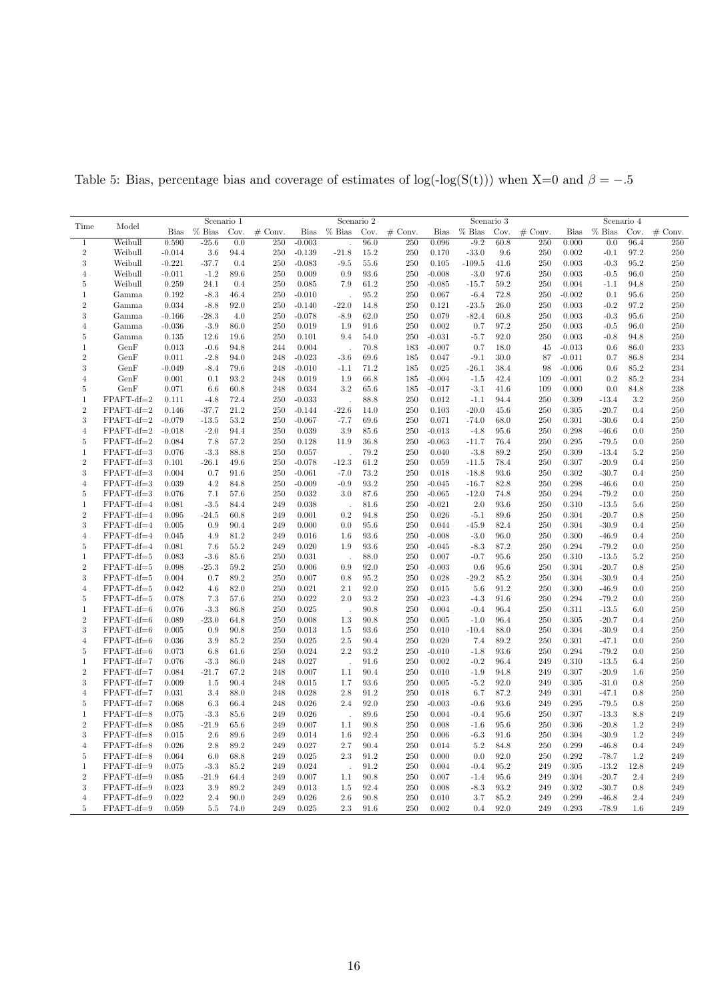| Model<br>Time<br><b>Bias</b><br>$%$ Bias<br>Cov.<br>$#$ Conv.<br><b>Bias</b><br>$%$ Bias<br>Cov.<br>$#$ Conv.<br>$%$ Bias<br>$#$ Conv.<br><b>Bias</b><br>$%$ Bias<br>Cov.<br>$#$ Conv.<br>Bias<br>Cov.<br>Weibull<br>0.590<br>$-25.6$<br>$-0.003$<br>96.0<br>0.096<br>$-9.2$<br>60.8<br>96.4<br>250<br>$\mathbf 1$<br>0.0<br>250<br>250<br>250<br>0.000<br>0.0<br>$\overline{2}$<br>Weibull<br>$-0.014$<br>3.6<br>94.4<br>250<br>$-0.139$<br>$-21.8$<br>15.2<br>250<br>0.170<br>$-33.0$<br>9.6<br>250<br>0.002<br>$-0.1$<br>97.2<br>250<br>0.4<br>3<br>Weibull<br>$-0.221$<br>$-37.7$<br>250<br>$-0.083$<br>$-9.5$<br>55.6<br>250<br>0.105<br>$-109.5$<br>41.6<br>250<br>0.003<br>$-0.3$<br>95.2<br>250<br>$-1.2$<br>89.6<br>93.6<br>$-0.008$<br>97.6<br>Weibull<br>$-0.011$<br>250<br>0.009<br>0.9<br>250<br>$-3.0$<br>250<br>0.003<br>$-0.5$<br>96.0<br>250<br>$\overline{4}$<br>250<br>5<br>Weibull<br>0.259<br>24.1<br>0.4<br>250<br>0.085<br>7.9<br>61.2<br>250<br>$-0.085$<br>$-15.7$<br>59.2<br>250<br>0.004<br>94.8<br>$-1.1$<br>0.192<br>$-8.3$<br>46.4<br>250<br>$-0.010$<br>95.2<br>250<br>0.067<br>72.8<br>250<br>$-0.002$<br>$95.6\,$<br>250<br>1<br>Gamma<br>$-6.4$<br>0.1<br>$\overline{2}$<br>0.034<br>$-8.8$<br>92.0<br>$-0.140$<br>$-22.0$<br>14.8<br>250<br>0.121<br>$-23.5$<br>26.0<br>250<br>0.003<br>$-0.2$<br>97.2<br>250<br>Gamma<br>250<br>62.0<br>$-82.4$<br>60.8<br>250<br>3<br>$-0.166$<br>$-28.3$<br>4.0<br>250<br>$-0.078$<br>$-8.9$<br>250<br>0.079<br>250<br>0.003<br>$-0.3$<br>95.6<br>Gamma<br>250<br>$-0.036$<br>$-3.9$<br>86.0<br>250<br>0.019<br>91.6<br>250<br>0.002<br>0.7<br>97.2<br>250<br>0.003<br>$-0.5$<br>96.0<br>$\overline{4}$<br>Gamma<br>1.9<br>250<br>250<br>250<br>$-0.031$<br>92.0<br>250<br>5<br>Gamma<br>0.135<br>12.6<br>19.6<br>0.101<br>9.4<br>54.0<br>$-5.7$<br>0.003<br>$-0.8$<br>94.8<br>GenF<br>$-0.6$<br>94.8<br>0.004<br>70.8<br>$-0.007$<br>18.0<br>$-0.013$<br>86.0<br>233<br>1<br>0.013<br>244<br>183<br>0.7<br>45<br>0.6<br>$\,2$<br>234<br>GenF<br>0.011<br>$-2.8$<br>94.0<br>248<br>$-0.023$<br>$-3.6$<br>69.6<br>185<br>0.047<br>$-9.1$<br>30.0<br>87<br>$-0.011$<br>0.7<br>86.8<br>79.6<br>71.2<br>38.4<br>$-0.006$<br>85.2<br>234<br>3<br>GenF<br>$-0.049$<br>$-8.4$<br>248<br>$-0.010$<br>$-1.1$<br>185<br>0.025<br>$-26.1$<br>98<br>0.6<br>GenF<br>0.001<br>0.1<br>93.2<br>0.019<br>66.8<br>185<br>$-0.004$<br>42.4<br>$-0.001$<br>0.2<br>85.2<br>234<br>248<br>1.9<br>$-1.5$<br>109<br>4<br>238<br>5<br>GenF<br>60.8<br>3.2<br>65.6<br>185<br>$-0.017$<br>0.071<br>6.6<br>248<br>0.034<br>$-3.1$<br>41.6<br>109<br>0.000<br>0.0<br>84.8<br>250<br>$FPAFT-df=2$<br>0.111<br>$-4.8$<br>72.4<br>250<br>$-0.033$<br>88.8<br>250<br>0.012<br>$-1.1$<br>94.4<br>250<br>0.309<br>$-13.4$<br>3.2<br>1<br>l.<br>$\overline{2}$<br>$FPAFT-df=2$<br>21.2<br>$-20.0$<br>250<br>0.146<br>$-37.7$<br>250<br>$-0.144$<br>$-22.6$<br>14.0<br>250<br>0.103<br>45.6<br>250<br>0.305<br>$-20.7$<br>0.4<br>3<br>$FPAFT-df=2$<br>$-0.079$<br>$-13.5$<br>53.2<br>250<br>$-0.067$<br>$-7.7$<br>69.6<br>250<br>0.071<br>$-74.0$<br>68.0<br>250<br>0.301<br>$-30.6$<br>0.4<br>250<br>$FPAFT-df=2$<br>$-0.018$<br>$-2.0$<br>94.4<br>250<br>3.9<br>85.6<br>250<br>$-0.013$<br>$-4.8$<br>95.6<br>250<br>0.298<br>0.0<br>250<br>$\overline{4}$<br>0.039<br>-46.6<br>$FPAFT-df=2$<br>57.2<br>$36.8\,$<br>250<br>0.295<br>250<br>0.084<br>7.8<br>250<br>0.128<br>11.9<br>250<br>$-0.063$<br>$-11.7$<br>76.4<br>$-79.5$<br>0.0<br>5<br>$\mathbf{1}$<br>$FPAFT-df=3$<br>0.076<br>$-3.3$<br>88.8<br>250<br>0.057<br>79.2<br>250<br>0.040<br>$-3.8$<br>89.2<br>250<br>0.309<br>$-13.4$<br>5.2<br>250<br>$\,2$<br>250<br>$FPAFT-df=3$<br>0.101<br>$-26.1$<br>49.6<br>250<br>$-0.078$<br>$-12.3$<br>61.2<br>250<br>0.059<br>78.4<br>250<br>0.307<br>$-20.9$<br>0.4<br>$-11.5$<br>3<br>$FPAFT-df=3$<br>0.004<br>0.7<br>91.6<br>250<br>$-0.061$<br>73.2<br>250<br>0.018<br>$-18.8$<br>93.6<br>250<br>0.302<br>$-30.7$<br>0.4<br>250<br>$-7.0$<br>FPAFT-df=3<br>0.039<br>4.2<br>84.8<br>$-0.009$<br>$-0.9$<br>93.2<br>$-0.045$<br>82.8<br>250<br>0.298<br>0.0<br>250<br>$\overline{4}$<br>250<br>250<br>$-16.7$<br>$-46.6$<br>$FPAFT-df=3$<br>87.6<br>0.294<br>250<br>5<br>0.076<br>7.1<br>57.6<br>250<br>0.032<br>250<br>$-0.065$<br>$-12.0$<br>74.8<br>250<br>$-79.2$<br>0.0<br>3.0<br>250<br>FPAFT-df=4<br>0.081<br>$-3.5$<br>84.4<br>249<br>81.6<br>250<br>$-0.021$<br>2.0<br>93.6<br>250<br>1<br>0.038<br>0.310<br>-13.5<br>5.6<br>$\,2$<br>FPAFT-df=4<br>0.095<br>$-24.5$<br>60.8<br>249<br>0.001<br>0.2<br>94.8<br>250<br>0.026<br>89.6<br>250<br>0.304<br>$-20.7$<br>0.8<br>250<br>$-5.1$<br>FPAFT-df=4<br>90.4<br>$-30.9$<br>250<br>3<br>0.005<br>0.9<br>249<br>0.000<br>0.0<br>95.6<br>250<br>0.044<br>-45.9<br>82.4<br>250<br>0.304<br>0.4<br>FPAFT-df=4<br>0.045<br>81.2<br>93.6<br>$-0.008$<br>$-3.0$<br>96.0<br>250<br>0.4<br>250<br>$\overline{4}$<br>4.9<br>249<br>0.016<br>250<br>0.300<br>$-46.9$<br>1.6<br>250<br>250<br>FPAFT-df=4<br>0.081<br>55.2<br>249<br>0.020<br>93.6<br>250<br>$-0.045$<br>$-8.3$<br>87.2<br>0.294<br>$-79.2$<br>0.0<br>5<br>7.6<br>1.9<br>FPAFT-df=5<br>0.083<br>$-3.6$<br>85.6<br>88.0<br>0.007<br>$-0.7$<br>95.6<br>250<br>5.2<br>250<br>1<br>250<br>0.031<br>250<br>0.310<br>$-13.5$<br>$\overline{2}$<br>FPAFT-df=5<br>250<br>0.098<br>$-25.3$<br>59.2<br>250<br>0.006<br>0.9<br>92.0<br>250<br>$-0.003$<br>0.6<br>95.6<br>250<br>0.304<br>$-20.7$<br>0.8<br>FPAFT-df=5<br>89.2<br>250<br>$95.2\,$<br>250<br>$-29.2$<br>85.2<br>250<br>$-30.9$<br>250<br>3<br>0.004<br>0.7<br>0.007<br>0.8<br>0.028<br>0.304<br>0.4<br>FPAFT-df=5<br>0.042<br>4.6<br>82.0<br>250<br>0.021<br>2.1<br>92.0<br>250<br>0.015<br>5.6<br>91.2<br>250<br>0.300<br>$-46.9$<br>0.0<br>250<br>$\overline{4}$<br>FPAFT-df=5<br>93.2<br>0.294<br>250<br>5<br>0.078<br>7.3<br>57.6<br>250<br>0.022<br>2.0<br>250<br>$-0.023$<br>$-4.3$<br>91.6<br>250<br>$-79.2$<br>0.0<br>$FPAFT-df=6$<br>250<br>90.8<br>250<br>$-0.4$<br>250<br>250<br>1<br>0.076<br>-3.3<br>86.8<br>0.025<br>0.004<br>96.4<br>0.311<br>$-13.5$<br>6.0<br>$\overline{2}$<br>FPAFT-df=6<br>250<br>250<br>0.089<br>$-23.0$<br>64.8<br>250<br>0.008<br>1.3<br>90.8<br>250<br>0.005<br>$-1.0$<br>96.4<br>0.305<br>$-20.7$<br>0.4<br>3<br>FPAFT-df=6<br>0.005<br>0.9<br>90.8<br>250<br>0.013<br>93.6<br>250<br>0.010<br>$-10.4$<br>88.0<br>250<br>0.304<br>$-30.9$<br>0.4<br>250<br>1.5<br>250<br>FPAFT-df=6<br>0.036<br>3.9<br>85.2<br>250<br>0.025<br>2.5<br>90.4<br>250<br>0.020<br>7.4<br>89.2<br>250<br>0.301<br>$-47.1$<br>0.0<br>$\overline{4}$<br>$FPAFT-df=6$<br>0.073<br>250<br>0.024<br>2.2<br>93.2<br>250<br>$-0.010$<br>93.6<br>250<br>0.294<br>$-79.2$<br>0.0<br>250<br>6.8<br>61.6<br>$-1.8$<br>5<br>FPAFT-df=7<br>$-3.3$<br>86.0<br>91.6<br>250<br>0.002<br>$-0.2$<br>249<br>250<br>1<br>0.076<br>248<br>0.027<br>96.4<br>0.310<br>$-13.5$<br>6.4<br>$\overline{2}$<br>FPAFT-df=7<br>250<br>0.084<br>67.2<br>248<br>0.007<br>90.4<br>250<br>0.010<br>94.8<br>249<br>0.307<br>$-20.9$<br>$-21.7$<br>1.1<br>$-1.9$<br>1.6<br>250<br>3<br>FPAFT-df=7<br>0.009<br>1.5<br>90.4<br>248<br>0.015<br>1.7<br>93.6<br>250<br>0.005<br>$-5.2$<br>92.0<br>249<br>0.305<br>$-31.0$<br>0.8<br>FPAFT-df=7<br>0.031<br>88.0<br>248<br>0.028<br>2.8<br>91.2<br>250<br>0.018<br>87.2<br>249<br>0.301<br>$-47.1$<br>250<br>$\overline{4}$<br>3.4<br>6.7<br>0.8<br>FPAFT-df=7<br>0.068<br>66.4<br>248<br>0.026<br>92.0<br>250<br>$-0.003$<br>93.6<br>249<br>0.295<br>$-79.5$<br>0.8<br>250<br>5<br>6.3<br>2.4<br>$-0.6$<br>89.6<br>249<br>$\mathbf{1}$<br>FPAFT-df=8<br>0.075<br>$-3.3$<br>85.6<br>249<br>0.026<br>250<br>0.004<br>$-0.4$<br>95.6<br>250<br>0.307<br>$-13.3$<br>8.8<br>$\overline{2}$<br>$FPAFT-df=8$<br>250<br>250<br>249<br>0.085<br>$-21.9$<br>65.6<br>249<br>0.007<br>90.8<br>0.008<br>$-1.6$<br>95.6<br>0.306<br>$-20.8$<br>1.2<br>1.1<br>3<br>$FPAFT-df=8$<br>2.6<br>89.6<br>92.4<br>$-30.9$<br>1.2<br>249<br>0.015<br>249<br>0.014<br>1.6<br>250<br>0.006<br>-6.3<br>91.6<br>250<br>0.304<br>$FPAFT-df=8$<br>0.026<br>89.2<br>249<br>0.027<br>2.7<br>90.4<br>250<br>250<br>0.299<br>0.4<br>249<br>$\overline{4}$<br>2.8<br>0.014<br>5.2<br>84.8<br>$-46.8$<br>250<br>1.2<br>249<br>FPAFT-df=8<br>0.064<br>6.0<br>68.8<br>249<br>0.025<br>2.3<br>91.2<br>0.000<br>0.0<br>92.0<br>250<br>0.292<br>$-78.7$<br>5<br>FPAFT-df=9<br>0.075<br>91.2<br>12.8<br>$\mathbf{1}$<br>$-3.3$<br>85.2<br>249<br>0.024<br>250<br>0.004<br>$-0.4$<br>95.2<br>249<br>0.305<br>$-13.2$<br>249<br>$\overline{2}$<br>FPAFT-df=9<br>0.085<br>249<br>0.007<br>90.8<br>250<br>0.007<br>95.6<br>249<br>0.304<br>$-20.7$<br>2.4<br>249<br>$-21.9$<br>64.4<br>1.1<br>$-1.4$<br>3<br>3.9<br>89.2<br>92.4<br>250<br>$-8.3$<br>93.2<br>249<br>$-30.7$<br>249<br>$FPAFT-df=9$<br>0.023<br>249<br>0.013<br>1.5<br>0.008<br>0.302<br>0.8<br>85.2<br>249<br>FPAFT-df=9<br>0.022<br>2.4<br>90.0<br>249<br>0.026<br>2.6<br>90.8<br>250<br>0.010<br>3.7<br>249<br>0.299<br>$-46.8$<br>2.4<br>$\overline{4}$<br>FPAFT-df=9<br>0.059<br>249<br>0.025<br>250<br>0.002<br>92.0<br>249<br>0.293<br>249<br>$\overline{5}$<br>$5.5\,$<br>74.0<br>2.3<br>91.6<br>0.4<br>$-78.9$<br>1.6 |  | Scenario 1 |  |  |  |  | Scenario 2 |  | Scenario 3 | Scenario 4 |  |  |  |  |
|--------------------------------------------------------------------------------------------------------------------------------------------------------------------------------------------------------------------------------------------------------------------------------------------------------------------------------------------------------------------------------------------------------------------------------------------------------------------------------------------------------------------------------------------------------------------------------------------------------------------------------------------------------------------------------------------------------------------------------------------------------------------------------------------------------------------------------------------------------------------------------------------------------------------------------------------------------------------------------------------------------------------------------------------------------------------------------------------------------------------------------------------------------------------------------------------------------------------------------------------------------------------------------------------------------------------------------------------------------------------------------------------------------------------------------------------------------------------------------------------------------------------------------------------------------------------------------------------------------------------------------------------------------------------------------------------------------------------------------------------------------------------------------------------------------------------------------------------------------------------------------------------------------------------------------------------------------------------------------------------------------------------------------------------------------------------------------------------------------------------------------------------------------------------------------------------------------------------------------------------------------------------------------------------------------------------------------------------------------------------------------------------------------------------------------------------------------------------------------------------------------------------------------------------------------------------------------------------------------------------------------------------------------------------------------------------------------------------------------------------------------------------------------------------------------------------------------------------------------------------------------------------------------------------------------------------------------------------------------------------------------------------------------------------------------------------------------------------------------------------------------------------------------------------------------------------------------------------------------------------------------------------------------------------------------------------------------------------------------------------------------------------------------------------------------------------------------------------------------------------------------------------------------------------------------------------------------------------------------------------------------------------------------------------------------------------------------------------------------------------------------------------------------------------------------------------------------------------------------------------------------------------------------------------------------------------------------------------------------------------------------------------------------------------------------------------------------------------------------------------------------------------------------------------------------------------------------------------------------------------------------------------------------------------------------------------------------------------------------------------------------------------------------------------------------------------------------------------------------------------------------------------------------------------------------------------------------------------------------------------------------------------------------------------------------------------------------------------------------------------------------------------------------------------------------------------------------------------------------------------------------------------------------------------------------------------------------------------------------------------------------------------------------------------------------------------------------------------------------------------------------------------------------------------------------------------------------------------------------------------------------------------------------------------------------------------------------------------------------------------------------------------------------------------------------------------------------------------------------------------------------------------------------------------------------------------------------------------------------------------------------------------------------------------------------------------------------------------------------------------------------------------------------------------------------------------------------------------------------------------------------------------------------------------------------------------------------------------------------------------------------------------------------------------------------------------------------------------------------------------------------------------------------------------------------------------------------------------------------------------------------------------------------------------------------------------------------------------------------------------------------------------------------------------------------------------------------------------------------------------------------------------------------------------------------------------------------------------------------------------------------------------------------------------------------------------------------------------------------------------------------------------------------------------------------------------------------------------------------------------------------------------------------------------------------------------------------------------------------------------------------------------------------------------------------------------------------------------------------------------------------------------------------------------------------------------------------------------------------------------------------------------------------------------------------------------------------------------------------------------------------------------------------------------------------------------------------------------------------------------------------------------------------------------------------------------------------------------------------------------------------------------------------------------------------------------------------------------------------------------------------------------------------------------------------------------------------------------------------------------------------------------------------------------------------------------------------------------------------------------------------------------------------------------------------------------------------------------------------------------------------------------------------------------------------------------------------------------------------------------------------------------------------------------------------------------------------------------------------------------------------------------------------------------------------------------------------------------------------------------------------------------------------------------------------------------------------------------------------------------------------------------------------------------------------------------------------------------------------------------------------------------------------------------------------------------------------------------------------------------------------------------------------------------------------------------------------------------------------------------------------------------------------------------------------------------------------------------------------------------------------------------------------------------------------|--|------------|--|--|--|--|------------|--|------------|------------|--|--|--|--|
|                                                                                                                                                                                                                                                                                                                                                                                                                                                                                                                                                                                                                                                                                                                                                                                                                                                                                                                                                                                                                                                                                                                                                                                                                                                                                                                                                                                                                                                                                                                                                                                                                                                                                                                                                                                                                                                                                                                                                                                                                                                                                                                                                                                                                                                                                                                                                                                                                                                                                                                                                                                                                                                                                                                                                                                                                                                                                                                                                                                                                                                                                                                                                                                                                                                                                                                                                                                                                                                                                                                                                                                                                                                                                                                                                                                                                                                                                                                                                                                                                                                                                                                                                                                                                                                                                                                                                                                                                                                                                                                                                                                                                                                                                                                                                                                                                                                                                                                                                                                                                                                                                                                                                                                                                                                                                                                                                                                                                                                                                                                                                                                                                                                                                                                                                                                                                                                                                                                                                                                                                                                                                                                                                                                                                                                                                                                                                                                                                                                                                                                                                                                                                                                                                                                                                                                                                                                                                                                                                                                                                                                                                                                                                                                                                                                                                                                                                                                                                                                                                                                                                                                                                                                                                                                                                                                                                                                                                                                                                                                                                                                                                                                                                                                                                                                                                                                                                                                                                                                                                                                                                                                                                                                                                                                                                                                                                                                                                                                                                                                                                                                                                                                                                                                |  |            |  |  |  |  |            |  |            |            |  |  |  |  |
|                                                                                                                                                                                                                                                                                                                                                                                                                                                                                                                                                                                                                                                                                                                                                                                                                                                                                                                                                                                                                                                                                                                                                                                                                                                                                                                                                                                                                                                                                                                                                                                                                                                                                                                                                                                                                                                                                                                                                                                                                                                                                                                                                                                                                                                                                                                                                                                                                                                                                                                                                                                                                                                                                                                                                                                                                                                                                                                                                                                                                                                                                                                                                                                                                                                                                                                                                                                                                                                                                                                                                                                                                                                                                                                                                                                                                                                                                                                                                                                                                                                                                                                                                                                                                                                                                                                                                                                                                                                                                                                                                                                                                                                                                                                                                                                                                                                                                                                                                                                                                                                                                                                                                                                                                                                                                                                                                                                                                                                                                                                                                                                                                                                                                                                                                                                                                                                                                                                                                                                                                                                                                                                                                                                                                                                                                                                                                                                                                                                                                                                                                                                                                                                                                                                                                                                                                                                                                                                                                                                                                                                                                                                                                                                                                                                                                                                                                                                                                                                                                                                                                                                                                                                                                                                                                                                                                                                                                                                                                                                                                                                                                                                                                                                                                                                                                                                                                                                                                                                                                                                                                                                                                                                                                                                                                                                                                                                                                                                                                                                                                                                                                                                                                                                |  |            |  |  |  |  |            |  |            |            |  |  |  |  |
|                                                                                                                                                                                                                                                                                                                                                                                                                                                                                                                                                                                                                                                                                                                                                                                                                                                                                                                                                                                                                                                                                                                                                                                                                                                                                                                                                                                                                                                                                                                                                                                                                                                                                                                                                                                                                                                                                                                                                                                                                                                                                                                                                                                                                                                                                                                                                                                                                                                                                                                                                                                                                                                                                                                                                                                                                                                                                                                                                                                                                                                                                                                                                                                                                                                                                                                                                                                                                                                                                                                                                                                                                                                                                                                                                                                                                                                                                                                                                                                                                                                                                                                                                                                                                                                                                                                                                                                                                                                                                                                                                                                                                                                                                                                                                                                                                                                                                                                                                                                                                                                                                                                                                                                                                                                                                                                                                                                                                                                                                                                                                                                                                                                                                                                                                                                                                                                                                                                                                                                                                                                                                                                                                                                                                                                                                                                                                                                                                                                                                                                                                                                                                                                                                                                                                                                                                                                                                                                                                                                                                                                                                                                                                                                                                                                                                                                                                                                                                                                                                                                                                                                                                                                                                                                                                                                                                                                                                                                                                                                                                                                                                                                                                                                                                                                                                                                                                                                                                                                                                                                                                                                                                                                                                                                                                                                                                                                                                                                                                                                                                                                                                                                                                                                |  |            |  |  |  |  |            |  |            |            |  |  |  |  |
|                                                                                                                                                                                                                                                                                                                                                                                                                                                                                                                                                                                                                                                                                                                                                                                                                                                                                                                                                                                                                                                                                                                                                                                                                                                                                                                                                                                                                                                                                                                                                                                                                                                                                                                                                                                                                                                                                                                                                                                                                                                                                                                                                                                                                                                                                                                                                                                                                                                                                                                                                                                                                                                                                                                                                                                                                                                                                                                                                                                                                                                                                                                                                                                                                                                                                                                                                                                                                                                                                                                                                                                                                                                                                                                                                                                                                                                                                                                                                                                                                                                                                                                                                                                                                                                                                                                                                                                                                                                                                                                                                                                                                                                                                                                                                                                                                                                                                                                                                                                                                                                                                                                                                                                                                                                                                                                                                                                                                                                                                                                                                                                                                                                                                                                                                                                                                                                                                                                                                                                                                                                                                                                                                                                                                                                                                                                                                                                                                                                                                                                                                                                                                                                                                                                                                                                                                                                                                                                                                                                                                                                                                                                                                                                                                                                                                                                                                                                                                                                                                                                                                                                                                                                                                                                                                                                                                                                                                                                                                                                                                                                                                                                                                                                                                                                                                                                                                                                                                                                                                                                                                                                                                                                                                                                                                                                                                                                                                                                                                                                                                                                                                                                                                                                |  |            |  |  |  |  |            |  |            |            |  |  |  |  |
|                                                                                                                                                                                                                                                                                                                                                                                                                                                                                                                                                                                                                                                                                                                                                                                                                                                                                                                                                                                                                                                                                                                                                                                                                                                                                                                                                                                                                                                                                                                                                                                                                                                                                                                                                                                                                                                                                                                                                                                                                                                                                                                                                                                                                                                                                                                                                                                                                                                                                                                                                                                                                                                                                                                                                                                                                                                                                                                                                                                                                                                                                                                                                                                                                                                                                                                                                                                                                                                                                                                                                                                                                                                                                                                                                                                                                                                                                                                                                                                                                                                                                                                                                                                                                                                                                                                                                                                                                                                                                                                                                                                                                                                                                                                                                                                                                                                                                                                                                                                                                                                                                                                                                                                                                                                                                                                                                                                                                                                                                                                                                                                                                                                                                                                                                                                                                                                                                                                                                                                                                                                                                                                                                                                                                                                                                                                                                                                                                                                                                                                                                                                                                                                                                                                                                                                                                                                                                                                                                                                                                                                                                                                                                                                                                                                                                                                                                                                                                                                                                                                                                                                                                                                                                                                                                                                                                                                                                                                                                                                                                                                                                                                                                                                                                                                                                                                                                                                                                                                                                                                                                                                                                                                                                                                                                                                                                                                                                                                                                                                                                                                                                                                                                                                |  |            |  |  |  |  |            |  |            |            |  |  |  |  |
|                                                                                                                                                                                                                                                                                                                                                                                                                                                                                                                                                                                                                                                                                                                                                                                                                                                                                                                                                                                                                                                                                                                                                                                                                                                                                                                                                                                                                                                                                                                                                                                                                                                                                                                                                                                                                                                                                                                                                                                                                                                                                                                                                                                                                                                                                                                                                                                                                                                                                                                                                                                                                                                                                                                                                                                                                                                                                                                                                                                                                                                                                                                                                                                                                                                                                                                                                                                                                                                                                                                                                                                                                                                                                                                                                                                                                                                                                                                                                                                                                                                                                                                                                                                                                                                                                                                                                                                                                                                                                                                                                                                                                                                                                                                                                                                                                                                                                                                                                                                                                                                                                                                                                                                                                                                                                                                                                                                                                                                                                                                                                                                                                                                                                                                                                                                                                                                                                                                                                                                                                                                                                                                                                                                                                                                                                                                                                                                                                                                                                                                                                                                                                                                                                                                                                                                                                                                                                                                                                                                                                                                                                                                                                                                                                                                                                                                                                                                                                                                                                                                                                                                                                                                                                                                                                                                                                                                                                                                                                                                                                                                                                                                                                                                                                                                                                                                                                                                                                                                                                                                                                                                                                                                                                                                                                                                                                                                                                                                                                                                                                                                                                                                                                                                |  |            |  |  |  |  |            |  |            |            |  |  |  |  |
|                                                                                                                                                                                                                                                                                                                                                                                                                                                                                                                                                                                                                                                                                                                                                                                                                                                                                                                                                                                                                                                                                                                                                                                                                                                                                                                                                                                                                                                                                                                                                                                                                                                                                                                                                                                                                                                                                                                                                                                                                                                                                                                                                                                                                                                                                                                                                                                                                                                                                                                                                                                                                                                                                                                                                                                                                                                                                                                                                                                                                                                                                                                                                                                                                                                                                                                                                                                                                                                                                                                                                                                                                                                                                                                                                                                                                                                                                                                                                                                                                                                                                                                                                                                                                                                                                                                                                                                                                                                                                                                                                                                                                                                                                                                                                                                                                                                                                                                                                                                                                                                                                                                                                                                                                                                                                                                                                                                                                                                                                                                                                                                                                                                                                                                                                                                                                                                                                                                                                                                                                                                                                                                                                                                                                                                                                                                                                                                                                                                                                                                                                                                                                                                                                                                                                                                                                                                                                                                                                                                                                                                                                                                                                                                                                                                                                                                                                                                                                                                                                                                                                                                                                                                                                                                                                                                                                                                                                                                                                                                                                                                                                                                                                                                                                                                                                                                                                                                                                                                                                                                                                                                                                                                                                                                                                                                                                                                                                                                                                                                                                                                                                                                                                                                |  |            |  |  |  |  |            |  |            |            |  |  |  |  |
|                                                                                                                                                                                                                                                                                                                                                                                                                                                                                                                                                                                                                                                                                                                                                                                                                                                                                                                                                                                                                                                                                                                                                                                                                                                                                                                                                                                                                                                                                                                                                                                                                                                                                                                                                                                                                                                                                                                                                                                                                                                                                                                                                                                                                                                                                                                                                                                                                                                                                                                                                                                                                                                                                                                                                                                                                                                                                                                                                                                                                                                                                                                                                                                                                                                                                                                                                                                                                                                                                                                                                                                                                                                                                                                                                                                                                                                                                                                                                                                                                                                                                                                                                                                                                                                                                                                                                                                                                                                                                                                                                                                                                                                                                                                                                                                                                                                                                                                                                                                                                                                                                                                                                                                                                                                                                                                                                                                                                                                                                                                                                                                                                                                                                                                                                                                                                                                                                                                                                                                                                                                                                                                                                                                                                                                                                                                                                                                                                                                                                                                                                                                                                                                                                                                                                                                                                                                                                                                                                                                                                                                                                                                                                                                                                                                                                                                                                                                                                                                                                                                                                                                                                                                                                                                                                                                                                                                                                                                                                                                                                                                                                                                                                                                                                                                                                                                                                                                                                                                                                                                                                                                                                                                                                                                                                                                                                                                                                                                                                                                                                                                                                                                                                                                |  |            |  |  |  |  |            |  |            |            |  |  |  |  |
|                                                                                                                                                                                                                                                                                                                                                                                                                                                                                                                                                                                                                                                                                                                                                                                                                                                                                                                                                                                                                                                                                                                                                                                                                                                                                                                                                                                                                                                                                                                                                                                                                                                                                                                                                                                                                                                                                                                                                                                                                                                                                                                                                                                                                                                                                                                                                                                                                                                                                                                                                                                                                                                                                                                                                                                                                                                                                                                                                                                                                                                                                                                                                                                                                                                                                                                                                                                                                                                                                                                                                                                                                                                                                                                                                                                                                                                                                                                                                                                                                                                                                                                                                                                                                                                                                                                                                                                                                                                                                                                                                                                                                                                                                                                                                                                                                                                                                                                                                                                                                                                                                                                                                                                                                                                                                                                                                                                                                                                                                                                                                                                                                                                                                                                                                                                                                                                                                                                                                                                                                                                                                                                                                                                                                                                                                                                                                                                                                                                                                                                                                                                                                                                                                                                                                                                                                                                                                                                                                                                                                                                                                                                                                                                                                                                                                                                                                                                                                                                                                                                                                                                                                                                                                                                                                                                                                                                                                                                                                                                                                                                                                                                                                                                                                                                                                                                                                                                                                                                                                                                                                                                                                                                                                                                                                                                                                                                                                                                                                                                                                                                                                                                                                                                |  |            |  |  |  |  |            |  |            |            |  |  |  |  |
|                                                                                                                                                                                                                                                                                                                                                                                                                                                                                                                                                                                                                                                                                                                                                                                                                                                                                                                                                                                                                                                                                                                                                                                                                                                                                                                                                                                                                                                                                                                                                                                                                                                                                                                                                                                                                                                                                                                                                                                                                                                                                                                                                                                                                                                                                                                                                                                                                                                                                                                                                                                                                                                                                                                                                                                                                                                                                                                                                                                                                                                                                                                                                                                                                                                                                                                                                                                                                                                                                                                                                                                                                                                                                                                                                                                                                                                                                                                                                                                                                                                                                                                                                                                                                                                                                                                                                                                                                                                                                                                                                                                                                                                                                                                                                                                                                                                                                                                                                                                                                                                                                                                                                                                                                                                                                                                                                                                                                                                                                                                                                                                                                                                                                                                                                                                                                                                                                                                                                                                                                                                                                                                                                                                                                                                                                                                                                                                                                                                                                                                                                                                                                                                                                                                                                                                                                                                                                                                                                                                                                                                                                                                                                                                                                                                                                                                                                                                                                                                                                                                                                                                                                                                                                                                                                                                                                                                                                                                                                                                                                                                                                                                                                                                                                                                                                                                                                                                                                                                                                                                                                                                                                                                                                                                                                                                                                                                                                                                                                                                                                                                                                                                                                                                |  |            |  |  |  |  |            |  |            |            |  |  |  |  |
|                                                                                                                                                                                                                                                                                                                                                                                                                                                                                                                                                                                                                                                                                                                                                                                                                                                                                                                                                                                                                                                                                                                                                                                                                                                                                                                                                                                                                                                                                                                                                                                                                                                                                                                                                                                                                                                                                                                                                                                                                                                                                                                                                                                                                                                                                                                                                                                                                                                                                                                                                                                                                                                                                                                                                                                                                                                                                                                                                                                                                                                                                                                                                                                                                                                                                                                                                                                                                                                                                                                                                                                                                                                                                                                                                                                                                                                                                                                                                                                                                                                                                                                                                                                                                                                                                                                                                                                                                                                                                                                                                                                                                                                                                                                                                                                                                                                                                                                                                                                                                                                                                                                                                                                                                                                                                                                                                                                                                                                                                                                                                                                                                                                                                                                                                                                                                                                                                                                                                                                                                                                                                                                                                                                                                                                                                                                                                                                                                                                                                                                                                                                                                                                                                                                                                                                                                                                                                                                                                                                                                                                                                                                                                                                                                                                                                                                                                                                                                                                                                                                                                                                                                                                                                                                                                                                                                                                                                                                                                                                                                                                                                                                                                                                                                                                                                                                                                                                                                                                                                                                                                                                                                                                                                                                                                                                                                                                                                                                                                                                                                                                                                                                                                                                |  |            |  |  |  |  |            |  |            |            |  |  |  |  |
|                                                                                                                                                                                                                                                                                                                                                                                                                                                                                                                                                                                                                                                                                                                                                                                                                                                                                                                                                                                                                                                                                                                                                                                                                                                                                                                                                                                                                                                                                                                                                                                                                                                                                                                                                                                                                                                                                                                                                                                                                                                                                                                                                                                                                                                                                                                                                                                                                                                                                                                                                                                                                                                                                                                                                                                                                                                                                                                                                                                                                                                                                                                                                                                                                                                                                                                                                                                                                                                                                                                                                                                                                                                                                                                                                                                                                                                                                                                                                                                                                                                                                                                                                                                                                                                                                                                                                                                                                                                                                                                                                                                                                                                                                                                                                                                                                                                                                                                                                                                                                                                                                                                                                                                                                                                                                                                                                                                                                                                                                                                                                                                                                                                                                                                                                                                                                                                                                                                                                                                                                                                                                                                                                                                                                                                                                                                                                                                                                                                                                                                                                                                                                                                                                                                                                                                                                                                                                                                                                                                                                                                                                                                                                                                                                                                                                                                                                                                                                                                                                                                                                                                                                                                                                                                                                                                                                                                                                                                                                                                                                                                                                                                                                                                                                                                                                                                                                                                                                                                                                                                                                                                                                                                                                                                                                                                                                                                                                                                                                                                                                                                                                                                                                                                |  |            |  |  |  |  |            |  |            |            |  |  |  |  |
|                                                                                                                                                                                                                                                                                                                                                                                                                                                                                                                                                                                                                                                                                                                                                                                                                                                                                                                                                                                                                                                                                                                                                                                                                                                                                                                                                                                                                                                                                                                                                                                                                                                                                                                                                                                                                                                                                                                                                                                                                                                                                                                                                                                                                                                                                                                                                                                                                                                                                                                                                                                                                                                                                                                                                                                                                                                                                                                                                                                                                                                                                                                                                                                                                                                                                                                                                                                                                                                                                                                                                                                                                                                                                                                                                                                                                                                                                                                                                                                                                                                                                                                                                                                                                                                                                                                                                                                                                                                                                                                                                                                                                                                                                                                                                                                                                                                                                                                                                                                                                                                                                                                                                                                                                                                                                                                                                                                                                                                                                                                                                                                                                                                                                                                                                                                                                                                                                                                                                                                                                                                                                                                                                                                                                                                                                                                                                                                                                                                                                                                                                                                                                                                                                                                                                                                                                                                                                                                                                                                                                                                                                                                                                                                                                                                                                                                                                                                                                                                                                                                                                                                                                                                                                                                                                                                                                                                                                                                                                                                                                                                                                                                                                                                                                                                                                                                                                                                                                                                                                                                                                                                                                                                                                                                                                                                                                                                                                                                                                                                                                                                                                                                                                                                |  |            |  |  |  |  |            |  |            |            |  |  |  |  |
|                                                                                                                                                                                                                                                                                                                                                                                                                                                                                                                                                                                                                                                                                                                                                                                                                                                                                                                                                                                                                                                                                                                                                                                                                                                                                                                                                                                                                                                                                                                                                                                                                                                                                                                                                                                                                                                                                                                                                                                                                                                                                                                                                                                                                                                                                                                                                                                                                                                                                                                                                                                                                                                                                                                                                                                                                                                                                                                                                                                                                                                                                                                                                                                                                                                                                                                                                                                                                                                                                                                                                                                                                                                                                                                                                                                                                                                                                                                                                                                                                                                                                                                                                                                                                                                                                                                                                                                                                                                                                                                                                                                                                                                                                                                                                                                                                                                                                                                                                                                                                                                                                                                                                                                                                                                                                                                                                                                                                                                                                                                                                                                                                                                                                                                                                                                                                                                                                                                                                                                                                                                                                                                                                                                                                                                                                                                                                                                                                                                                                                                                                                                                                                                                                                                                                                                                                                                                                                                                                                                                                                                                                                                                                                                                                                                                                                                                                                                                                                                                                                                                                                                                                                                                                                                                                                                                                                                                                                                                                                                                                                                                                                                                                                                                                                                                                                                                                                                                                                                                                                                                                                                                                                                                                                                                                                                                                                                                                                                                                                                                                                                                                                                                                                                |  |            |  |  |  |  |            |  |            |            |  |  |  |  |
|                                                                                                                                                                                                                                                                                                                                                                                                                                                                                                                                                                                                                                                                                                                                                                                                                                                                                                                                                                                                                                                                                                                                                                                                                                                                                                                                                                                                                                                                                                                                                                                                                                                                                                                                                                                                                                                                                                                                                                                                                                                                                                                                                                                                                                                                                                                                                                                                                                                                                                                                                                                                                                                                                                                                                                                                                                                                                                                                                                                                                                                                                                                                                                                                                                                                                                                                                                                                                                                                                                                                                                                                                                                                                                                                                                                                                                                                                                                                                                                                                                                                                                                                                                                                                                                                                                                                                                                                                                                                                                                                                                                                                                                                                                                                                                                                                                                                                                                                                                                                                                                                                                                                                                                                                                                                                                                                                                                                                                                                                                                                                                                                                                                                                                                                                                                                                                                                                                                                                                                                                                                                                                                                                                                                                                                                                                                                                                                                                                                                                                                                                                                                                                                                                                                                                                                                                                                                                                                                                                                                                                                                                                                                                                                                                                                                                                                                                                                                                                                                                                                                                                                                                                                                                                                                                                                                                                                                                                                                                                                                                                                                                                                                                                                                                                                                                                                                                                                                                                                                                                                                                                                                                                                                                                                                                                                                                                                                                                                                                                                                                                                                                                                                                                                |  |            |  |  |  |  |            |  |            |            |  |  |  |  |
|                                                                                                                                                                                                                                                                                                                                                                                                                                                                                                                                                                                                                                                                                                                                                                                                                                                                                                                                                                                                                                                                                                                                                                                                                                                                                                                                                                                                                                                                                                                                                                                                                                                                                                                                                                                                                                                                                                                                                                                                                                                                                                                                                                                                                                                                                                                                                                                                                                                                                                                                                                                                                                                                                                                                                                                                                                                                                                                                                                                                                                                                                                                                                                                                                                                                                                                                                                                                                                                                                                                                                                                                                                                                                                                                                                                                                                                                                                                                                                                                                                                                                                                                                                                                                                                                                                                                                                                                                                                                                                                                                                                                                                                                                                                                                                                                                                                                                                                                                                                                                                                                                                                                                                                                                                                                                                                                                                                                                                                                                                                                                                                                                                                                                                                                                                                                                                                                                                                                                                                                                                                                                                                                                                                                                                                                                                                                                                                                                                                                                                                                                                                                                                                                                                                                                                                                                                                                                                                                                                                                                                                                                                                                                                                                                                                                                                                                                                                                                                                                                                                                                                                                                                                                                                                                                                                                                                                                                                                                                                                                                                                                                                                                                                                                                                                                                                                                                                                                                                                                                                                                                                                                                                                                                                                                                                                                                                                                                                                                                                                                                                                                                                                                                                                |  |            |  |  |  |  |            |  |            |            |  |  |  |  |
|                                                                                                                                                                                                                                                                                                                                                                                                                                                                                                                                                                                                                                                                                                                                                                                                                                                                                                                                                                                                                                                                                                                                                                                                                                                                                                                                                                                                                                                                                                                                                                                                                                                                                                                                                                                                                                                                                                                                                                                                                                                                                                                                                                                                                                                                                                                                                                                                                                                                                                                                                                                                                                                                                                                                                                                                                                                                                                                                                                                                                                                                                                                                                                                                                                                                                                                                                                                                                                                                                                                                                                                                                                                                                                                                                                                                                                                                                                                                                                                                                                                                                                                                                                                                                                                                                                                                                                                                                                                                                                                                                                                                                                                                                                                                                                                                                                                                                                                                                                                                                                                                                                                                                                                                                                                                                                                                                                                                                                                                                                                                                                                                                                                                                                                                                                                                                                                                                                                                                                                                                                                                                                                                                                                                                                                                                                                                                                                                                                                                                                                                                                                                                                                                                                                                                                                                                                                                                                                                                                                                                                                                                                                                                                                                                                                                                                                                                                                                                                                                                                                                                                                                                                                                                                                                                                                                                                                                                                                                                                                                                                                                                                                                                                                                                                                                                                                                                                                                                                                                                                                                                                                                                                                                                                                                                                                                                                                                                                                                                                                                                                                                                                                                                                                |  |            |  |  |  |  |            |  |            |            |  |  |  |  |
|                                                                                                                                                                                                                                                                                                                                                                                                                                                                                                                                                                                                                                                                                                                                                                                                                                                                                                                                                                                                                                                                                                                                                                                                                                                                                                                                                                                                                                                                                                                                                                                                                                                                                                                                                                                                                                                                                                                                                                                                                                                                                                                                                                                                                                                                                                                                                                                                                                                                                                                                                                                                                                                                                                                                                                                                                                                                                                                                                                                                                                                                                                                                                                                                                                                                                                                                                                                                                                                                                                                                                                                                                                                                                                                                                                                                                                                                                                                                                                                                                                                                                                                                                                                                                                                                                                                                                                                                                                                                                                                                                                                                                                                                                                                                                                                                                                                                                                                                                                                                                                                                                                                                                                                                                                                                                                                                                                                                                                                                                                                                                                                                                                                                                                                                                                                                                                                                                                                                                                                                                                                                                                                                                                                                                                                                                                                                                                                                                                                                                                                                                                                                                                                                                                                                                                                                                                                                                                                                                                                                                                                                                                                                                                                                                                                                                                                                                                                                                                                                                                                                                                                                                                                                                                                                                                                                                                                                                                                                                                                                                                                                                                                                                                                                                                                                                                                                                                                                                                                                                                                                                                                                                                                                                                                                                                                                                                                                                                                                                                                                                                                                                                                                                                                |  |            |  |  |  |  |            |  |            |            |  |  |  |  |
|                                                                                                                                                                                                                                                                                                                                                                                                                                                                                                                                                                                                                                                                                                                                                                                                                                                                                                                                                                                                                                                                                                                                                                                                                                                                                                                                                                                                                                                                                                                                                                                                                                                                                                                                                                                                                                                                                                                                                                                                                                                                                                                                                                                                                                                                                                                                                                                                                                                                                                                                                                                                                                                                                                                                                                                                                                                                                                                                                                                                                                                                                                                                                                                                                                                                                                                                                                                                                                                                                                                                                                                                                                                                                                                                                                                                                                                                                                                                                                                                                                                                                                                                                                                                                                                                                                                                                                                                                                                                                                                                                                                                                                                                                                                                                                                                                                                                                                                                                                                                                                                                                                                                                                                                                                                                                                                                                                                                                                                                                                                                                                                                                                                                                                                                                                                                                                                                                                                                                                                                                                                                                                                                                                                                                                                                                                                                                                                                                                                                                                                                                                                                                                                                                                                                                                                                                                                                                                                                                                                                                                                                                                                                                                                                                                                                                                                                                                                                                                                                                                                                                                                                                                                                                                                                                                                                                                                                                                                                                                                                                                                                                                                                                                                                                                                                                                                                                                                                                                                                                                                                                                                                                                                                                                                                                                                                                                                                                                                                                                                                                                                                                                                                                                                |  |            |  |  |  |  |            |  |            |            |  |  |  |  |
|                                                                                                                                                                                                                                                                                                                                                                                                                                                                                                                                                                                                                                                                                                                                                                                                                                                                                                                                                                                                                                                                                                                                                                                                                                                                                                                                                                                                                                                                                                                                                                                                                                                                                                                                                                                                                                                                                                                                                                                                                                                                                                                                                                                                                                                                                                                                                                                                                                                                                                                                                                                                                                                                                                                                                                                                                                                                                                                                                                                                                                                                                                                                                                                                                                                                                                                                                                                                                                                                                                                                                                                                                                                                                                                                                                                                                                                                                                                                                                                                                                                                                                                                                                                                                                                                                                                                                                                                                                                                                                                                                                                                                                                                                                                                                                                                                                                                                                                                                                                                                                                                                                                                                                                                                                                                                                                                                                                                                                                                                                                                                                                                                                                                                                                                                                                                                                                                                                                                                                                                                                                                                                                                                                                                                                                                                                                                                                                                                                                                                                                                                                                                                                                                                                                                                                                                                                                                                                                                                                                                                                                                                                                                                                                                                                                                                                                                                                                                                                                                                                                                                                                                                                                                                                                                                                                                                                                                                                                                                                                                                                                                                                                                                                                                                                                                                                                                                                                                                                                                                                                                                                                                                                                                                                                                                                                                                                                                                                                                                                                                                                                                                                                                                                                |  |            |  |  |  |  |            |  |            |            |  |  |  |  |
|                                                                                                                                                                                                                                                                                                                                                                                                                                                                                                                                                                                                                                                                                                                                                                                                                                                                                                                                                                                                                                                                                                                                                                                                                                                                                                                                                                                                                                                                                                                                                                                                                                                                                                                                                                                                                                                                                                                                                                                                                                                                                                                                                                                                                                                                                                                                                                                                                                                                                                                                                                                                                                                                                                                                                                                                                                                                                                                                                                                                                                                                                                                                                                                                                                                                                                                                                                                                                                                                                                                                                                                                                                                                                                                                                                                                                                                                                                                                                                                                                                                                                                                                                                                                                                                                                                                                                                                                                                                                                                                                                                                                                                                                                                                                                                                                                                                                                                                                                                                                                                                                                                                                                                                                                                                                                                                                                                                                                                                                                                                                                                                                                                                                                                                                                                                                                                                                                                                                                                                                                                                                                                                                                                                                                                                                                                                                                                                                                                                                                                                                                                                                                                                                                                                                                                                                                                                                                                                                                                                                                                                                                                                                                                                                                                                                                                                                                                                                                                                                                                                                                                                                                                                                                                                                                                                                                                                                                                                                                                                                                                                                                                                                                                                                                                                                                                                                                                                                                                                                                                                                                                                                                                                                                                                                                                                                                                                                                                                                                                                                                                                                                                                                                                                |  |            |  |  |  |  |            |  |            |            |  |  |  |  |
|                                                                                                                                                                                                                                                                                                                                                                                                                                                                                                                                                                                                                                                                                                                                                                                                                                                                                                                                                                                                                                                                                                                                                                                                                                                                                                                                                                                                                                                                                                                                                                                                                                                                                                                                                                                                                                                                                                                                                                                                                                                                                                                                                                                                                                                                                                                                                                                                                                                                                                                                                                                                                                                                                                                                                                                                                                                                                                                                                                                                                                                                                                                                                                                                                                                                                                                                                                                                                                                                                                                                                                                                                                                                                                                                                                                                                                                                                                                                                                                                                                                                                                                                                                                                                                                                                                                                                                                                                                                                                                                                                                                                                                                                                                                                                                                                                                                                                                                                                                                                                                                                                                                                                                                                                                                                                                                                                                                                                                                                                                                                                                                                                                                                                                                                                                                                                                                                                                                                                                                                                                                                                                                                                                                                                                                                                                                                                                                                                                                                                                                                                                                                                                                                                                                                                                                                                                                                                                                                                                                                                                                                                                                                                                                                                                                                                                                                                                                                                                                                                                                                                                                                                                                                                                                                                                                                                                                                                                                                                                                                                                                                                                                                                                                                                                                                                                                                                                                                                                                                                                                                                                                                                                                                                                                                                                                                                                                                                                                                                                                                                                                                                                                                                                                |  |            |  |  |  |  |            |  |            |            |  |  |  |  |
|                                                                                                                                                                                                                                                                                                                                                                                                                                                                                                                                                                                                                                                                                                                                                                                                                                                                                                                                                                                                                                                                                                                                                                                                                                                                                                                                                                                                                                                                                                                                                                                                                                                                                                                                                                                                                                                                                                                                                                                                                                                                                                                                                                                                                                                                                                                                                                                                                                                                                                                                                                                                                                                                                                                                                                                                                                                                                                                                                                                                                                                                                                                                                                                                                                                                                                                                                                                                                                                                                                                                                                                                                                                                                                                                                                                                                                                                                                                                                                                                                                                                                                                                                                                                                                                                                                                                                                                                                                                                                                                                                                                                                                                                                                                                                                                                                                                                                                                                                                                                                                                                                                                                                                                                                                                                                                                                                                                                                                                                                                                                                                                                                                                                                                                                                                                                                                                                                                                                                                                                                                                                                                                                                                                                                                                                                                                                                                                                                                                                                                                                                                                                                                                                                                                                                                                                                                                                                                                                                                                                                                                                                                                                                                                                                                                                                                                                                                                                                                                                                                                                                                                                                                                                                                                                                                                                                                                                                                                                                                                                                                                                                                                                                                                                                                                                                                                                                                                                                                                                                                                                                                                                                                                                                                                                                                                                                                                                                                                                                                                                                                                                                                                                                                                |  |            |  |  |  |  |            |  |            |            |  |  |  |  |
|                                                                                                                                                                                                                                                                                                                                                                                                                                                                                                                                                                                                                                                                                                                                                                                                                                                                                                                                                                                                                                                                                                                                                                                                                                                                                                                                                                                                                                                                                                                                                                                                                                                                                                                                                                                                                                                                                                                                                                                                                                                                                                                                                                                                                                                                                                                                                                                                                                                                                                                                                                                                                                                                                                                                                                                                                                                                                                                                                                                                                                                                                                                                                                                                                                                                                                                                                                                                                                                                                                                                                                                                                                                                                                                                                                                                                                                                                                                                                                                                                                                                                                                                                                                                                                                                                                                                                                                                                                                                                                                                                                                                                                                                                                                                                                                                                                                                                                                                                                                                                                                                                                                                                                                                                                                                                                                                                                                                                                                                                                                                                                                                                                                                                                                                                                                                                                                                                                                                                                                                                                                                                                                                                                                                                                                                                                                                                                                                                                                                                                                                                                                                                                                                                                                                                                                                                                                                                                                                                                                                                                                                                                                                                                                                                                                                                                                                                                                                                                                                                                                                                                                                                                                                                                                                                                                                                                                                                                                                                                                                                                                                                                                                                                                                                                                                                                                                                                                                                                                                                                                                                                                                                                                                                                                                                                                                                                                                                                                                                                                                                                                                                                                                                                                |  |            |  |  |  |  |            |  |            |            |  |  |  |  |
|                                                                                                                                                                                                                                                                                                                                                                                                                                                                                                                                                                                                                                                                                                                                                                                                                                                                                                                                                                                                                                                                                                                                                                                                                                                                                                                                                                                                                                                                                                                                                                                                                                                                                                                                                                                                                                                                                                                                                                                                                                                                                                                                                                                                                                                                                                                                                                                                                                                                                                                                                                                                                                                                                                                                                                                                                                                                                                                                                                                                                                                                                                                                                                                                                                                                                                                                                                                                                                                                                                                                                                                                                                                                                                                                                                                                                                                                                                                                                                                                                                                                                                                                                                                                                                                                                                                                                                                                                                                                                                                                                                                                                                                                                                                                                                                                                                                                                                                                                                                                                                                                                                                                                                                                                                                                                                                                                                                                                                                                                                                                                                                                                                                                                                                                                                                                                                                                                                                                                                                                                                                                                                                                                                                                                                                                                                                                                                                                                                                                                                                                                                                                                                                                                                                                                                                                                                                                                                                                                                                                                                                                                                                                                                                                                                                                                                                                                                                                                                                                                                                                                                                                                                                                                                                                                                                                                                                                                                                                                                                                                                                                                                                                                                                                                                                                                                                                                                                                                                                                                                                                                                                                                                                                                                                                                                                                                                                                                                                                                                                                                                                                                                                                                                                |  |            |  |  |  |  |            |  |            |            |  |  |  |  |
|                                                                                                                                                                                                                                                                                                                                                                                                                                                                                                                                                                                                                                                                                                                                                                                                                                                                                                                                                                                                                                                                                                                                                                                                                                                                                                                                                                                                                                                                                                                                                                                                                                                                                                                                                                                                                                                                                                                                                                                                                                                                                                                                                                                                                                                                                                                                                                                                                                                                                                                                                                                                                                                                                                                                                                                                                                                                                                                                                                                                                                                                                                                                                                                                                                                                                                                                                                                                                                                                                                                                                                                                                                                                                                                                                                                                                                                                                                                                                                                                                                                                                                                                                                                                                                                                                                                                                                                                                                                                                                                                                                                                                                                                                                                                                                                                                                                                                                                                                                                                                                                                                                                                                                                                                                                                                                                                                                                                                                                                                                                                                                                                                                                                                                                                                                                                                                                                                                                                                                                                                                                                                                                                                                                                                                                                                                                                                                                                                                                                                                                                                                                                                                                                                                                                                                                                                                                                                                                                                                                                                                                                                                                                                                                                                                                                                                                                                                                                                                                                                                                                                                                                                                                                                                                                                                                                                                                                                                                                                                                                                                                                                                                                                                                                                                                                                                                                                                                                                                                                                                                                                                                                                                                                                                                                                                                                                                                                                                                                                                                                                                                                                                                                                                                |  |            |  |  |  |  |            |  |            |            |  |  |  |  |
|                                                                                                                                                                                                                                                                                                                                                                                                                                                                                                                                                                                                                                                                                                                                                                                                                                                                                                                                                                                                                                                                                                                                                                                                                                                                                                                                                                                                                                                                                                                                                                                                                                                                                                                                                                                                                                                                                                                                                                                                                                                                                                                                                                                                                                                                                                                                                                                                                                                                                                                                                                                                                                                                                                                                                                                                                                                                                                                                                                                                                                                                                                                                                                                                                                                                                                                                                                                                                                                                                                                                                                                                                                                                                                                                                                                                                                                                                                                                                                                                                                                                                                                                                                                                                                                                                                                                                                                                                                                                                                                                                                                                                                                                                                                                                                                                                                                                                                                                                                                                                                                                                                                                                                                                                                                                                                                                                                                                                                                                                                                                                                                                                                                                                                                                                                                                                                                                                                                                                                                                                                                                                                                                                                                                                                                                                                                                                                                                                                                                                                                                                                                                                                                                                                                                                                                                                                                                                                                                                                                                                                                                                                                                                                                                                                                                                                                                                                                                                                                                                                                                                                                                                                                                                                                                                                                                                                                                                                                                                                                                                                                                                                                                                                                                                                                                                                                                                                                                                                                                                                                                                                                                                                                                                                                                                                                                                                                                                                                                                                                                                                                                                                                                                                                |  |            |  |  |  |  |            |  |            |            |  |  |  |  |
|                                                                                                                                                                                                                                                                                                                                                                                                                                                                                                                                                                                                                                                                                                                                                                                                                                                                                                                                                                                                                                                                                                                                                                                                                                                                                                                                                                                                                                                                                                                                                                                                                                                                                                                                                                                                                                                                                                                                                                                                                                                                                                                                                                                                                                                                                                                                                                                                                                                                                                                                                                                                                                                                                                                                                                                                                                                                                                                                                                                                                                                                                                                                                                                                                                                                                                                                                                                                                                                                                                                                                                                                                                                                                                                                                                                                                                                                                                                                                                                                                                                                                                                                                                                                                                                                                                                                                                                                                                                                                                                                                                                                                                                                                                                                                                                                                                                                                                                                                                                                                                                                                                                                                                                                                                                                                                                                                                                                                                                                                                                                                                                                                                                                                                                                                                                                                                                                                                                                                                                                                                                                                                                                                                                                                                                                                                                                                                                                                                                                                                                                                                                                                                                                                                                                                                                                                                                                                                                                                                                                                                                                                                                                                                                                                                                                                                                                                                                                                                                                                                                                                                                                                                                                                                                                                                                                                                                                                                                                                                                                                                                                                                                                                                                                                                                                                                                                                                                                                                                                                                                                                                                                                                                                                                                                                                                                                                                                                                                                                                                                                                                                                                                                                                                |  |            |  |  |  |  |            |  |            |            |  |  |  |  |
|                                                                                                                                                                                                                                                                                                                                                                                                                                                                                                                                                                                                                                                                                                                                                                                                                                                                                                                                                                                                                                                                                                                                                                                                                                                                                                                                                                                                                                                                                                                                                                                                                                                                                                                                                                                                                                                                                                                                                                                                                                                                                                                                                                                                                                                                                                                                                                                                                                                                                                                                                                                                                                                                                                                                                                                                                                                                                                                                                                                                                                                                                                                                                                                                                                                                                                                                                                                                                                                                                                                                                                                                                                                                                                                                                                                                                                                                                                                                                                                                                                                                                                                                                                                                                                                                                                                                                                                                                                                                                                                                                                                                                                                                                                                                                                                                                                                                                                                                                                                                                                                                                                                                                                                                                                                                                                                                                                                                                                                                                                                                                                                                                                                                                                                                                                                                                                                                                                                                                                                                                                                                                                                                                                                                                                                                                                                                                                                                                                                                                                                                                                                                                                                                                                                                                                                                                                                                                                                                                                                                                                                                                                                                                                                                                                                                                                                                                                                                                                                                                                                                                                                                                                                                                                                                                                                                                                                                                                                                                                                                                                                                                                                                                                                                                                                                                                                                                                                                                                                                                                                                                                                                                                                                                                                                                                                                                                                                                                                                                                                                                                                                                                                                                                                |  |            |  |  |  |  |            |  |            |            |  |  |  |  |
|                                                                                                                                                                                                                                                                                                                                                                                                                                                                                                                                                                                                                                                                                                                                                                                                                                                                                                                                                                                                                                                                                                                                                                                                                                                                                                                                                                                                                                                                                                                                                                                                                                                                                                                                                                                                                                                                                                                                                                                                                                                                                                                                                                                                                                                                                                                                                                                                                                                                                                                                                                                                                                                                                                                                                                                                                                                                                                                                                                                                                                                                                                                                                                                                                                                                                                                                                                                                                                                                                                                                                                                                                                                                                                                                                                                                                                                                                                                                                                                                                                                                                                                                                                                                                                                                                                                                                                                                                                                                                                                                                                                                                                                                                                                                                                                                                                                                                                                                                                                                                                                                                                                                                                                                                                                                                                                                                                                                                                                                                                                                                                                                                                                                                                                                                                                                                                                                                                                                                                                                                                                                                                                                                                                                                                                                                                                                                                                                                                                                                                                                                                                                                                                                                                                                                                                                                                                                                                                                                                                                                                                                                                                                                                                                                                                                                                                                                                                                                                                                                                                                                                                                                                                                                                                                                                                                                                                                                                                                                                                                                                                                                                                                                                                                                                                                                                                                                                                                                                                                                                                                                                                                                                                                                                                                                                                                                                                                                                                                                                                                                                                                                                                                                                                |  |            |  |  |  |  |            |  |            |            |  |  |  |  |
|                                                                                                                                                                                                                                                                                                                                                                                                                                                                                                                                                                                                                                                                                                                                                                                                                                                                                                                                                                                                                                                                                                                                                                                                                                                                                                                                                                                                                                                                                                                                                                                                                                                                                                                                                                                                                                                                                                                                                                                                                                                                                                                                                                                                                                                                                                                                                                                                                                                                                                                                                                                                                                                                                                                                                                                                                                                                                                                                                                                                                                                                                                                                                                                                                                                                                                                                                                                                                                                                                                                                                                                                                                                                                                                                                                                                                                                                                                                                                                                                                                                                                                                                                                                                                                                                                                                                                                                                                                                                                                                                                                                                                                                                                                                                                                                                                                                                                                                                                                                                                                                                                                                                                                                                                                                                                                                                                                                                                                                                                                                                                                                                                                                                                                                                                                                                                                                                                                                                                                                                                                                                                                                                                                                                                                                                                                                                                                                                                                                                                                                                                                                                                                                                                                                                                                                                                                                                                                                                                                                                                                                                                                                                                                                                                                                                                                                                                                                                                                                                                                                                                                                                                                                                                                                                                                                                                                                                                                                                                                                                                                                                                                                                                                                                                                                                                                                                                                                                                                                                                                                                                                                                                                                                                                                                                                                                                                                                                                                                                                                                                                                                                                                                                                                |  |            |  |  |  |  |            |  |            |            |  |  |  |  |
|                                                                                                                                                                                                                                                                                                                                                                                                                                                                                                                                                                                                                                                                                                                                                                                                                                                                                                                                                                                                                                                                                                                                                                                                                                                                                                                                                                                                                                                                                                                                                                                                                                                                                                                                                                                                                                                                                                                                                                                                                                                                                                                                                                                                                                                                                                                                                                                                                                                                                                                                                                                                                                                                                                                                                                                                                                                                                                                                                                                                                                                                                                                                                                                                                                                                                                                                                                                                                                                                                                                                                                                                                                                                                                                                                                                                                                                                                                                                                                                                                                                                                                                                                                                                                                                                                                                                                                                                                                                                                                                                                                                                                                                                                                                                                                                                                                                                                                                                                                                                                                                                                                                                                                                                                                                                                                                                                                                                                                                                                                                                                                                                                                                                                                                                                                                                                                                                                                                                                                                                                                                                                                                                                                                                                                                                                                                                                                                                                                                                                                                                                                                                                                                                                                                                                                                                                                                                                                                                                                                                                                                                                                                                                                                                                                                                                                                                                                                                                                                                                                                                                                                                                                                                                                                                                                                                                                                                                                                                                                                                                                                                                                                                                                                                                                                                                                                                                                                                                                                                                                                                                                                                                                                                                                                                                                                                                                                                                                                                                                                                                                                                                                                                                                                |  |            |  |  |  |  |            |  |            |            |  |  |  |  |
|                                                                                                                                                                                                                                                                                                                                                                                                                                                                                                                                                                                                                                                                                                                                                                                                                                                                                                                                                                                                                                                                                                                                                                                                                                                                                                                                                                                                                                                                                                                                                                                                                                                                                                                                                                                                                                                                                                                                                                                                                                                                                                                                                                                                                                                                                                                                                                                                                                                                                                                                                                                                                                                                                                                                                                                                                                                                                                                                                                                                                                                                                                                                                                                                                                                                                                                                                                                                                                                                                                                                                                                                                                                                                                                                                                                                                                                                                                                                                                                                                                                                                                                                                                                                                                                                                                                                                                                                                                                                                                                                                                                                                                                                                                                                                                                                                                                                                                                                                                                                                                                                                                                                                                                                                                                                                                                                                                                                                                                                                                                                                                                                                                                                                                                                                                                                                                                                                                                                                                                                                                                                                                                                                                                                                                                                                                                                                                                                                                                                                                                                                                                                                                                                                                                                                                                                                                                                                                                                                                                                                                                                                                                                                                                                                                                                                                                                                                                                                                                                                                                                                                                                                                                                                                                                                                                                                                                                                                                                                                                                                                                                                                                                                                                                                                                                                                                                                                                                                                                                                                                                                                                                                                                                                                                                                                                                                                                                                                                                                                                                                                                                                                                                                                                |  |            |  |  |  |  |            |  |            |            |  |  |  |  |
|                                                                                                                                                                                                                                                                                                                                                                                                                                                                                                                                                                                                                                                                                                                                                                                                                                                                                                                                                                                                                                                                                                                                                                                                                                                                                                                                                                                                                                                                                                                                                                                                                                                                                                                                                                                                                                                                                                                                                                                                                                                                                                                                                                                                                                                                                                                                                                                                                                                                                                                                                                                                                                                                                                                                                                                                                                                                                                                                                                                                                                                                                                                                                                                                                                                                                                                                                                                                                                                                                                                                                                                                                                                                                                                                                                                                                                                                                                                                                                                                                                                                                                                                                                                                                                                                                                                                                                                                                                                                                                                                                                                                                                                                                                                                                                                                                                                                                                                                                                                                                                                                                                                                                                                                                                                                                                                                                                                                                                                                                                                                                                                                                                                                                                                                                                                                                                                                                                                                                                                                                                                                                                                                                                                                                                                                                                                                                                                                                                                                                                                                                                                                                                                                                                                                                                                                                                                                                                                                                                                                                                                                                                                                                                                                                                                                                                                                                                                                                                                                                                                                                                                                                                                                                                                                                                                                                                                                                                                                                                                                                                                                                                                                                                                                                                                                                                                                                                                                                                                                                                                                                                                                                                                                                                                                                                                                                                                                                                                                                                                                                                                                                                                                                                                |  |            |  |  |  |  |            |  |            |            |  |  |  |  |
|                                                                                                                                                                                                                                                                                                                                                                                                                                                                                                                                                                                                                                                                                                                                                                                                                                                                                                                                                                                                                                                                                                                                                                                                                                                                                                                                                                                                                                                                                                                                                                                                                                                                                                                                                                                                                                                                                                                                                                                                                                                                                                                                                                                                                                                                                                                                                                                                                                                                                                                                                                                                                                                                                                                                                                                                                                                                                                                                                                                                                                                                                                                                                                                                                                                                                                                                                                                                                                                                                                                                                                                                                                                                                                                                                                                                                                                                                                                                                                                                                                                                                                                                                                                                                                                                                                                                                                                                                                                                                                                                                                                                                                                                                                                                                                                                                                                                                                                                                                                                                                                                                                                                                                                                                                                                                                                                                                                                                                                                                                                                                                                                                                                                                                                                                                                                                                                                                                                                                                                                                                                                                                                                                                                                                                                                                                                                                                                                                                                                                                                                                                                                                                                                                                                                                                                                                                                                                                                                                                                                                                                                                                                                                                                                                                                                                                                                                                                                                                                                                                                                                                                                                                                                                                                                                                                                                                                                                                                                                                                                                                                                                                                                                                                                                                                                                                                                                                                                                                                                                                                                                                                                                                                                                                                                                                                                                                                                                                                                                                                                                                                                                                                                                                                |  |            |  |  |  |  |            |  |            |            |  |  |  |  |
|                                                                                                                                                                                                                                                                                                                                                                                                                                                                                                                                                                                                                                                                                                                                                                                                                                                                                                                                                                                                                                                                                                                                                                                                                                                                                                                                                                                                                                                                                                                                                                                                                                                                                                                                                                                                                                                                                                                                                                                                                                                                                                                                                                                                                                                                                                                                                                                                                                                                                                                                                                                                                                                                                                                                                                                                                                                                                                                                                                                                                                                                                                                                                                                                                                                                                                                                                                                                                                                                                                                                                                                                                                                                                                                                                                                                                                                                                                                                                                                                                                                                                                                                                                                                                                                                                                                                                                                                                                                                                                                                                                                                                                                                                                                                                                                                                                                                                                                                                                                                                                                                                                                                                                                                                                                                                                                                                                                                                                                                                                                                                                                                                                                                                                                                                                                                                                                                                                                                                                                                                                                                                                                                                                                                                                                                                                                                                                                                                                                                                                                                                                                                                                                                                                                                                                                                                                                                                                                                                                                                                                                                                                                                                                                                                                                                                                                                                                                                                                                                                                                                                                                                                                                                                                                                                                                                                                                                                                                                                                                                                                                                                                                                                                                                                                                                                                                                                                                                                                                                                                                                                                                                                                                                                                                                                                                                                                                                                                                                                                                                                                                                                                                                                                                |  |            |  |  |  |  |            |  |            |            |  |  |  |  |
|                                                                                                                                                                                                                                                                                                                                                                                                                                                                                                                                                                                                                                                                                                                                                                                                                                                                                                                                                                                                                                                                                                                                                                                                                                                                                                                                                                                                                                                                                                                                                                                                                                                                                                                                                                                                                                                                                                                                                                                                                                                                                                                                                                                                                                                                                                                                                                                                                                                                                                                                                                                                                                                                                                                                                                                                                                                                                                                                                                                                                                                                                                                                                                                                                                                                                                                                                                                                                                                                                                                                                                                                                                                                                                                                                                                                                                                                                                                                                                                                                                                                                                                                                                                                                                                                                                                                                                                                                                                                                                                                                                                                                                                                                                                                                                                                                                                                                                                                                                                                                                                                                                                                                                                                                                                                                                                                                                                                                                                                                                                                                                                                                                                                                                                                                                                                                                                                                                                                                                                                                                                                                                                                                                                                                                                                                                                                                                                                                                                                                                                                                                                                                                                                                                                                                                                                                                                                                                                                                                                                                                                                                                                                                                                                                                                                                                                                                                                                                                                                                                                                                                                                                                                                                                                                                                                                                                                                                                                                                                                                                                                                                                                                                                                                                                                                                                                                                                                                                                                                                                                                                                                                                                                                                                                                                                                                                                                                                                                                                                                                                                                                                                                                                                                |  |            |  |  |  |  |            |  |            |            |  |  |  |  |
|                                                                                                                                                                                                                                                                                                                                                                                                                                                                                                                                                                                                                                                                                                                                                                                                                                                                                                                                                                                                                                                                                                                                                                                                                                                                                                                                                                                                                                                                                                                                                                                                                                                                                                                                                                                                                                                                                                                                                                                                                                                                                                                                                                                                                                                                                                                                                                                                                                                                                                                                                                                                                                                                                                                                                                                                                                                                                                                                                                                                                                                                                                                                                                                                                                                                                                                                                                                                                                                                                                                                                                                                                                                                                                                                                                                                                                                                                                                                                                                                                                                                                                                                                                                                                                                                                                                                                                                                                                                                                                                                                                                                                                                                                                                                                                                                                                                                                                                                                                                                                                                                                                                                                                                                                                                                                                                                                                                                                                                                                                                                                                                                                                                                                                                                                                                                                                                                                                                                                                                                                                                                                                                                                                                                                                                                                                                                                                                                                                                                                                                                                                                                                                                                                                                                                                                                                                                                                                                                                                                                                                                                                                                                                                                                                                                                                                                                                                                                                                                                                                                                                                                                                                                                                                                                                                                                                                                                                                                                                                                                                                                                                                                                                                                                                                                                                                                                                                                                                                                                                                                                                                                                                                                                                                                                                                                                                                                                                                                                                                                                                                                                                                                                                                                |  |            |  |  |  |  |            |  |            |            |  |  |  |  |
|                                                                                                                                                                                                                                                                                                                                                                                                                                                                                                                                                                                                                                                                                                                                                                                                                                                                                                                                                                                                                                                                                                                                                                                                                                                                                                                                                                                                                                                                                                                                                                                                                                                                                                                                                                                                                                                                                                                                                                                                                                                                                                                                                                                                                                                                                                                                                                                                                                                                                                                                                                                                                                                                                                                                                                                                                                                                                                                                                                                                                                                                                                                                                                                                                                                                                                                                                                                                                                                                                                                                                                                                                                                                                                                                                                                                                                                                                                                                                                                                                                                                                                                                                                                                                                                                                                                                                                                                                                                                                                                                                                                                                                                                                                                                                                                                                                                                                                                                                                                                                                                                                                                                                                                                                                                                                                                                                                                                                                                                                                                                                                                                                                                                                                                                                                                                                                                                                                                                                                                                                                                                                                                                                                                                                                                                                                                                                                                                                                                                                                                                                                                                                                                                                                                                                                                                                                                                                                                                                                                                                                                                                                                                                                                                                                                                                                                                                                                                                                                                                                                                                                                                                                                                                                                                                                                                                                                                                                                                                                                                                                                                                                                                                                                                                                                                                                                                                                                                                                                                                                                                                                                                                                                                                                                                                                                                                                                                                                                                                                                                                                                                                                                                                                                |  |            |  |  |  |  |            |  |            |            |  |  |  |  |
|                                                                                                                                                                                                                                                                                                                                                                                                                                                                                                                                                                                                                                                                                                                                                                                                                                                                                                                                                                                                                                                                                                                                                                                                                                                                                                                                                                                                                                                                                                                                                                                                                                                                                                                                                                                                                                                                                                                                                                                                                                                                                                                                                                                                                                                                                                                                                                                                                                                                                                                                                                                                                                                                                                                                                                                                                                                                                                                                                                                                                                                                                                                                                                                                                                                                                                                                                                                                                                                                                                                                                                                                                                                                                                                                                                                                                                                                                                                                                                                                                                                                                                                                                                                                                                                                                                                                                                                                                                                                                                                                                                                                                                                                                                                                                                                                                                                                                                                                                                                                                                                                                                                                                                                                                                                                                                                                                                                                                                                                                                                                                                                                                                                                                                                                                                                                                                                                                                                                                                                                                                                                                                                                                                                                                                                                                                                                                                                                                                                                                                                                                                                                                                                                                                                                                                                                                                                                                                                                                                                                                                                                                                                                                                                                                                                                                                                                                                                                                                                                                                                                                                                                                                                                                                                                                                                                                                                                                                                                                                                                                                                                                                                                                                                                                                                                                                                                                                                                                                                                                                                                                                                                                                                                                                                                                                                                                                                                                                                                                                                                                                                                                                                                                                                |  |            |  |  |  |  |            |  |            |            |  |  |  |  |
|                                                                                                                                                                                                                                                                                                                                                                                                                                                                                                                                                                                                                                                                                                                                                                                                                                                                                                                                                                                                                                                                                                                                                                                                                                                                                                                                                                                                                                                                                                                                                                                                                                                                                                                                                                                                                                                                                                                                                                                                                                                                                                                                                                                                                                                                                                                                                                                                                                                                                                                                                                                                                                                                                                                                                                                                                                                                                                                                                                                                                                                                                                                                                                                                                                                                                                                                                                                                                                                                                                                                                                                                                                                                                                                                                                                                                                                                                                                                                                                                                                                                                                                                                                                                                                                                                                                                                                                                                                                                                                                                                                                                                                                                                                                                                                                                                                                                                                                                                                                                                                                                                                                                                                                                                                                                                                                                                                                                                                                                                                                                                                                                                                                                                                                                                                                                                                                                                                                                                                                                                                                                                                                                                                                                                                                                                                                                                                                                                                                                                                                                                                                                                                                                                                                                                                                                                                                                                                                                                                                                                                                                                                                                                                                                                                                                                                                                                                                                                                                                                                                                                                                                                                                                                                                                                                                                                                                                                                                                                                                                                                                                                                                                                                                                                                                                                                                                                                                                                                                                                                                                                                                                                                                                                                                                                                                                                                                                                                                                                                                                                                                                                                                                                                                |  |            |  |  |  |  |            |  |            |            |  |  |  |  |
|                                                                                                                                                                                                                                                                                                                                                                                                                                                                                                                                                                                                                                                                                                                                                                                                                                                                                                                                                                                                                                                                                                                                                                                                                                                                                                                                                                                                                                                                                                                                                                                                                                                                                                                                                                                                                                                                                                                                                                                                                                                                                                                                                                                                                                                                                                                                                                                                                                                                                                                                                                                                                                                                                                                                                                                                                                                                                                                                                                                                                                                                                                                                                                                                                                                                                                                                                                                                                                                                                                                                                                                                                                                                                                                                                                                                                                                                                                                                                                                                                                                                                                                                                                                                                                                                                                                                                                                                                                                                                                                                                                                                                                                                                                                                                                                                                                                                                                                                                                                                                                                                                                                                                                                                                                                                                                                                                                                                                                                                                                                                                                                                                                                                                                                                                                                                                                                                                                                                                                                                                                                                                                                                                                                                                                                                                                                                                                                                                                                                                                                                                                                                                                                                                                                                                                                                                                                                                                                                                                                                                                                                                                                                                                                                                                                                                                                                                                                                                                                                                                                                                                                                                                                                                                                                                                                                                                                                                                                                                                                                                                                                                                                                                                                                                                                                                                                                                                                                                                                                                                                                                                                                                                                                                                                                                                                                                                                                                                                                                                                                                                                                                                                                                                                |  |            |  |  |  |  |            |  |            |            |  |  |  |  |
|                                                                                                                                                                                                                                                                                                                                                                                                                                                                                                                                                                                                                                                                                                                                                                                                                                                                                                                                                                                                                                                                                                                                                                                                                                                                                                                                                                                                                                                                                                                                                                                                                                                                                                                                                                                                                                                                                                                                                                                                                                                                                                                                                                                                                                                                                                                                                                                                                                                                                                                                                                                                                                                                                                                                                                                                                                                                                                                                                                                                                                                                                                                                                                                                                                                                                                                                                                                                                                                                                                                                                                                                                                                                                                                                                                                                                                                                                                                                                                                                                                                                                                                                                                                                                                                                                                                                                                                                                                                                                                                                                                                                                                                                                                                                                                                                                                                                                                                                                                                                                                                                                                                                                                                                                                                                                                                                                                                                                                                                                                                                                                                                                                                                                                                                                                                                                                                                                                                                                                                                                                                                                                                                                                                                                                                                                                                                                                                                                                                                                                                                                                                                                                                                                                                                                                                                                                                                                                                                                                                                                                                                                                                                                                                                                                                                                                                                                                                                                                                                                                                                                                                                                                                                                                                                                                                                                                                                                                                                                                                                                                                                                                                                                                                                                                                                                                                                                                                                                                                                                                                                                                                                                                                                                                                                                                                                                                                                                                                                                                                                                                                                                                                                                                                |  |            |  |  |  |  |            |  |            |            |  |  |  |  |
|                                                                                                                                                                                                                                                                                                                                                                                                                                                                                                                                                                                                                                                                                                                                                                                                                                                                                                                                                                                                                                                                                                                                                                                                                                                                                                                                                                                                                                                                                                                                                                                                                                                                                                                                                                                                                                                                                                                                                                                                                                                                                                                                                                                                                                                                                                                                                                                                                                                                                                                                                                                                                                                                                                                                                                                                                                                                                                                                                                                                                                                                                                                                                                                                                                                                                                                                                                                                                                                                                                                                                                                                                                                                                                                                                                                                                                                                                                                                                                                                                                                                                                                                                                                                                                                                                                                                                                                                                                                                                                                                                                                                                                                                                                                                                                                                                                                                                                                                                                                                                                                                                                                                                                                                                                                                                                                                                                                                                                                                                                                                                                                                                                                                                                                                                                                                                                                                                                                                                                                                                                                                                                                                                                                                                                                                                                                                                                                                                                                                                                                                                                                                                                                                                                                                                                                                                                                                                                                                                                                                                                                                                                                                                                                                                                                                                                                                                                                                                                                                                                                                                                                                                                                                                                                                                                                                                                                                                                                                                                                                                                                                                                                                                                                                                                                                                                                                                                                                                                                                                                                                                                                                                                                                                                                                                                                                                                                                                                                                                                                                                                                                                                                                                                                |  |            |  |  |  |  |            |  |            |            |  |  |  |  |
|                                                                                                                                                                                                                                                                                                                                                                                                                                                                                                                                                                                                                                                                                                                                                                                                                                                                                                                                                                                                                                                                                                                                                                                                                                                                                                                                                                                                                                                                                                                                                                                                                                                                                                                                                                                                                                                                                                                                                                                                                                                                                                                                                                                                                                                                                                                                                                                                                                                                                                                                                                                                                                                                                                                                                                                                                                                                                                                                                                                                                                                                                                                                                                                                                                                                                                                                                                                                                                                                                                                                                                                                                                                                                                                                                                                                                                                                                                                                                                                                                                                                                                                                                                                                                                                                                                                                                                                                                                                                                                                                                                                                                                                                                                                                                                                                                                                                                                                                                                                                                                                                                                                                                                                                                                                                                                                                                                                                                                                                                                                                                                                                                                                                                                                                                                                                                                                                                                                                                                                                                                                                                                                                                                                                                                                                                                                                                                                                                                                                                                                                                                                                                                                                                                                                                                                                                                                                                                                                                                                                                                                                                                                                                                                                                                                                                                                                                                                                                                                                                                                                                                                                                                                                                                                                                                                                                                                                                                                                                                                                                                                                                                                                                                                                                                                                                                                                                                                                                                                                                                                                                                                                                                                                                                                                                                                                                                                                                                                                                                                                                                                                                                                                                                                |  |            |  |  |  |  |            |  |            |            |  |  |  |  |
|                                                                                                                                                                                                                                                                                                                                                                                                                                                                                                                                                                                                                                                                                                                                                                                                                                                                                                                                                                                                                                                                                                                                                                                                                                                                                                                                                                                                                                                                                                                                                                                                                                                                                                                                                                                                                                                                                                                                                                                                                                                                                                                                                                                                                                                                                                                                                                                                                                                                                                                                                                                                                                                                                                                                                                                                                                                                                                                                                                                                                                                                                                                                                                                                                                                                                                                                                                                                                                                                                                                                                                                                                                                                                                                                                                                                                                                                                                                                                                                                                                                                                                                                                                                                                                                                                                                                                                                                                                                                                                                                                                                                                                                                                                                                                                                                                                                                                                                                                                                                                                                                                                                                                                                                                                                                                                                                                                                                                                                                                                                                                                                                                                                                                                                                                                                                                                                                                                                                                                                                                                                                                                                                                                                                                                                                                                                                                                                                                                                                                                                                                                                                                                                                                                                                                                                                                                                                                                                                                                                                                                                                                                                                                                                                                                                                                                                                                                                                                                                                                                                                                                                                                                                                                                                                                                                                                                                                                                                                                                                                                                                                                                                                                                                                                                                                                                                                                                                                                                                                                                                                                                                                                                                                                                                                                                                                                                                                                                                                                                                                                                                                                                                                                                                |  |            |  |  |  |  |            |  |            |            |  |  |  |  |
|                                                                                                                                                                                                                                                                                                                                                                                                                                                                                                                                                                                                                                                                                                                                                                                                                                                                                                                                                                                                                                                                                                                                                                                                                                                                                                                                                                                                                                                                                                                                                                                                                                                                                                                                                                                                                                                                                                                                                                                                                                                                                                                                                                                                                                                                                                                                                                                                                                                                                                                                                                                                                                                                                                                                                                                                                                                                                                                                                                                                                                                                                                                                                                                                                                                                                                                                                                                                                                                                                                                                                                                                                                                                                                                                                                                                                                                                                                                                                                                                                                                                                                                                                                                                                                                                                                                                                                                                                                                                                                                                                                                                                                                                                                                                                                                                                                                                                                                                                                                                                                                                                                                                                                                                                                                                                                                                                                                                                                                                                                                                                                                                                                                                                                                                                                                                                                                                                                                                                                                                                                                                                                                                                                                                                                                                                                                                                                                                                                                                                                                                                                                                                                                                                                                                                                                                                                                                                                                                                                                                                                                                                                                                                                                                                                                                                                                                                                                                                                                                                                                                                                                                                                                                                                                                                                                                                                                                                                                                                                                                                                                                                                                                                                                                                                                                                                                                                                                                                                                                                                                                                                                                                                                                                                                                                                                                                                                                                                                                                                                                                                                                                                                                                                                |  |            |  |  |  |  |            |  |            |            |  |  |  |  |
|                                                                                                                                                                                                                                                                                                                                                                                                                                                                                                                                                                                                                                                                                                                                                                                                                                                                                                                                                                                                                                                                                                                                                                                                                                                                                                                                                                                                                                                                                                                                                                                                                                                                                                                                                                                                                                                                                                                                                                                                                                                                                                                                                                                                                                                                                                                                                                                                                                                                                                                                                                                                                                                                                                                                                                                                                                                                                                                                                                                                                                                                                                                                                                                                                                                                                                                                                                                                                                                                                                                                                                                                                                                                                                                                                                                                                                                                                                                                                                                                                                                                                                                                                                                                                                                                                                                                                                                                                                                                                                                                                                                                                                                                                                                                                                                                                                                                                                                                                                                                                                                                                                                                                                                                                                                                                                                                                                                                                                                                                                                                                                                                                                                                                                                                                                                                                                                                                                                                                                                                                                                                                                                                                                                                                                                                                                                                                                                                                                                                                                                                                                                                                                                                                                                                                                                                                                                                                                                                                                                                                                                                                                                                                                                                                                                                                                                                                                                                                                                                                                                                                                                                                                                                                                                                                                                                                                                                                                                                                                                                                                                                                                                                                                                                                                                                                                                                                                                                                                                                                                                                                                                                                                                                                                                                                                                                                                                                                                                                                                                                                                                                                                                                                                                |  |            |  |  |  |  |            |  |            |            |  |  |  |  |
|                                                                                                                                                                                                                                                                                                                                                                                                                                                                                                                                                                                                                                                                                                                                                                                                                                                                                                                                                                                                                                                                                                                                                                                                                                                                                                                                                                                                                                                                                                                                                                                                                                                                                                                                                                                                                                                                                                                                                                                                                                                                                                                                                                                                                                                                                                                                                                                                                                                                                                                                                                                                                                                                                                                                                                                                                                                                                                                                                                                                                                                                                                                                                                                                                                                                                                                                                                                                                                                                                                                                                                                                                                                                                                                                                                                                                                                                                                                                                                                                                                                                                                                                                                                                                                                                                                                                                                                                                                                                                                                                                                                                                                                                                                                                                                                                                                                                                                                                                                                                                                                                                                                                                                                                                                                                                                                                                                                                                                                                                                                                                                                                                                                                                                                                                                                                                                                                                                                                                                                                                                                                                                                                                                                                                                                                                                                                                                                                                                                                                                                                                                                                                                                                                                                                                                                                                                                                                                                                                                                                                                                                                                                                                                                                                                                                                                                                                                                                                                                                                                                                                                                                                                                                                                                                                                                                                                                                                                                                                                                                                                                                                                                                                                                                                                                                                                                                                                                                                                                                                                                                                                                                                                                                                                                                                                                                                                                                                                                                                                                                                                                                                                                                                                                |  |            |  |  |  |  |            |  |            |            |  |  |  |  |
|                                                                                                                                                                                                                                                                                                                                                                                                                                                                                                                                                                                                                                                                                                                                                                                                                                                                                                                                                                                                                                                                                                                                                                                                                                                                                                                                                                                                                                                                                                                                                                                                                                                                                                                                                                                                                                                                                                                                                                                                                                                                                                                                                                                                                                                                                                                                                                                                                                                                                                                                                                                                                                                                                                                                                                                                                                                                                                                                                                                                                                                                                                                                                                                                                                                                                                                                                                                                                                                                                                                                                                                                                                                                                                                                                                                                                                                                                                                                                                                                                                                                                                                                                                                                                                                                                                                                                                                                                                                                                                                                                                                                                                                                                                                                                                                                                                                                                                                                                                                                                                                                                                                                                                                                                                                                                                                                                                                                                                                                                                                                                                                                                                                                                                                                                                                                                                                                                                                                                                                                                                                                                                                                                                                                                                                                                                                                                                                                                                                                                                                                                                                                                                                                                                                                                                                                                                                                                                                                                                                                                                                                                                                                                                                                                                                                                                                                                                                                                                                                                                                                                                                                                                                                                                                                                                                                                                                                                                                                                                                                                                                                                                                                                                                                                                                                                                                                                                                                                                                                                                                                                                                                                                                                                                                                                                                                                                                                                                                                                                                                                                                                                                                                                                                |  |            |  |  |  |  |            |  |            |            |  |  |  |  |
|                                                                                                                                                                                                                                                                                                                                                                                                                                                                                                                                                                                                                                                                                                                                                                                                                                                                                                                                                                                                                                                                                                                                                                                                                                                                                                                                                                                                                                                                                                                                                                                                                                                                                                                                                                                                                                                                                                                                                                                                                                                                                                                                                                                                                                                                                                                                                                                                                                                                                                                                                                                                                                                                                                                                                                                                                                                                                                                                                                                                                                                                                                                                                                                                                                                                                                                                                                                                                                                                                                                                                                                                                                                                                                                                                                                                                                                                                                                                                                                                                                                                                                                                                                                                                                                                                                                                                                                                                                                                                                                                                                                                                                                                                                                                                                                                                                                                                                                                                                                                                                                                                                                                                                                                                                                                                                                                                                                                                                                                                                                                                                                                                                                                                                                                                                                                                                                                                                                                                                                                                                                                                                                                                                                                                                                                                                                                                                                                                                                                                                                                                                                                                                                                                                                                                                                                                                                                                                                                                                                                                                                                                                                                                                                                                                                                                                                                                                                                                                                                                                                                                                                                                                                                                                                                                                                                                                                                                                                                                                                                                                                                                                                                                                                                                                                                                                                                                                                                                                                                                                                                                                                                                                                                                                                                                                                                                                                                                                                                                                                                                                                                                                                                                                                |  |            |  |  |  |  |            |  |            |            |  |  |  |  |
|                                                                                                                                                                                                                                                                                                                                                                                                                                                                                                                                                                                                                                                                                                                                                                                                                                                                                                                                                                                                                                                                                                                                                                                                                                                                                                                                                                                                                                                                                                                                                                                                                                                                                                                                                                                                                                                                                                                                                                                                                                                                                                                                                                                                                                                                                                                                                                                                                                                                                                                                                                                                                                                                                                                                                                                                                                                                                                                                                                                                                                                                                                                                                                                                                                                                                                                                                                                                                                                                                                                                                                                                                                                                                                                                                                                                                                                                                                                                                                                                                                                                                                                                                                                                                                                                                                                                                                                                                                                                                                                                                                                                                                                                                                                                                                                                                                                                                                                                                                                                                                                                                                                                                                                                                                                                                                                                                                                                                                                                                                                                                                                                                                                                                                                                                                                                                                                                                                                                                                                                                                                                                                                                                                                                                                                                                                                                                                                                                                                                                                                                                                                                                                                                                                                                                                                                                                                                                                                                                                                                                                                                                                                                                                                                                                                                                                                                                                                                                                                                                                                                                                                                                                                                                                                                                                                                                                                                                                                                                                                                                                                                                                                                                                                                                                                                                                                                                                                                                                                                                                                                                                                                                                                                                                                                                                                                                                                                                                                                                                                                                                                                                                                                                                                |  |            |  |  |  |  |            |  |            |            |  |  |  |  |
|                                                                                                                                                                                                                                                                                                                                                                                                                                                                                                                                                                                                                                                                                                                                                                                                                                                                                                                                                                                                                                                                                                                                                                                                                                                                                                                                                                                                                                                                                                                                                                                                                                                                                                                                                                                                                                                                                                                                                                                                                                                                                                                                                                                                                                                                                                                                                                                                                                                                                                                                                                                                                                                                                                                                                                                                                                                                                                                                                                                                                                                                                                                                                                                                                                                                                                                                                                                                                                                                                                                                                                                                                                                                                                                                                                                                                                                                                                                                                                                                                                                                                                                                                                                                                                                                                                                                                                                                                                                                                                                                                                                                                                                                                                                                                                                                                                                                                                                                                                                                                                                                                                                                                                                                                                                                                                                                                                                                                                                                                                                                                                                                                                                                                                                                                                                                                                                                                                                                                                                                                                                                                                                                                                                                                                                                                                                                                                                                                                                                                                                                                                                                                                                                                                                                                                                                                                                                                                                                                                                                                                                                                                                                                                                                                                                                                                                                                                                                                                                                                                                                                                                                                                                                                                                                                                                                                                                                                                                                                                                                                                                                                                                                                                                                                                                                                                                                                                                                                                                                                                                                                                                                                                                                                                                                                                                                                                                                                                                                                                                                                                                                                                                                                                                |  |            |  |  |  |  |            |  |            |            |  |  |  |  |
|                                                                                                                                                                                                                                                                                                                                                                                                                                                                                                                                                                                                                                                                                                                                                                                                                                                                                                                                                                                                                                                                                                                                                                                                                                                                                                                                                                                                                                                                                                                                                                                                                                                                                                                                                                                                                                                                                                                                                                                                                                                                                                                                                                                                                                                                                                                                                                                                                                                                                                                                                                                                                                                                                                                                                                                                                                                                                                                                                                                                                                                                                                                                                                                                                                                                                                                                                                                                                                                                                                                                                                                                                                                                                                                                                                                                                                                                                                                                                                                                                                                                                                                                                                                                                                                                                                                                                                                                                                                                                                                                                                                                                                                                                                                                                                                                                                                                                                                                                                                                                                                                                                                                                                                                                                                                                                                                                                                                                                                                                                                                                                                                                                                                                                                                                                                                                                                                                                                                                                                                                                                                                                                                                                                                                                                                                                                                                                                                                                                                                                                                                                                                                                                                                                                                                                                                                                                                                                                                                                                                                                                                                                                                                                                                                                                                                                                                                                                                                                                                                                                                                                                                                                                                                                                                                                                                                                                                                                                                                                                                                                                                                                                                                                                                                                                                                                                                                                                                                                                                                                                                                                                                                                                                                                                                                                                                                                                                                                                                                                                                                                                                                                                                                                                |  |            |  |  |  |  |            |  |            |            |  |  |  |  |
|                                                                                                                                                                                                                                                                                                                                                                                                                                                                                                                                                                                                                                                                                                                                                                                                                                                                                                                                                                                                                                                                                                                                                                                                                                                                                                                                                                                                                                                                                                                                                                                                                                                                                                                                                                                                                                                                                                                                                                                                                                                                                                                                                                                                                                                                                                                                                                                                                                                                                                                                                                                                                                                                                                                                                                                                                                                                                                                                                                                                                                                                                                                                                                                                                                                                                                                                                                                                                                                                                                                                                                                                                                                                                                                                                                                                                                                                                                                                                                                                                                                                                                                                                                                                                                                                                                                                                                                                                                                                                                                                                                                                                                                                                                                                                                                                                                                                                                                                                                                                                                                                                                                                                                                                                                                                                                                                                                                                                                                                                                                                                                                                                                                                                                                                                                                                                                                                                                                                                                                                                                                                                                                                                                                                                                                                                                                                                                                                                                                                                                                                                                                                                                                                                                                                                                                                                                                                                                                                                                                                                                                                                                                                                                                                                                                                                                                                                                                                                                                                                                                                                                                                                                                                                                                                                                                                                                                                                                                                                                                                                                                                                                                                                                                                                                                                                                                                                                                                                                                                                                                                                                                                                                                                                                                                                                                                                                                                                                                                                                                                                                                                                                                                                                                |  |            |  |  |  |  |            |  |            |            |  |  |  |  |

Table 5: Bias, percentage bias and coverage of estimates of log(-log(S(t))) when X=0 and  $\beta = -.5$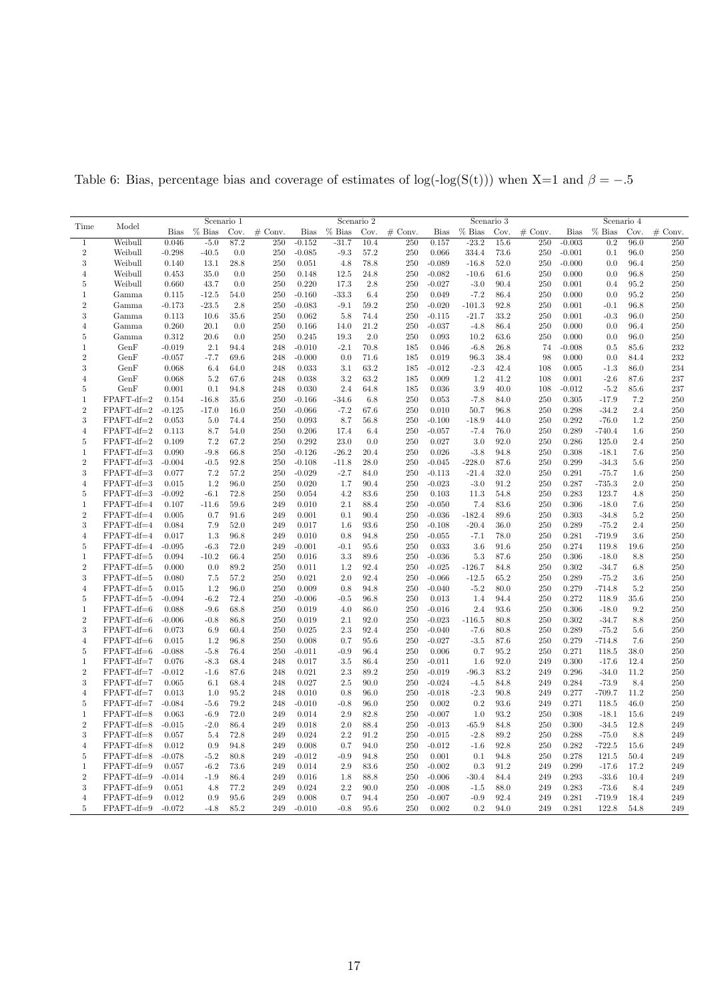|                |              | Scenario 1  |          |          |           |             |          | Scenario 2 |           |          |          | Scenario 3 |           | Scenario 4  |          |      |           |  |
|----------------|--------------|-------------|----------|----------|-----------|-------------|----------|------------|-----------|----------|----------|------------|-----------|-------------|----------|------|-----------|--|
| Time           | Model        | <b>Bias</b> | $%$ Bias | Cov.     | $#$ Conv. | <b>Bias</b> | $%$ Bias | Cov.       | $#$ Conv. | Bias     | $%$ Bias | Cov.       | $#$ Conv. | <b>Bias</b> | $%$ Bias | Cov. | $#$ Conv. |  |
| $\mathbf{1}$   | Weibull      | 0.046       | $-5.0$   | 87.2     | 250       | $-0.152$    | $-31.7$  | 10.4       | 250       | 0.157    | $-23.2$  | 15.6       | 250       | $-0.003$    | 0.2      | 96.0 | 250       |  |
| $\overline{2}$ | Weibull      | $-0.298$    | $-40.5$  | 0.0      | 250       | $-0.085$    | $-9.3$   | 57.2       | 250       | 0.066    | 334.4    | 73.6       | 250       | $-0.001$    | 0.1      | 96.0 | 250       |  |
| 3              | Weibull      | 0.140       | 13.1     | 28.8     | 250       | 0.051       | 4.8      | 78.8       | 250       | $-0.089$ | $-16.8$  | 52.0       | 250       | $-0.000$    | 0.0      | 96.4 | 250       |  |
| $\overline{4}$ | Weibull      | 0.453       | 35.0     | 0.0      | 250       | 0.148       | 12.5     | 24.8       | 250       | $-0.082$ | $-10.6$  | 61.6       | 250       | 0.000       | 0.0      | 96.8 | 250       |  |
| 5              | Weibull      | 0.660       | 43.7     | 0.0      | 250       | 0.220       | 17.3     | 2.8        | 250       | $-0.027$ | $-3.0$   | 90.4       | 250       | 0.001       | 0.4      | 95.2 | 250       |  |
| 1              | Gamma        | 0.115       | $-12.5$  | 54.0     | 250       | $-0.160$    | $-33.3$  | 6.4        | 250       | 0.049    | $-7.2$   | 86.4       | 250       | 0.000       | 0.0      | 95.2 | 250       |  |
| $\overline{2}$ | Gamma        | $-0.173$    | $-23.5$  | 2.8      | 250       | $-0.083$    | $-9.1$   | 59.2       | 250       | $-0.020$ | $-101.3$ | 92.8       | 250       | 0.001       | $-0.1$   | 96.8 | 250       |  |
| $\sqrt{3}$     | Gamma        | 0.113       | 10.6     | 35.6     | 250       | 0.062       | 5.8      | 74.4       | 250       | $-0.115$ | $-21.7$  | 33.2       | 250       | 0.001       | $-0.3$   | 96.0 | 250       |  |
| $\overline{4}$ | Gamma        | 0.260       | 20.1     | 0.0      | 250       | 0.166       | 14.0     | 21.2       | 250       | $-0.037$ | $-4.8$   | 86.4       | 250       | 0.000       | 0.0      | 96.4 | 250       |  |
| 5              | Gamma        | 0.312       | 20.6     | 0.0      | 250       | 0.245       | 19.3     | 2.0        | 250       | 0.093    | 10.2     | 63.6       | 250       | 0.000       | 0.0      | 96.0 | 250       |  |
| 1              | GenF         | $-0.019$    | 2.1      | 94.4     | 248       | $-0.010$    | $-2.1$   | 70.8       | 185       | 0.046    | $-6.8$   | 26.8       | 74        | $-0.008$    | 0.5      | 85.6 | 232       |  |
| $\,2$          | GenF         | $-0.057$    | $-7.7$   | 69.6     | 248       | $-0.000$    | 0.0      | 71.6       | 185       | 0.019    | 96.3     | 38.4       | 98        | 0.000       | 0.0      | 84.4 | 232       |  |
| 3              | GenF         | 0.068       | 6.4      | 64.0     | 248       | 0.033       | 3.1      | 63.2       | 185       | $-0.012$ | $-2.3$   | 42.4       | 108       | 0.005       | $-1.3$   | 86.0 | 234       |  |
| 4              | GenF         | 0.068       | 5.2      | 67.6     | 248       | 0.038       | 3.2      | 63.2       | 185       | 0.009    | 1.2      | 41.2       | 108       | 0.001       | $-2.6$   | 87.6 | 237       |  |
| 5              | GenF         | 0.001       | 0.1      | 94.8     | 248       | 0.030       | 2.4      | 64.8       | 185       | 0.036    | 3.9      | 40.0       | 108       | $-0.012$    | $-5.2$   | 85.6 | 237       |  |
| 1              | $FPAFT-df=2$ | 0.154       | $-16.8$  | 35.6     | 250       | $-0.166$    | $-34.6$  | 6.8        | 250       | 0.053    | $-7.8$   | 84.0       | 250       | 0.305       | $-17.9$  | 7.2  | 250       |  |
| $\overline{2}$ | FPAFT-df=2   | $-0.125$    | $-17.0$  | 16.0     | 250       | $-0.066$    | $-7.2$   | 67.6       | 250       | 0.010    | 50.7     | 96.8       | 250       | 0.298       | $-34.2$  | 2.4  | 250       |  |
| 3              | $FPAFT-df=2$ | 0.053       | 5.0      | 74.4     | 250       | 0.093       | 8.7      | 56.8       | 250       | $-0.100$ | $-18.9$  | 44.0       | 250       | 0.292       | $-76.0$  | 1.2  | 250       |  |
| $\overline{4}$ | $FPAFT-df=2$ | 0.113       | 8.7      | 54.0     | 250       | 0.206       | 17.4     | 6.4        | 250       | $-0.057$ | $-7.4$   | 76.0       | 250       | 0.289       | $-740.4$ | 1.6  | 250       |  |
| 5              | FPAFT-df=2   | 0.109       | 7.2      | 67.2     | 250       | 0.292       | 23.0     | 0.0        | 250       | 0.027    | 3.0      | 92.0       | 250       | 0.286       | 125.0    | 2.4  | 250       |  |
| 1              | FPAFT-df=3   | 0.090       | $-9.8$   | 66.8     | 250       | $-0.126$    | $-26.2$  | 20.4       | 250       | 0.026    | $-3.8$   | 94.8       | 250       | 0.308       | $-18.1$  | 7.6  | 250       |  |
| $\,2$          | FPAFT-df=3   | $-0.004$    | $-0.5$   | 92.8     | 250       | $-0.108$    | $-11.8$  | 28.0       | 250       | $-0.045$ | $-228.0$ | 87.6       | 250       | 0.299       | $-34.3$  | 5.6  | 250       |  |
| 3              | FPAFT-df=3   | 0.077       | 7.2      | 57.2     | 250       | $-0.029$    | $-2.7$   | 84.0       | 250       | $-0.113$ | $-21.4$  | 32.0       | 250       | 0.291       | $-75.7$  | 1.6  | 250       |  |
| $\overline{4}$ | FPAFT-df=3   | 0.015       | 1.2      | 96.0     | 250       | 0.020       | 1.7      | 90.4       | 250       | $-0.023$ | $-3.0$   | 91.2       | 250       | 0.287       | $-735.3$ | 2.0  | 250       |  |
| 5              | FPAFT-df=3   | $-0.092$    | $-6.1$   | 72.8     | 250       | 0.054       | 4.2      | 83.6       | 250       | 0.103    | 11.3     | 54.8       | 250       | 0.283       | 123.7    | 4.8  | 250       |  |
| 1              | FPAFT-df=4   | 0.107       | $-11.6$  | 59.6     | 249       | 0.010       | 2.1      | 88.4       | 250       | $-0.050$ | 7.4      | 83.6       | 250       | 0.306       | $-18.0$  | 7.6  | 250       |  |
| $\,2$          | FPAFT-df=4   | 0.005       | 0.7      | 91.6     | 249       | 0.001       | 0.1      | 90.4       | 250       | $-0.036$ | $-182.4$ | 89.6       | 250       | 0.303       | $-34.8$  | 5.2  | 250       |  |
| $\sqrt{3}$     | FPAFT-df=4   | 0.084       | 7.9      | 52.0     | 249       | 0.017       | 1.6      | 93.6       | 250       | $-0.108$ | $-20.4$  | 36.0       | 250       | 0.289       | $-75.2$  | 2.4  | 250       |  |
| $\overline{4}$ | FPAFT-df=4   | 0.017       | 1.3      | 96.8     | 249       | 0.010       | 0.8      | 94.8       | 250       | $-0.055$ | $-7.1$   | 78.0       | 250       | 0.281       | $-719.9$ | 3.6  | 250       |  |
| 5              | FPAFT-df=4   | $-0.095$    | $-6.3$   | 72.0     | 249       | $-0.001$    | $-0.1$   | 95.6       | 250       | 0.033    | 3.6      | 91.6       | 250       | 0.274       | 119.8    | 19.6 | 250       |  |
| 1              | FPAFT-df=5   | 0.094       | $-10.2$  | 66.4     | 250       | 0.016       | 3.3      | 89.6       | 250       | $-0.036$ | 5.3      | 87.6       | 250       | 0.306       | $-18.0$  | 8.8  | 250       |  |
| $\sqrt{2}$     | FPAFT-df=5   | 0.000       | 0.0      | 89.2     | 250       | 0.011       | 1.2      | 92.4       | 250       | $-0.025$ | $-126.7$ | 84.8       | 250       | 0.302       | $-34.7$  | 6.8  | 250       |  |
| 3              | FPAFT-df=5   | 0.080       | 7.5      | 57.2     | 250       | 0.021       | 2.0      | 92.4       | 250       | $-0.066$ | $-12.5$  | 65.2       | 250       | 0.289       | $-75.2$  | 3.6  | 250       |  |
| $\overline{4}$ | FPAFT-df=5   | 0.015       | 1.2      | 96.0     | 250       | 0.009       | 0.8      | 94.8       | 250       | $-0.040$ | $-5.2$   | 80.0       | 250       | 0.279       | $-714.8$ | 5.2  | 250       |  |
| 5              | FPAFT-df=5   | $-0.094$    | $-6.2$   | 72.4     | 250       | $-0.006$    | $-0.5$   | 96.8       | 250       | 0.013    | 1.4      | 94.4       | 250       | 0.272       | 118.9    | 35.6 | 250       |  |
| 1              | FPAFT-df=6   | 0.088       | $-9.6$   | 68.8     | 250       | 0.019       | 4.0      | 86.0       | 250       | $-0.016$ | 2.4      | 93.6       | 250       | 0.306       | $-18.0$  | 9.2  | 250       |  |
| $\sqrt{2}$     | FPAFT-df=6   | $-0.006$    | $-0.8$   | 86.8     | 250       | 0.019       | 2.1      | 92.0       | 250       | $-0.023$ | $-116.5$ | 80.8       | 250       | 0.302       | $-34.7$  | 8.8  | 250       |  |
| 3              | FPAFT-df=6   | 0.073       | 6.9      | 60.4     | 250       | 0.025       | 2.3      | 92.4       | 250       | $-0.040$ | $-7.6$   | 80.8       | 250       | 0.289       | $-75.2$  | 5.6  | 250       |  |
| $\,4$          | FPAFT-df=6   | 0.015       | 1.2      | 96.8     | 250       | 0.008       | 0.7      | 95.6       | 250       | $-0.027$ | $-3.5$   | 87.6       | 250       | 0.279       | $-714.8$ | 7.6  | 250       |  |
| 5              | FPAFT-df=6   | $-0.088$    | $-5.8$   | 76.4     | 250       | $-0.011$    | $-0.9$   | 96.4       | 250       | 0.006    | 0.7      | 95.2       | 250       | 0.271       | 118.5    | 38.0 | 250       |  |
| 1              | FPAFT-df=7   | 0.076       | $-8.3$   | 68.4     | 248       | 0.017       | 3.5      | 86.4       | 250       | $-0.011$ | 1.6      | 92.0       | 249       | 0.300       | $-17.6$  | 12.4 | 250       |  |
| $\overline{2}$ | FPAFT-df=7   | $-0.012$    | $-1.6$   | 87.6     | 248       | 0.021       | 2.3      | 89.2       | 250       | $-0.019$ | $-96.3$  | 83.2       | 249       | 0.296       | $-34.0$  | 11.2 | 250       |  |
| 3              | FPAFT-df=7   | 0.065       | 6.1      | 68.4     | 248       | 0.027       | 2.5      | 90.0       | 250       | $-0.024$ | $-4.5$   | 84.8       | 249       | 0.284       | $-73.9$  | 8.4  | 250       |  |
| $\overline{4}$ | FPAFT-df=7   | 0.013       | 1.0      | 95.2     | 248       | 0.010       | 0.8      | 96.0       | 250       | $-0.018$ | $-2.3$   | 90.8       | 249       | 0.277       | $-709.7$ | 11.2 | 250       |  |
| 5              | FPAFT-df=7   | $-0.084$    | $-5.6$   | 79.2     | 248       | $-0.010$    | $-0.8$   | 96.0       | 250       | 0.002    | 0.2      | 93.6       | 249       | 0.271       | 118.5    | 46.0 | 250       |  |
| 1              | FPAFT-df=8   | 0.063       | $-6.9$   | 72.0     | 249       | 0.014       | 2.9      | 82.8       | 250       | $-0.007$ | 1.0      | 93.2       | 250       | 0.308       | $-18.1$  | 15.6 | 249       |  |
| $\sqrt{2}$     | FPAFT-df=8   | $-0.015$    | $-2.0$   | 86.4     | 249       | 0.018       | 2.0      | 88.4       | 250       | $-0.013$ | $-65.9$  | 84.8       | 250       | 0.300       | $-34.5$  | 12.8 | 249       |  |
| 3              | FPAFT-df=8   | 0.057       | 5.4      | 72.8     | 249       | 0.024       | 2.2      | 91.2       | 250       | $-0.015$ | $-2.8$   | 89.2       | 250       | 0.288       | $-75.0$  | 8.8  | 249       |  |
| $\overline{4}$ | $FPAFT-df=8$ | 0.012       | 0.9      | 94.8     | 249       | 0.008       | 0.7      | 94.0       | 250       | $-0.012$ | $-1.6$   | 92.8       | 250       | 0.282       | $-722.5$ | 15.6 | 249       |  |
| 5              | FPAFT-df=8   | $-0.078$    | $-5.2$   | 80.8     | 249       | $-0.012$    | $-0.9$   | 94.8       | 250       | 0.001    | 0.1      | 94.8       | 250       | 0.278       | 121.5    | 50.4 | 249       |  |
| 1              | FPAFT-df=9   | 0.057       | $-6.2$   | 73.6     | 249       | 0.014       | 2.9      | 83.6       | 250       | $-0.002$ | 0.3      | 91.2       | 249       | 0.299       | $-17.6$  | 17.2 | 249       |  |
| $\overline{2}$ | FPAFT-df=9   | $-0.014$    | $-1.9$   | 86.4     | 249       | 0.016       | 1.8      | 88.8       | 250       | $-0.006$ | $-30.4$  | 84.4       | 249       | 0.293       | $-33.6$  | 10.4 | 249       |  |
| 3              | $FPAFT-df=9$ | 0.051       | 4.8      | 77.2     | 249       | 0.024       | 2.2      | 90.0       | 250       | $-0.008$ | -1.5     | 88.0       | 249       | 0.283       | $-73.6$  | 8.4  | 249       |  |
| $\overline{4}$ | FPAFT-df=9   | 0.012       | 0.9      | 95.6     | 249       | 0.008       | 0.7      | 94.4       | 250       | $-0.007$ | $-0.9$   | 92.4       | 249       | 0.281       | $-719.9$ | 18.4 | 249       |  |
| $\overline{5}$ | FPAFT-df=9   | $-0.072$    | $-4.8$   | $85.2\,$ | 249       | $-0.010$    | $-0.8$   | 95.6       | 250       | 0.002    | 0.2      | 94.0       | 249       | 0.281       | 122.8    | 54.8 | 249       |  |
|                |              |             |          |          |           |             |          |            |           |          |          |            |           |             |          |      |           |  |

<span id="page-16-0"></span>Table 6: Bias, percentage bias and coverage of estimates of log(-log(S(t))) when X=1 and  $\beta = -.5$